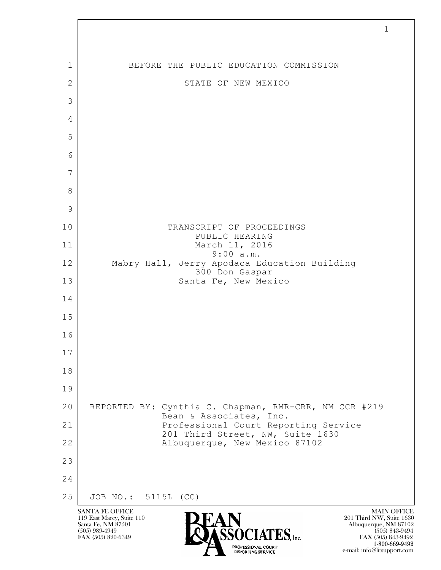$\mathbf{L}$  SANTA FE OFFICE MAIN OFFICE MAIN OFFICE MAIN OFFICE MAIN OFFICE 119 East Marcy, Suite 110<br>Santa Fe, NM 87501 Santa Fe, NM 87501 Albuquerque, NM 87102  $\sum_{\text{FAX (505) 889-4949}} \sum_{\text{FAX (505) 843-9492}} \sum_{\text{FAX (505) 843-9492}} \sum_{\text{FAX (505) 843-9492}}$ FAX (505) 843-9492 1 1 BEFORE THE PUBLIC EDUCATION COMMISSION 2 STATE OF NEW MEXICO 3 4 5 6 7 8 9 10 TRANSCRIPT OF PROCEEDINGS PUBLIC HEARING 11 March 11, 2016 9:00 a.m. 12 Mabry Hall, Jerry Apodaca Education Building 300 Don Gaspar 13 Santa Fe, New Mexico 14 15 16 17 18 19 20 REPORTED BY: Cynthia C. Chapman, RMR-CRR, NM CCR #219 Bean & Associates, Inc. 21 Professional Court Reporting Service 201 Third Street, NW, Suite 1630 22 | Albuquerque, New Mexico 87102 23 24 25 JOB NO.: 5115L (CC)

1-800-669-9492

e-mail: info@litsupport.com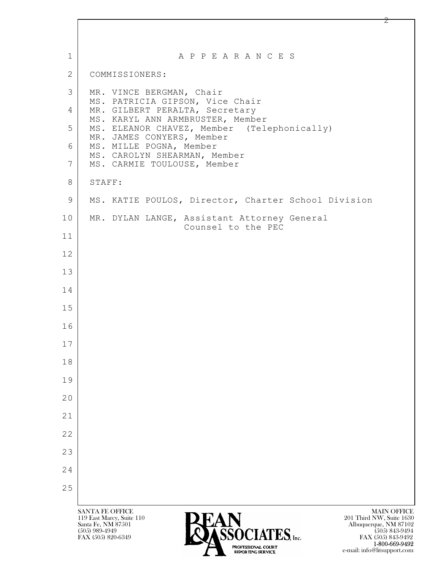| $\mathbf{1}$   | A P P E A R A N C E S                                                                                                                                                                                                                                                             |
|----------------|-----------------------------------------------------------------------------------------------------------------------------------------------------------------------------------------------------------------------------------------------------------------------------------|
| 2              | COMMISSIONERS:                                                                                                                                                                                                                                                                    |
| 3              | MR. VINCE BERGMAN, Chair<br>MS. PATRICIA GIPSON, Vice Chair                                                                                                                                                                                                                       |
| 4              | MR. GILBERT PERALTA, Secretary<br>MS. KARYL ANN ARMBRUSTER, Member                                                                                                                                                                                                                |
| 5              | MS. ELEANOR CHAVEZ, Member (Telephonically)                                                                                                                                                                                                                                       |
| 6              | MR. JAMES CONYERS, Member<br>MS. MILLE POGNA, Member                                                                                                                                                                                                                              |
| $\overline{7}$ | MS. CAROLYN SHEARMAN, Member<br>MS. CARMIE TOULOUSE, Member                                                                                                                                                                                                                       |
| 8              | STAFF:                                                                                                                                                                                                                                                                            |
| 9              | MS. KATIE POULOS, Director, Charter School Division                                                                                                                                                                                                                               |
| 10             | MR. DYLAN LANGE, Assistant Attorney General                                                                                                                                                                                                                                       |
| 11             | Counsel to the PEC                                                                                                                                                                                                                                                                |
| 12             |                                                                                                                                                                                                                                                                                   |
| 13             |                                                                                                                                                                                                                                                                                   |
| 14             |                                                                                                                                                                                                                                                                                   |
| 15             |                                                                                                                                                                                                                                                                                   |
| 16             |                                                                                                                                                                                                                                                                                   |
| 17             |                                                                                                                                                                                                                                                                                   |
| 18             |                                                                                                                                                                                                                                                                                   |
| 19             |                                                                                                                                                                                                                                                                                   |
| 20             |                                                                                                                                                                                                                                                                                   |
| 21             |                                                                                                                                                                                                                                                                                   |
| 22             |                                                                                                                                                                                                                                                                                   |
| 23             |                                                                                                                                                                                                                                                                                   |
| 24             |                                                                                                                                                                                                                                                                                   |
| 25             |                                                                                                                                                                                                                                                                                   |
|                |                                                                                                                                                                                                                                                                                   |
|                | <b>SANTA FE OFFICE</b><br><b>MAIN OFFICE</b><br>119 East Marcy, Suite 110<br>201 Third NW, Suite 1630<br><b>AIN</b><br><i>ASSOCIATES, Inc.</i><br>Santa Fe, NM 87501<br>Albuquerque, NM 87102<br>$(505)$ 989-4949<br>$(505)$ 843-9494<br>FAX (505) 820-6349<br>FAX (505) 843-9492 |

**1-800-669-9492** e-mail: info@litsupport.com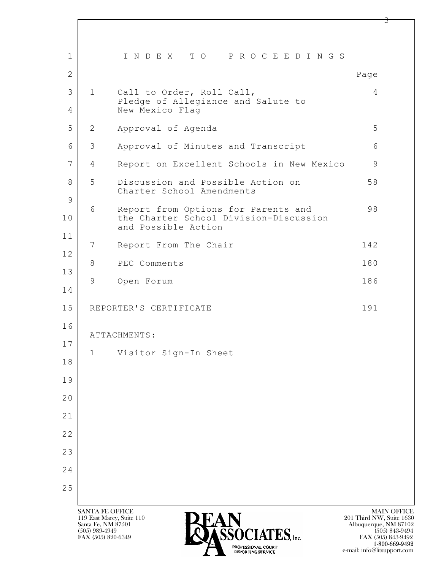| $\mathbf{1}$   |                                                                           | INDEX TO PROCEEDINGS                                                                                 |                                                                         |
|----------------|---------------------------------------------------------------------------|------------------------------------------------------------------------------------------------------|-------------------------------------------------------------------------|
| $\overline{2}$ |                                                                           |                                                                                                      | Page                                                                    |
| 3              | $\mathbf{1}$                                                              | Call to Order, Roll Call,<br>Pledge of Allegiance and Salute to                                      | 4                                                                       |
| 4              |                                                                           | New Mexico Flag                                                                                      |                                                                         |
| 5              | $\mathbf{2}$                                                              | Approval of Agenda                                                                                   | 5                                                                       |
| 6              | 3                                                                         | Approval of Minutes and Transcript                                                                   | 6                                                                       |
| 7              | $\overline{4}$                                                            | Report on Excellent Schools in New Mexico                                                            | 9                                                                       |
| 8<br>9         | 5                                                                         | Discussion and Possible Action on<br>Charter School Amendments                                       | 58                                                                      |
| 10             | 6                                                                         | Report from Options for Parents and<br>the Charter School Division-Discussion<br>and Possible Action | 98                                                                      |
| 11             | 7                                                                         | Report From The Chair                                                                                | 142                                                                     |
| 12             | 8                                                                         | PEC Comments                                                                                         | 180                                                                     |
| 13<br>14       | 9                                                                         | Open Forum                                                                                           | 186                                                                     |
| 15             |                                                                           | REPORTER'S CERTIFICATE                                                                               | 191                                                                     |
| 16<br>17       |                                                                           | ATTACHMENTS:                                                                                         |                                                                         |
| 18             | $\mathbf 1$                                                               | Visitor Sign-In Sheet                                                                                |                                                                         |
| 19             |                                                                           |                                                                                                      |                                                                         |
| 20             |                                                                           |                                                                                                      |                                                                         |
| 21             |                                                                           |                                                                                                      |                                                                         |
| 22             |                                                                           |                                                                                                      |                                                                         |
| 23             |                                                                           |                                                                                                      |                                                                         |
| 24             |                                                                           |                                                                                                      |                                                                         |
| 25             |                                                                           |                                                                                                      |                                                                         |
|                | <b>SANTA FE OFFICE</b><br>119 East Marcy, Suite 110<br>Santa Fe, NM 87501 | <b>PEAN</b>                                                                                          | <b>MAIN OFFICE</b><br>201 Third NW, Suite 1630<br>Albuquerque, NM 87102 |

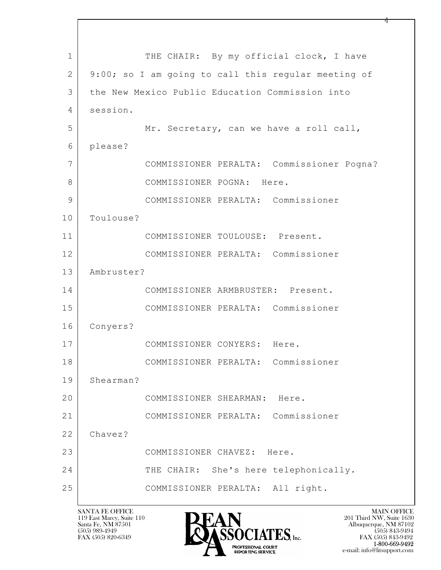$\mathbf{L}$  1 THE CHAIR: By my official clock, I have 2 9:00; so I am going to call this regular meeting of 3 the New Mexico Public Education Commission into 4 session. 5 Mr. Secretary, can we have a roll call, 6 please? 7 COMMISSIONER PERALTA: Commissioner Pogna? 8 | COMMISSIONER POGNA: Here. 9 COMMISSIONER PERALTA: Commissioner 10 Toulouse? 11 COMMISSIONER TOULOUSE: Present. 12 COMMISSIONER PERALTA: Commissioner 13 Ambruster? 14 COMMISSIONER ARMBRUSTER: Present. 15 COMMISSIONER PERALTA: Commissioner 16 Conyers? 17 COMMISSIONER CONYERS: Here. 18 COMMISSIONER PERALTA: Commissioner 19 Shearman? 20 COMMISSIONER SHEARMAN: Here. 21 COMMISSIONER PERALTA: Commissioner 22 Chavez? 23 COMMISSIONER CHAVEZ: Here. 24 THE CHAIR: She's here telephonically. 25 COMMISSIONER PERALTA: All right.

119 East Marcy, Suite 110<br>Santa Fe, NM 87501

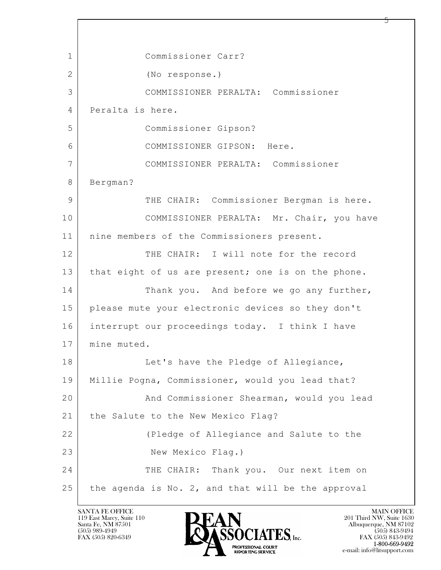$\mathbf{L}$  1 Commissioner Carr? 2 (No response.) 3 COMMISSIONER PERALTA: Commissioner 4 Peralta is here. 5 Commissioner Gipson? 6 COMMISSIONER GIPSON: Here. 7 COMMISSIONER PERALTA: Commissioner 8 Bergman? 9 THE CHAIR: Commissioner Bergman is here. 10 | COMMISSIONER PERALTA: Mr. Chair, you have 11 | nine members of the Commissioners present. 12 THE CHAIR: I will note for the record 13 | that eight of us are present; one is on the phone. 14 Thank you. And before we go any further, 15 please mute your electronic devices so they don't 16 interrupt our proceedings today. I think I have 17 mine muted. 18 Let's have the Pledge of Allegiance, 19 Millie Pogna, Commissioner, would you lead that? 20 And Commissioner Shearman, would you lead 21 | the Salute to the New Mexico Flag? 22 (Pledge of Allegiance and Salute to the 23 New Mexico Flaq.) 24 THE CHAIR: Thank you. Our next item on  $25$  the agenda is No. 2, and that will be the approval

119 East Marcy, Suite 110<br>Santa Fe, NM 87501

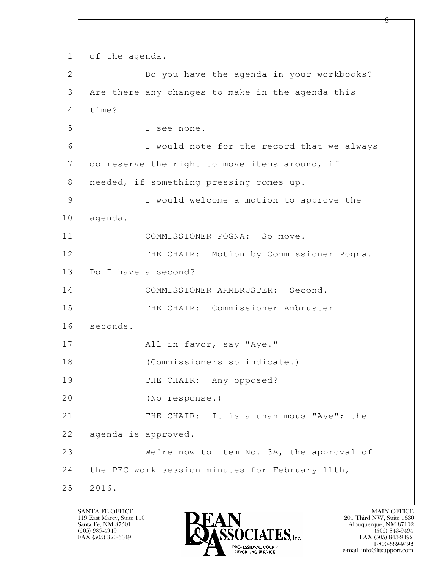$\mathbf{L}$  1 of the agenda. 2 Do you have the agenda in your workbooks? 3 Are there any changes to make in the agenda this 4 time? 5 I see none. 6 I would note for the record that we always 7 do reserve the right to move items around, if 8 | needed, if something pressing comes up. 9 I would welcome a motion to approve the 10 agenda. 11 COMMISSIONER POGNA: So move. 12 THE CHAIR: Motion by Commissioner Pogna. 13 Do I have a second? 14 COMMISSIONER ARMBRUSTER: Second. 15 THE CHAIR: Commissioner Ambruster 16 seconds. 17 | Rail in favor, say "Aye." 18 (Commissioners so indicate.) 19 THE CHAIR: Any opposed? 20 (No response.) 21 THE CHAIR: It is a unanimous "Aye"; the 22 | agenda is approved. 23 We're now to Item No. 3A, the approval of 24 | the PEC work session minutes for February 11th, 25 2016.

119 East Marcy, Suite 110<br>Santa Fe, NM 87501



რ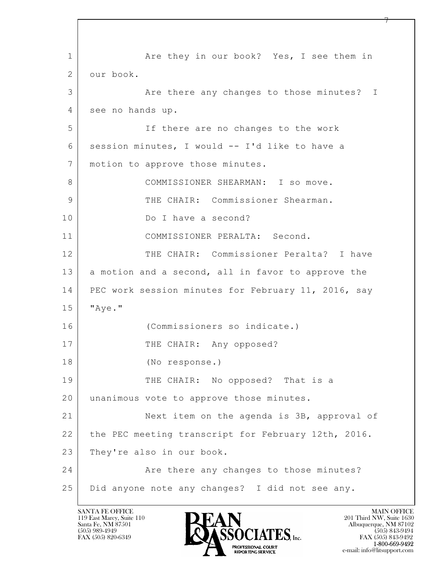$\mathbf{L}$  1 1 Are they in our book? Yes, I see them in 2 our book. 3 Are there any changes to those minutes? I 4 see no hands up. 5 If there are no changes to the work 6 session minutes, I would -- I'd like to have a 7 | motion to approve those minutes. 8 COMMISSIONER SHEARMAN: I so move. 9 THE CHAIR: Commissioner Shearman. 10 Do I have a second? 11 COMMISSIONER PERALTA: Second. 12 THE CHAIR: Commissioner Peralta? I have 13 a motion and a second, all in favor to approve the 14 PEC work session minutes for February 11, 2016, say 15 "Aye." 16 (Commissioners so indicate.) 17 THE CHAIR: Any opposed? 18 (No response.) 19 THE CHAIR: No opposed? That is a 20 | unanimous vote to approve those minutes. 21 Next item on the agenda is 3B, approval of 22 the PEC meeting transcript for February 12th, 2016. 23 They're also in our book. 24 Are there any changes to those minutes? 25 Did anyone note any changes? I did not see any.

119 East Marcy, Suite 110<br>Santa Fe, NM 87501

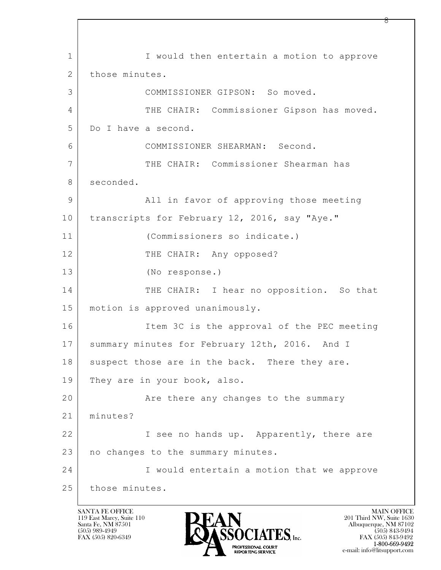$\mathbf{L}$  1 I Would then entertain a motion to approve 2 those minutes. 3 COMMISSIONER GIPSON: So moved. 4 THE CHAIR: Commissioner Gipson has moved. 5 Do I have a second. 6 COMMISSIONER SHEARMAN: Second. 7 THE CHAIR: Commissioner Shearman has 8 seconded. 9 All in favor of approving those meeting 10 transcripts for February 12, 2016, say "Aye." 11 (Commissioners so indicate.) 12 THE CHAIR: Any opposed? 13 (No response.) 14 THE CHAIR: I hear no opposition. So that 15 motion is approved unanimously. 16 Item 3C is the approval of the PEC meeting 17 Summary minutes for February 12th, 2016. And I 18 suspect those are in the back. There they are. 19 They are in your book, also. 20 **Are there any changes to the summary** 21 minutes? 22 I see no hands up. Apparently, there are 23 | no changes to the summary minutes. 24 I would entertain a motion that we approve 25 those minutes.

119 East Marcy, Suite 110<br>Santa Fe, NM 87501

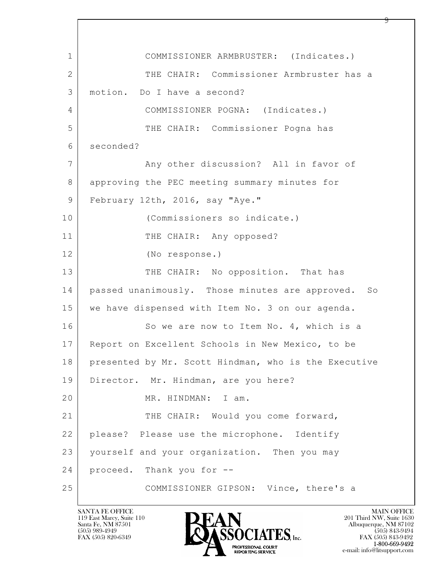$\mathbf{L}$  1 COMMISSIONER ARMBRUSTER: (Indicates.) 2 THE CHAIR: Commissioner Armbruster has a 3 motion. Do I have a second? 4 COMMISSIONER POGNA: (Indicates.) 5 THE CHAIR: Commissioner Pogna has 6 seconded? 7 | The Many other discussion? All in favor of 8 approving the PEC meeting summary minutes for 9 February 12th, 2016, say "Aye." 10 (Commissioners so indicate.) 11 THE CHAIR: Any opposed? 12 (No response.) 13 THE CHAIR: No opposition. That has 14 passed unanimously. Those minutes are approved. So 15 | we have dispensed with Item No. 3 on our agenda. 16 So we are now to Item No. 4, which is a 17 | Report on Excellent Schools in New Mexico, to be 18 presented by Mr. Scott Hindman, who is the Executive 19 Director. Mr. Hindman, are you here? 20 MR. HINDMAN: I am. 21 THE CHAIR: Would you come forward, 22 please? Please use the microphone. Identify 23 yourself and your organization. Then you may 24 proceed. Thank you for -- 25 COMMISSIONER GIPSON: Vince, there's a

119 East Marcy, Suite 110<br>Santa Fe, NM 87501

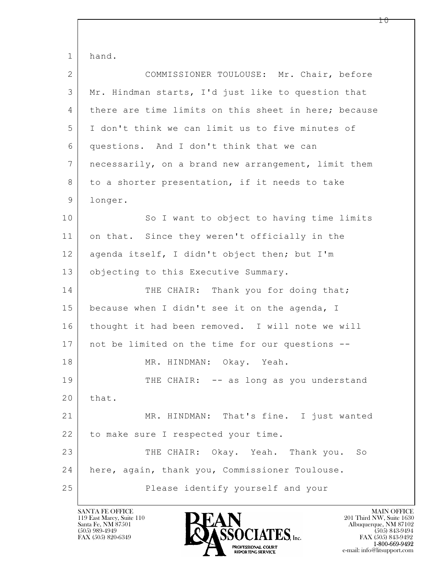$\mathbf{L}$  1 hand. 2 COMMISSIONER TOULOUSE: Mr. Chair, before 3 Mr. Hindman starts, I'd just like to question that 4 there are time limits on this sheet in here; because 5 I don't think we can limit us to five minutes of 6 questions. And I don't think that we can 7 necessarily, on a brand new arrangement, limit them 8 to a shorter presentation, if it needs to take 9 longer. 10 So I want to object to having time limits 11 on that. Since they weren't officially in the 12 agenda itself, I didn't object then; but I'm 13 | objecting to this Executive Summary. 14 THE CHAIR: Thank you for doing that; 15 because when I didn't see it on the agenda, I 16 thought it had been removed. I will note we will 17 not be limited on the time for our questions -- 18 | MR. HINDMAN: Okay. Yeah. 19 THE CHAIR: -- as long as you understand  $20$  that. 21 MR. HINDMAN: That's fine. I just wanted 22 to make sure I respected your time. 23 THE CHAIR: Okay. Yeah. Thank you. So 24 here, again, thank you, Commissioner Toulouse. 25 Please identify yourself and your

119 East Marcy, Suite 110<br>Santa Fe, NM 87501



1 ი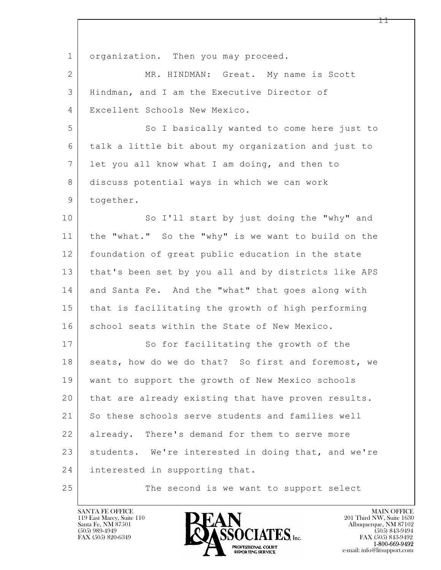| $\mathbf 1$    | organization. Then you may proceed.                  |
|----------------|------------------------------------------------------|
| $\overline{2}$ | MR. HINDMAN: Great. My name is Scott                 |
| 3              | Hindman, and I am the Executive Director of          |
| 4              | Excellent Schools New Mexico.                        |
| 5              | So I basically wanted to come here just to           |
| 6              | talk a little bit about my organization and just to  |
| $\overline{7}$ | let you all know what I am doing, and then to        |
| 8              | discuss potential ways in which we can work          |
| 9              | together.                                            |
| 10             | So I'll start by just doing the "why" and            |
| 11             | the "what." So the "why" is we want to build on the  |
| 12             | foundation of great public education in the state    |
| 13             | that's been set by you all and by districts like APS |
| 14             | and Santa Fe. And the "what" that goes along with    |
| 15             | that is facilitating the growth of high performing   |
| 16             | school seats within the State of New Mexico.         |
| 17             | So for facilitating the growth of the                |
| 18             | seats, how do we do that? So first and foremost, we  |
| 19             | want to support the growth of New Mexico schools     |
| 20             | that are already existing that have proven results.  |
| 21             | So these schools serve students and families well    |
| 22             | already. There's demand for them to serve more       |
| 23             | students. We're interested in doing that, and we're  |
| 24             | interested in supporting that.                       |
| 25             | The second is we want to support select              |

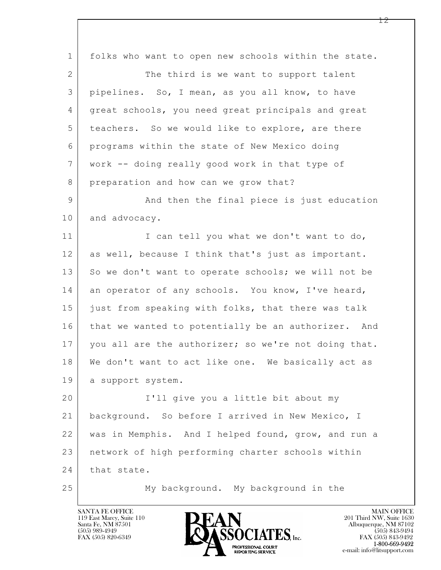$\mathbf{L}$  1 folks who want to open new schools within the state. 2 The third is we want to support talent 3 pipelines. So, I mean, as you all know, to have 4 great schools, you need great principals and great 5 teachers. So we would like to explore, are there 6 programs within the state of New Mexico doing 7 work -- doing really good work in that type of 8 preparation and how can we grow that? 9 And then the final piece is just education 10 and advocacy. 11 I can tell you what we don't want to do, 12 as well, because I think that's just as important. 13 So we don't want to operate schools; we will not be 14 an operator of any schools. You know, I've heard, 15 just from speaking with folks, that there was talk 16 that we wanted to potentially be an authorizer. And 17 you all are the authorizer; so we're not doing that. 18 We don't want to act like one. We basically act as 19 | a support system. 20 I'll give you a little bit about my 21 background. So before I arrived in New Mexico, I 22 was in Memphis. And I helped found, grow, and run a 23 network of high performing charter schools within 24 that state. 25 My background. My background in the

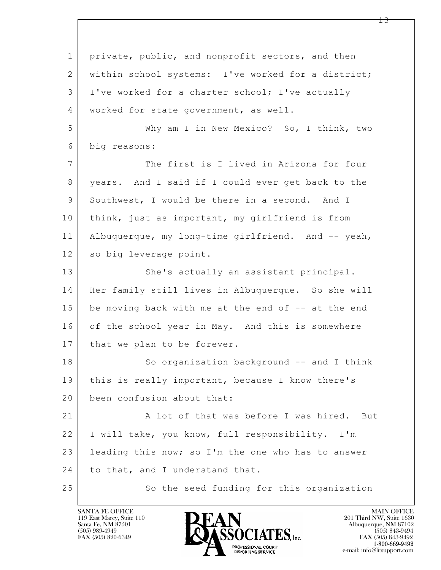$\mathbf{L}$  1 private, public, and nonprofit sectors, and then 2 | within school systems: I've worked for a district; 3 I've worked for a charter school; I've actually 4 | worked for state government, as well. 5 Why am I in New Mexico? So, I think, two 6 big reasons: 7 The first is I lived in Arizona for four 8 years. And I said if I could ever get back to the 9 Southwest, I would be there in a second. And I 10 | think, just as important, my girlfriend is from 11 Albuquerque, my long-time girlfriend. And -- yeah, 12 so big leverage point. 13 She's actually an assistant principal. 14 Her family still lives in Albuquerque. So she will  $15$  be moving back with me at the end of  $-$  at the end 16 of the school year in May. And this is somewhere 17 | that we plan to be forever. 18 | So organization background -- and I think 19 this is really important, because I know there's 20 been confusion about that: 21 A lot of that was before I was hired. But 22 I will take, you know, full responsibility. I'm 23 | leading this now; so I'm the one who has to answer 24 to that, and I understand that. 25 So the seed funding for this organization

119 East Marcy, Suite 110<br>Santa Fe, NM 87501

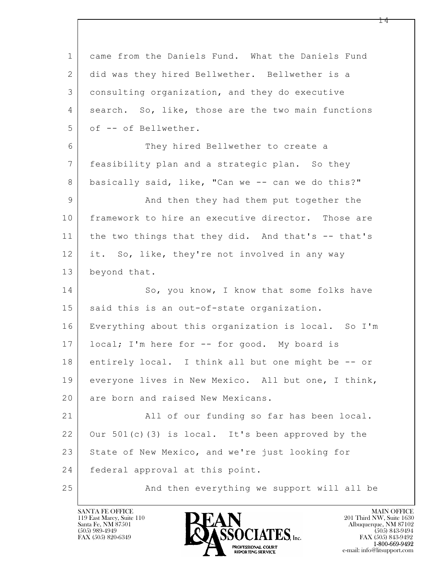| $\mathbf{1}$    | came from the Daniels Fund. What the Daniels Fund   |
|-----------------|-----------------------------------------------------|
| 2               | did was they hired Bellwether. Bellwether is a      |
| 3               | consulting organization, and they do executive      |
| 4               | search. So, like, those are the two main functions  |
| 5               | of -- of Bellwether.                                |
| 6               | They hired Bellwether to create a                   |
| $7\phantom{.0}$ | feasibility plan and a strategic plan. So they      |
| 8               | basically said, like, "Can we -- can we do this?"   |
| $\overline{9}$  | And then they had them put together the             |
| 10              | framework to hire an executive director. Those are  |
| 11              | the two things that they did. And that's -- that's  |
| 12              | it. So, like, they're not involved in any way       |
| 13              | beyond that.                                        |
| 14              | So, you know, I know that some folks have           |
| 15              | said this is an out-of-state organization.          |
| 16              | Everything about this organization is local. So I'm |
| 17              | local; I'm here for -- for good. My board is        |
| 18              | entirely local. I think all but one might be -- or  |
| 19              | everyone lives in New Mexico. All but one, I think, |
| 20              | are born and raised New Mexicans.                   |
| 21              | All of our funding so far has been local.           |
| 22              | Our 501(c)(3) is local. It's been approved by the   |
| 23              | State of New Mexico, and we're just looking for     |
| 24              | federal approval at this point.                     |
| 25              | And then everything we support will all be          |

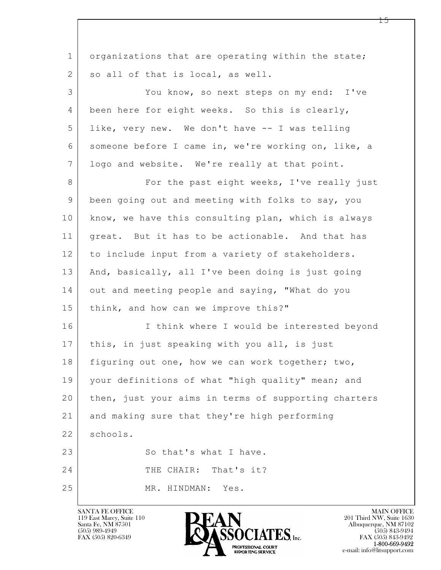| $\mathbf{1}$   | organizations that are operating within the state;   |
|----------------|------------------------------------------------------|
| $\overline{2}$ | so all of that is local, as well.                    |
| 3              | You know, so next steps on my end: I've              |
| 4              | been here for eight weeks. So this is clearly,       |
| 5              | like, very new. We don't have -- I was telling       |
| 6              | someone before I came in, we're working on, like, a  |
| $7\phantom{.}$ | logo and website. We're really at that point.        |
| 8              | For the past eight weeks, I've really just           |
| 9              | been going out and meeting with folks to say, you    |
| 10             | know, we have this consulting plan, which is always  |
| 11             | great. But it has to be actionable. And that has     |
| 12             | to include input from a variety of stakeholders.     |
| 13             | And, basically, all I've been doing is just going    |
| 14             | out and meeting people and saying, "What do you      |
| 15             | think, and how can we improve this?"                 |
| 16             | I think where I would be interested beyond           |
| 17             | this, in just speaking with you all, is just         |
| 18             | figuring out one, how we can work together; two,     |
| 19             | your definitions of what "high quality" mean; and    |
| 20             | then, just your aims in terms of supporting charters |
| 21             | and making sure that they're high performing         |
| 22             | schools.                                             |
| 23             | So that's what I have.                               |
| 24             | THE CHAIR: That's it?                                |
| 25             | MR. HINDMAN:<br>Yes.                                 |

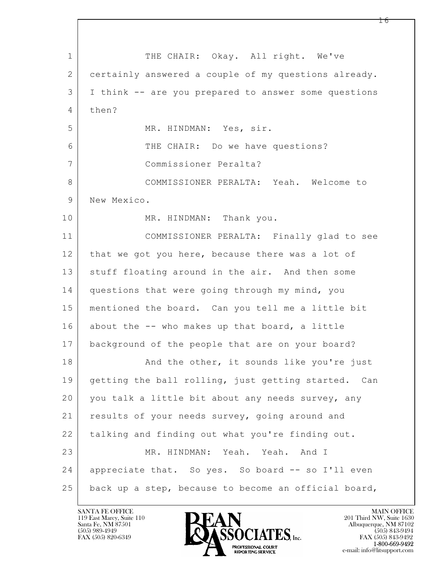$\mathbf{L}$  1 THE CHAIR: Okay. All right. We've 2 certainly answered a couple of my questions already. 3 I think -- are you prepared to answer some questions 4 then? 5 MR. HINDMAN: Yes, sir. 6 THE CHAIR: Do we have questions? 7 Commissioner Peralta? 8 COMMISSIONER PERALTA: Yeah. Welcome to 9 New Mexico. 10 MR. HINDMAN: Thank you. 11 COMMISSIONER PERALTA: Finally glad to see 12 that we got you here, because there was a lot of 13 stuff floating around in the air. And then some 14 questions that were going through my mind, you 15 mentioned the board. Can you tell me a little bit 16 about the -- who makes up that board, a little 17 background of the people that are on your board? 18 | And the other, it sounds like you're just 19 getting the ball rolling, just getting started. Can 20 you talk a little bit about any needs survey, any 21 | results of your needs survey, going around and 22 talking and finding out what you're finding out. 23 MR. HINDMAN: Yeah. Yeah. And I 24 | appreciate that. So yes. So board -- so I'll even 25 back up a step, because to become an official board,

119 East Marcy, Suite 110<br>Santa Fe, NM 87501



FAX (505) 843-9492 e-mail: info@litsupport.com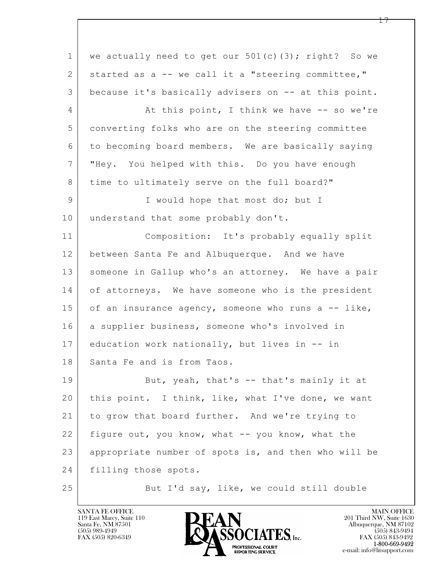$\mathbf{L}$  1 we actually need to get our 501(c)(3); right? So we 2 started as a -- we call it a "steering committee," 3 because it's basically advisers on -- at this point. 4 | At this point, I think we have -- so we're 5 converting folks who are on the steering committee 6 to becoming board members. We are basically saying 7 "Hey. You helped with this. Do you have enough 8 time to ultimately serve on the full board?" 9 | I would hope that most do; but I 10 understand that some probably don't. 11 Composition: It's probably equally split 12 between Santa Fe and Albuquerque. And we have 13 someone in Gallup who's an attorney. We have a pair 14 of attorneys. We have someone who is the president 15 of an insurance agency, someone who runs a  $-$  like, 16 a supplier business, someone who's involved in 17 education work nationally, but lives in -- in 18 Santa Fe and is from Taos. 19 But, yeah, that's -- that's mainly it at 20 this point. I think, like, what I've done, we want 21 to grow that board further. And we're trying to 22 figure out, you know, what -- you know, what the 23 appropriate number of spots is, and then who will be 24 filling those spots. 25 But I'd say, like, we could still double

119 East Marcy, Suite 110<br>Santa Fe, NM 87501

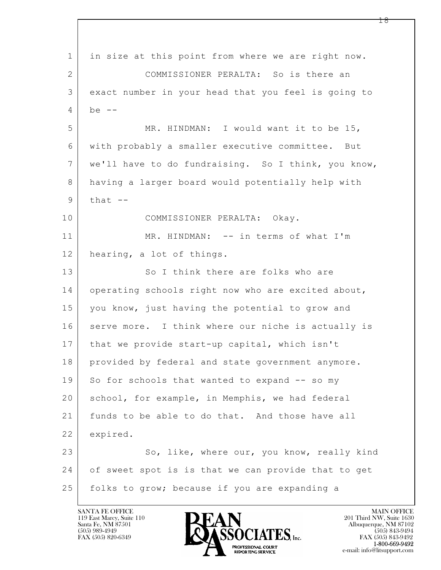$\mathbf{L}$  1 in size at this point from where we are right now. 2 COMMISSIONER PERALTA: So is there an 3 exact number in your head that you feel is going to  $4 \mid$  be  $-$ 5 MR. HINDMAN: I would want it to be 15, 6 with probably a smaller executive committee. But 7 we'll have to do fundraising. So I think, you know, 8 having a larger board would potentially help with  $9$  that  $-$ 10 COMMISSIONER PERALTA: Okay. 11 MR. HINDMAN: -- in terms of what I'm 12 hearing, a lot of things. 13 So I think there are folks who are 14 operating schools right now who are excited about, 15 you know, just having the potential to grow and 16 serve more. I think where our niche is actually is 17 that we provide start-up capital, which isn't 18 provided by federal and state government anymore. 19 So for schools that wanted to expand -- so my 20 | school, for example, in Memphis, we had federal 21 funds to be able to do that. And those have all 22 expired. 23 So, like, where our, you know, really kind 24 of sweet spot is is that we can provide that to get 25 folks to grow; because if you are expanding a

119 East Marcy, Suite 110<br>Santa Fe, NM 87501

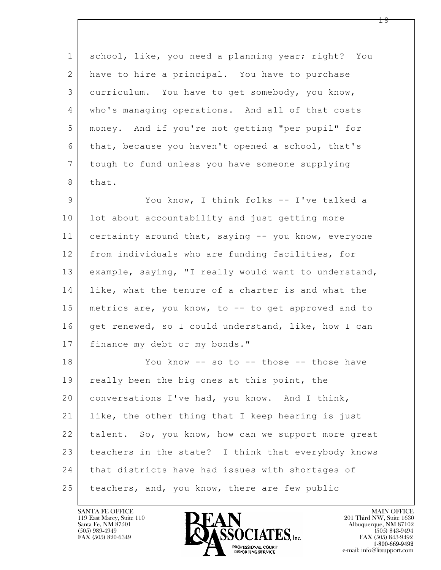$\mathbf{L}$  1 school, like, you need a planning year; right? You 2 have to hire a principal. You have to purchase 3 curriculum. You have to get somebody, you know, 4 who's managing operations. And all of that costs 5 money. And if you're not getting "per pupil" for 6 that, because you haven't opened a school, that's 7 tough to fund unless you have someone supplying 8 that. 9 You know, I think folks -- I've talked a 10 | lot about accountability and just getting more 11 certainty around that, saying -- you know, everyone 12 from individuals who are funding facilities, for 13 example, saying, "I really would want to understand, 14 like, what the tenure of a charter is and what the 15 metrics are, you know, to -- to get approved and to 16 get renewed, so I could understand, like, how I can 17 | finance my debt or my bonds." 18 You know -- so to -- those -- those have 19 really been the big ones at this point, the 20 conversations I've had, you know. And I think, 21 | like, the other thing that I keep hearing is just 22 talent. So, you know, how can we support more great 23 teachers in the state? I think that everybody knows 24 that districts have had issues with shortages of 25 | teachers, and, you know, there are few public

119 East Marcy, Suite 110<br>Santa Fe, NM 87501

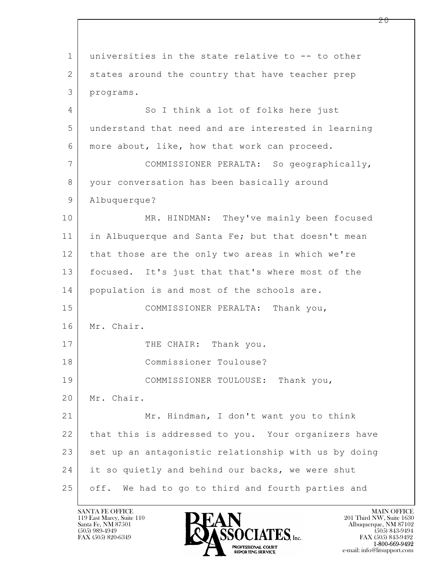$\mathbf{L}$  1 universities in the state relative to -- to other 2 states around the country that have teacher prep 3 programs. 4 So I think a lot of folks here just 5 understand that need and are interested in learning 6 more about, like, how that work can proceed. 7 COMMISSIONER PERALTA: So geographically, 8 your conversation has been basically around 9 Albuquerque? 10 MR. HINDMAN: They've mainly been focused 11 in Albuquerque and Santa Fe; but that doesn't mean 12 that those are the only two areas in which we're 13 focused. It's just that that's where most of the 14 population is and most of the schools are. 15 COMMISSIONER PERALTA: Thank you, 16 Mr. Chair. 17 THE CHAIR: Thank you. 18 Commissioner Toulouse? 19 COMMISSIONER TOULOUSE: Thank you, 20 | Mr. Chair. 21 Mr. Hindman, I don't want you to think 22 that this is addressed to you. Your organizers have 23 set up an antagonistic relationship with us by doing 24 it so quietly and behind our backs, we were shut 25 off. We had to go to third and fourth parties and

119 East Marcy, Suite 110<br>Santa Fe, NM 87501

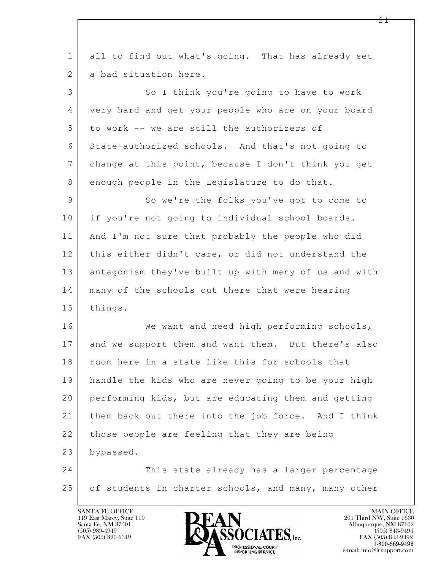$\mathbf{L}$  1 all to find out what's going. That has already set 2 a bad situation here. 3 So I think you're going to have to work 4 very hard and get your people who are on your board 5 | to work -- we are still the authorizers of 6 State-authorized schools. And that's not going to 7 change at this point, because I don't think you get 8 enough people in the Legislature to do that. 9 So we're the folks you've got to come to 10 | if you're not going to individual school boards. 11 And I'm not sure that probably the people who did 12 this either didn't care, or did not understand the 13 antagonism they've built up with many of us and with 14 many of the schools out there that were hearing 15 things. 16 We want and need high performing schools, 17 and we support them and want them. But there's also 18 room here in a state like this for schools that 19 handle the kids who are never going to be your high 20 performing kids, but are educating them and getting 21 them back out there into the job force. And I think 22 those people are feeling that they are being 23 bypassed. 24 This state already has a larger percentage 25 of students in charter schools, and many, many other

119 East Marcy, Suite 110<br>Santa Fe, NM 87501



FAX (505) 843-9492 e-mail: info@litsupport.com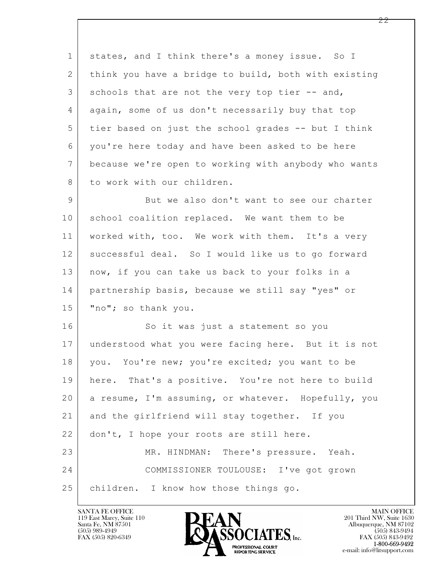1 states, and I think there's a money issue. So I 2 | think you have a bridge to build, both with existing 3 schools that are not the very top tier -- and, 4 again, some of us don't necessarily buy that top 5 tier based on just the school grades -- but I think 6 you're here today and have been asked to be here 7 because we're open to working with anybody who wants 8 to work with our children. 9 But we also don't want to see our charter 10 school coalition replaced. We want them to be

11 worked with, too. We work with them. It's a very 12 successful deal. So I would like us to go forward 13 | now, if you can take us back to your folks in a 14 partnership basis, because we still say "yes" or 15 "no"; so thank you.

 $\mathbf{L}$  16 So it was just a statement so you 17 understood what you were facing here. But it is not 18 | you. You're new; you're excited; you want to be 19 here. That's a positive. You're not here to build 20 a resume, I'm assuming, or whatever. Hopefully, you 21 and the girlfriend will stay together. If you 22 don't, I hope your roots are still here. 23 MR. HINDMAN: There's pressure. Yeah. 24 COMMISSIONER TOULOUSE: I've got grown 25 children. I know how those things go.

119 East Marcy, Suite 110<br>Santa Fe, NM 87501

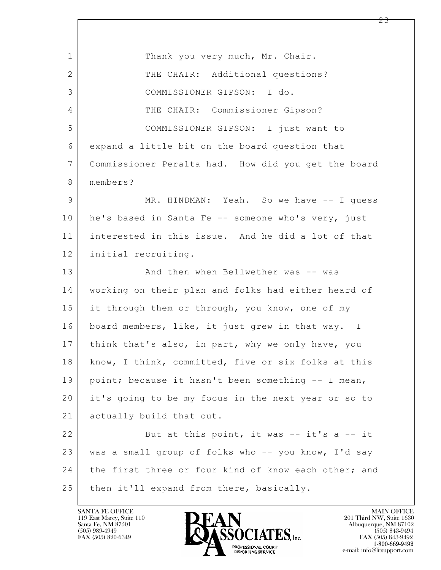$\mathbf{L}$  1 Thank you very much, Mr. Chair. 2 THE CHAIR: Additional questions? 3 COMMISSIONER GIPSON: I do. 4 THE CHAIR: Commissioner Gipson? 5 COMMISSIONER GIPSON: I just want to 6 expand a little bit on the board question that 7 Commissioner Peralta had. How did you get the board 8 members? 9 MR. HINDMAN: Yeah. So we have -- I quess 10 | he's based in Santa Fe -- someone who's very, just 11 interested in this issue. And he did a lot of that 12 initial recruiting. 13 And then when Bellwether was -- was 14 working on their plan and folks had either heard of 15 it through them or through, you know, one of my 16 board members, like, it just grew in that way. I 17 | think that's also, in part, why we only have, you 18 | know, I think, committed, five or six folks at this 19 point; because it hasn't been something -- I mean, 20 it's going to be my focus in the next year or so to 21 actually build that out. 22 But at this point, it was -- it's a -- it 23 was a small group of folks who -- you know, I'd say 24 the first three or four kind of know each other; and 25 then it'll expand from there, basically.

119 East Marcy, Suite 110<br>Santa Fe, NM 87501

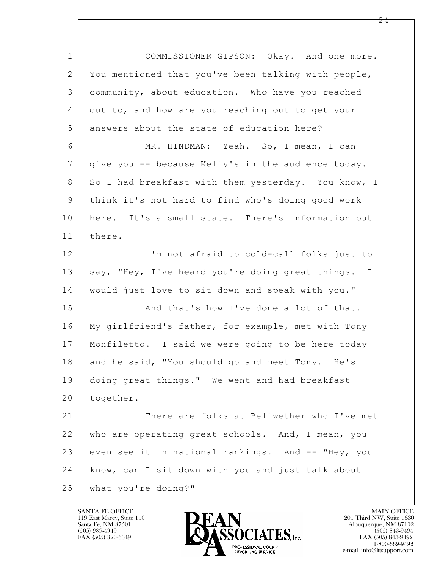$\mathbf{L}$  1 COMMISSIONER GIPSON: Okay. And one more. 2 You mentioned that you've been talking with people, 3 community, about education. Who have you reached 4 out to, and how are you reaching out to get your 5 answers about the state of education here? 6 MR. HINDMAN: Yeah. So, I mean, I can 7 give you -- because Kelly's in the audience today. 8 So I had breakfast with them yesterday. You know, I 9 think it's not hard to find who's doing good work 10 here. It's a small state. There's information out 11 there. 12 I'm not afraid to cold-call folks just to 13 | say, "Hey, I've heard you're doing great things. I 14 would just love to sit down and speak with you." 15 And that's how I've done a lot of that. 16 My girlfriend's father, for example, met with Tony 17 Monfiletto. I said we were going to be here today 18 and he said, "You should go and meet Tony. He's 19 doing great things." We went and had breakfast 20 together. 21 There are folks at Bellwether who I've met 22 who are operating great schools. And, I mean, you 23 even see it in national rankings. And -- "Hey, you 24 know, can I sit down with you and just talk about 25 what you're doing?"

119 East Marcy, Suite 110<br>Santa Fe, NM 87501

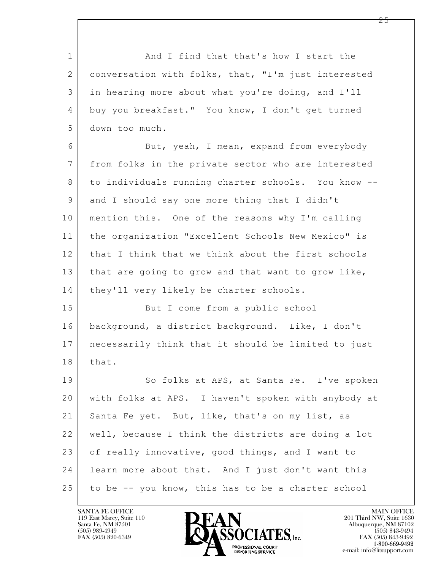1 and I find that that's how I start the 2 conversation with folks, that, "I'm just interested 3 in hearing more about what you're doing, and I'll 4 buy you breakfast." You know, I don't get turned 5 down too much.

6 But, yeah, I mean, expand from everybody 7 from folks in the private sector who are interested 8 to individuals running charter schools. You know --9 and I should say one more thing that I didn't 10 mention this. One of the reasons why I'm calling 11 the organization "Excellent Schools New Mexico" is 12 that I think that we think about the first schools 13 | that are going to grow and that want to grow like, 14 | they'll very likely be charter schools.

15 But I come from a public school 16 background, a district background. Like, I don't 17 necessarily think that it should be limited to just 18 | that.

 $\mathbf{L}$  19 So folks at APS, at Santa Fe. I've spoken 20 with folks at APS. I haven't spoken with anybody at 21 Santa Fe yet. But, like, that's on my list, as 22 well, because I think the districts are doing a lot 23 of really innovative, good things, and I want to 24 learn more about that. And I just don't want this 25 to be -- you know, this has to be a charter school

119 East Marcy, Suite 110<br>Santa Fe, NM 87501



FAX (505) 843-9492 e-mail: info@litsupport.com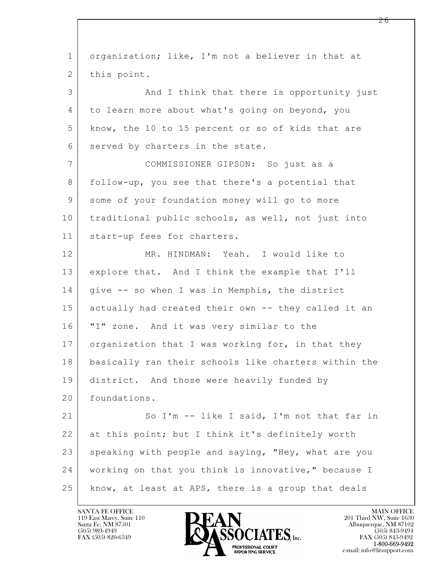| organization; like, I'm not a believer in that at    |
|------------------------------------------------------|
| this point.                                          |
| And I think that there is opportunity just           |
| to learn more about what's going on beyond, you      |
| know, the 10 to 15 percent or so of kids that are    |
| served by charters in the state.                     |
| COMMISSIONER GIPSON: So just as a                    |
| follow-up, you see that there's a potential that     |
| some of your foundation money will go to more        |
| traditional public schools, as well, not just into   |
| start-up fees for charters.                          |
| MR. HINDMAN: Yeah. I would like to                   |
| explore that. And I think the example that I'll      |
| give -- so when I was in Memphis, the district       |
| actually had created their own -- they called it an  |
| "I" zone. And it was very similar to the             |
| organization that I was working for, in that they    |
| basically ran their schools like charters within the |
| district. And those were heavily funded by           |
| foundations.                                         |
| So I'm -- like I said, I'm not that far in           |
| at this point; but I think it's definitely worth     |
| speaking with people and saying, "Hey, what are you  |
| working on that you think is innovative," because I  |
| know, at least at APS, there is a group that deals   |
|                                                      |

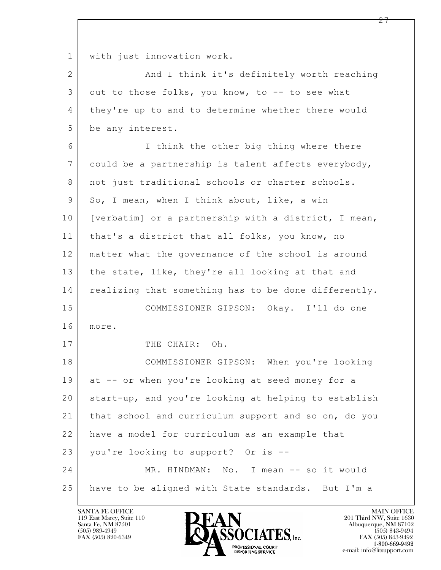1 with just innovation work.

2 | And I think it's definitely worth reaching 3 out to those folks, you know, to -- to see what 4 they're up to and to determine whether there would 5 be any interest.

 $\mathbf{L}$  6 I think the other big thing where there 7 could be a partnership is talent affects everybody, 8 | not just traditional schools or charter schools. 9 So, I mean, when I think about, like, a win 10 | [verbatim] or a partnership with a district, I mean, 11 | that's a district that all folks, you know, no 12 matter what the governance of the school is around 13 the state, like, they're all looking at that and 14 realizing that something has to be done differently. 15 COMMISSIONER GIPSON: Okay. I'll do one 16 more. 17 ITHE CHAIR: Oh. 18 COMMISSIONER GIPSON: When you're looking 19 at -- or when you're looking at seed money for a 20 start-up, and you're looking at helping to establish 21 that school and curriculum support and so on, do you 22 have a model for curriculum as an example that 23 vou're looking to support? Or is --24 MR. HINDMAN: No. I mean -- so it would 25 have to be aligned with State standards. But I'm a

119 East Marcy, Suite 110<br>Santa Fe, NM 87501



FAX (505) 843-9492 e-mail: info@litsupport.com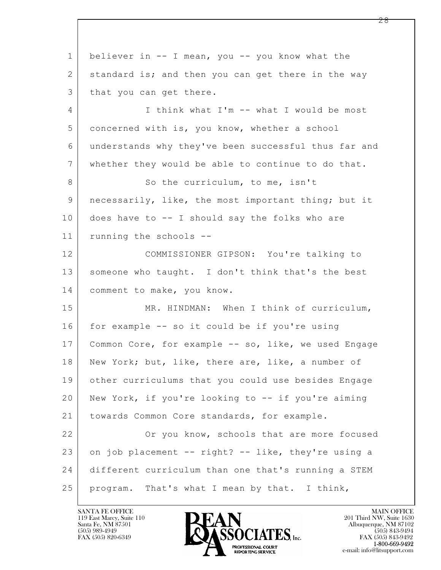$\mathbf{L}$  1 believer in -- I mean, you -- you know what the 2 standard is; and then you can get there in the way 3 that you can get there. 4 I think what I'm -- what I would be most 5 concerned with is, you know, whether a school 6 understands why they've been successful thus far and 7 whether they would be able to continue to do that. 8 So the curriculum, to me, isn't 9 necessarily, like, the most important thing; but it 10 does have to -- I should say the folks who are 11 running the schools -- 12 COMMISSIONER GIPSON: You're talking to 13 someone who taught. I don't think that's the best 14 comment to make, you know. 15 MR. HINDMAN: When I think of curriculum, 16 for example -- so it could be if you're using 17 | Common Core, for example -- so, like, we used Engage 18 New York; but, like, there are, like, a number of 19 other curriculums that you could use besides Engage 20 New York, if you're looking to -- if you're aiming 21 towards Common Core standards, for example. 22 Or you know, schools that are more focused  $23$  on job placement  $-$  right?  $-$  like, they're using a 24 different curriculum than one that's running a STEM 25 | program. That's what I mean by that. I think,

119 East Marcy, Suite 110<br>Santa Fe, NM 87501

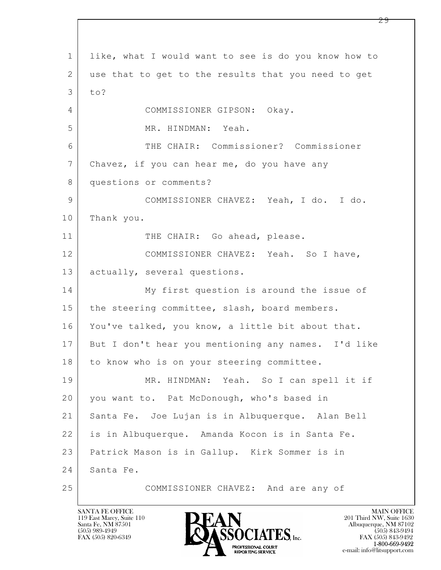$\mathbf{L}$  1 like, what I would want to see is do you know how to 2 use that to get to the results that you need to get  $3$  to? 4 COMMISSIONER GIPSON: Okay. 5 MR. HINDMAN: Yeah. 6 THE CHAIR: Commissioner? Commissioner 7 Chavez, if you can hear me, do you have any 8 questions or comments? 9 COMMISSIONER CHAVEZ: Yeah, I do. I do. 10 Thank you. 11 THE CHAIR: Go ahead, please. 12 COMMISSIONER CHAVEZ: Yeah. So I have, 13 | actually, several questions. 14 My first question is around the issue of 15 | the steering committee, slash, board members. 16 You've talked, you know, a little bit about that. 17 But I don't hear you mentioning any names. I'd like 18 to know who is on your steering committee. 19 MR. HINDMAN: Yeah. So I can spell it if 20 you want to. Pat McDonough, who's based in 21 Santa Fe. Joe Lujan is in Albuquerque. Alan Bell 22 is in Albuquerque. Amanda Kocon is in Santa Fe. 23 Patrick Mason is in Gallup. Kirk Sommer is in 24 | Santa Fe. 25 COMMISSIONER CHAVEZ: And are any of

119 East Marcy, Suite 110<br>Santa Fe, NM 87501

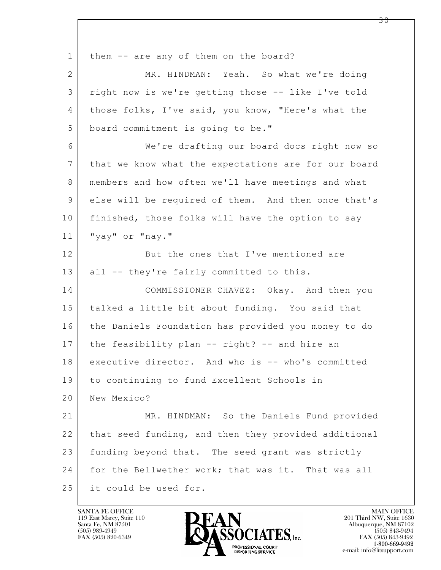$\mathbf{L}$  1 | them -- are any of them on the board? 2 MR. HINDMAN: Yeah. So what we're doing 3 right now is we're getting those -- like I've told 4 those folks, I've said, you know, "Here's what the 5 board commitment is going to be." 6 We're drafting our board docs right now so 7 that we know what the expectations are for our board 8 members and how often we'll have meetings and what 9 else will be required of them. And then once that's 10 finished, those folks will have the option to say 11 "yay" or "nay." 12 But the ones that I've mentioned are 13 all -- they're fairly committed to this. 14 COMMISSIONER CHAVEZ: Okay. And then you 15 talked a little bit about funding. You said that 16 the Daniels Foundation has provided you money to do 17 the feasibility plan -- right? -- and hire an 18 executive director. And who is -- who's committed 19 to continuing to fund Excellent Schools in 20 New Mexico? 21 MR. HINDMAN: So the Daniels Fund provided 22 that seed funding, and then they provided additional 23 funding beyond that. The seed grant was strictly 24 for the Bellwether work; that was it. That was all 25 it could be used for.

119 East Marcy, Suite 110<br>Santa Fe, NM 87501

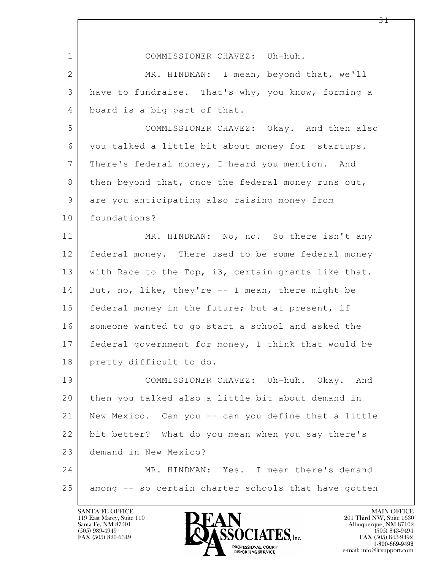| $\mathbf 1$    | COMMISSIONER CHAVEZ: Uh-huh.                         |
|----------------|------------------------------------------------------|
| $\mathbf{2}$   | MR. HINDMAN: I mean, beyond that, we'll              |
| 3              | have to fundraise. That's why, you know, forming a   |
| 4              | board is a big part of that.                         |
| 5              | COMMISSIONER CHAVEZ: Okay. And then also             |
| 6              | you talked a little bit about money for startups.    |
| $7\phantom{.}$ | There's federal money, I heard you mention. And      |
| 8              | then beyond that, once the federal money runs out,   |
| $\mathsf 9$    | are you anticipating also raising money from         |
| 10             | foundations?                                         |
| 11             | MR. HINDMAN: No, no. So there isn't any              |
| 12             | federal money. There used to be some federal money   |
| 13             | with Race to the Top, i3, certain grants like that.  |
| 14             | But, no, like, they're -- I mean, there might be     |
| 15             | federal money in the future; but at present, if      |
| 16             | someone wanted to go start a school and asked the    |
| 17             | federal government for money, I think that would be  |
| 18             | pretty difficult to do.                              |
| 19             | COMMISSIONER CHAVEZ: Uh-huh. Okay. And               |
| 20             | then you talked also a little bit about demand in    |
| 21             | New Mexico. Can you -- can you define that a little  |
| 22             | bit better? What do you mean when you say there's    |
| 23             | demand in New Mexico?                                |
| 24             | MR. HINDMAN: Yes. I mean there's demand              |
| 25             | among -- so certain charter schools that have gotten |

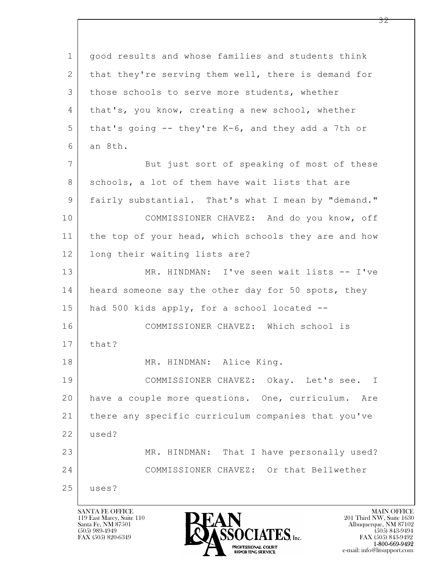$\mathbf{L}$  1 good results and whose families and students think 2 that they're serving them well, there is demand for 3 those schools to serve more students, whether 4 that's, you know, creating a new school, whether  $5$  that's going -- they're K-6, and they add a 7th or  $6$  an 8th. 7 But just sort of speaking of most of these 8 schools, a lot of them have wait lists that are 9 fairly substantial. That's what I mean by "demand." 10 COMMISSIONER CHAVEZ: And do you know, off 11 the top of your head, which schools they are and how 12 long their waiting lists are? 13 MR. HINDMAN: I've seen wait lists -- I've 14 heard someone say the other day for 50 spots, they 15 had 500 kids apply, for a school located -- 16 COMMISSIONER CHAVEZ: Which school is  $17$  that? 18 MR. HINDMAN: Alice King. 19 COMMISSIONER CHAVEZ: Okay. Let's see. I 20 have a couple more questions. One, curriculum. Are 21 there any specific curriculum companies that you've 22 used? 23 MR. HINDMAN: That I have personally used? 24 COMMISSIONER CHAVEZ: Or that Bellwether 25 uses?

119 East Marcy, Suite 110<br>Santa Fe, NM 87501

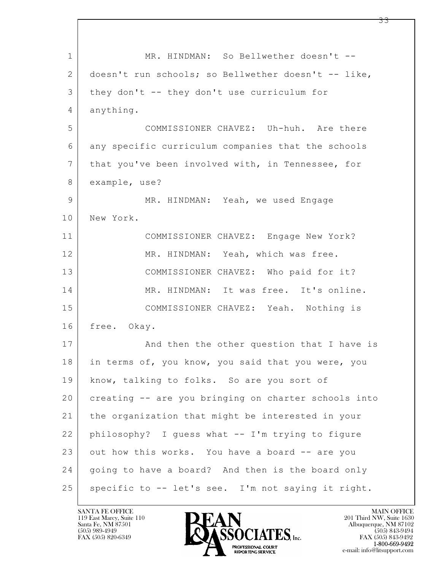$\mathbf{L}$  1 | MR. HINDMAN: So Bellwether doesn't --2 doesn't run schools; so Bellwether doesn't -- like, 3 they don't -- they don't use curriculum for 4 anything. 5 COMMISSIONER CHAVEZ: Uh-huh. Are there 6 any specific curriculum companies that the schools 7 that you've been involved with, in Tennessee, for 8 example, use? 9 MR. HINDMAN: Yeah, we used Engage 10 New York. 11 COMMISSIONER CHAVEZ: Engage New York? 12 MR. HINDMAN: Yeah, which was free. 13 COMMISSIONER CHAVEZ: Who paid for it? 14 MR. HINDMAN: It was free. It's online. 15 COMMISSIONER CHAVEZ: Yeah. Nothing is 16 free. Okay. 17 | And then the other question that I have is 18 in terms of, you know, you said that you were, you 19 | know, talking to folks. So are you sort of 20 creating -- are you bringing on charter schools into 21 the organization that might be interested in your 22 philosophy? I guess what -- I'm trying to figure  $23$  out how this works. You have a board  $-$  are you 24 going to have a board? And then is the board only  $25$  specific to  $-$  let's see. I'm not saying it right.

119 East Marcy, Suite 110<br>Santa Fe, NM 87501



FAX (505) 843-9492 e-mail: info@litsupport.com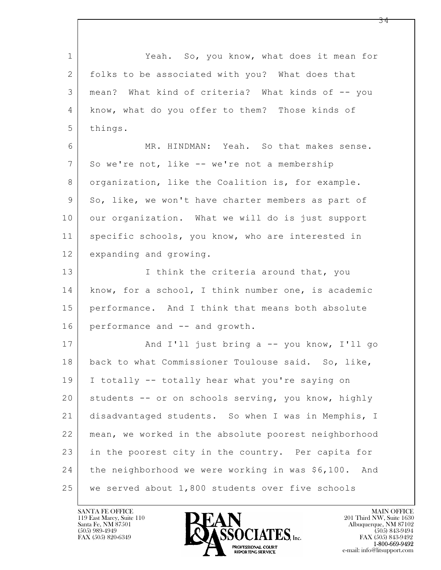$\mathbf{L}$  1 Yeah. So, you know, what does it mean for 2 folks to be associated with you? What does that 3 mean? What kind of criteria? What kinds of -- you 4 know, what do you offer to them? Those kinds of 5 things. 6 MR. HINDMAN: Yeah. So that makes sense. 7 So we're not, like -- we're not a membership 8 organization, like the Coalition is, for example. 9 So, like, we won't have charter members as part of 10 | our organization. What we will do is just support 11 | specific schools, you know, who are interested in 12 expanding and growing. 13 I think the criteria around that, you 14 know, for a school, I think number one, is academic 15 performance. And I think that means both absolute 16 performance and -- and growth. 17 | And I'll just bring a -- you know, I'll go 18 back to what Commissioner Toulouse said. So, like, 19 I totally -- totally hear what you're saying on 20 students -- or on schools serving, you know, highly 21 disadvantaged students. So when I was in Memphis, I 22 mean, we worked in the absolute poorest neighborhood 23 in the poorest city in the country. Per capita for 24 the neighborhood we were working in was \$6,100. And 25 we served about 1,800 students over five schools

119 East Marcy, Suite 110<br>Santa Fe, NM 87501

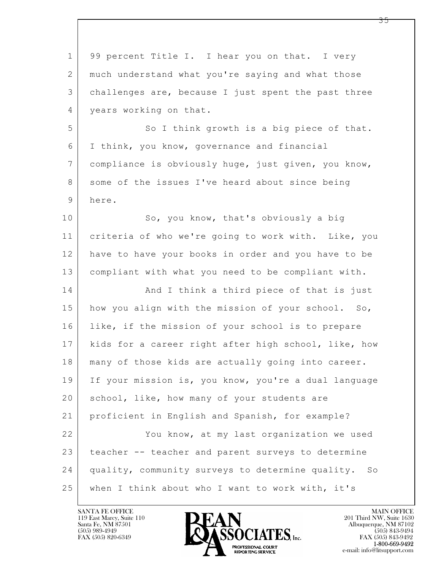$\mathbf{L}$  1 99 percent Title I. I hear you on that. I very 2 much understand what you're saying and what those 3 challenges are, because I just spent the past three 4 | years working on that. 5 So I think growth is a big piece of that. 6 I think, you know, governance and financial 7 compliance is obviously huge, just given, you know, 8 some of the issues I've heard about since being 9 here. 10 So, you know, that's obviously a big 11 criteria of who we're going to work with. Like, you 12 have to have your books in order and you have to be 13 compliant with what you need to be compliant with. 14 And I think a third piece of that is just 15 how you align with the mission of your school. So, 16 like, if the mission of your school is to prepare 17 kids for a career right after high school, like, how 18 | many of those kids are actually going into career. 19 If your mission is, you know, you're a dual language 20 | school, like, how many of your students are 21 proficient in English and Spanish, for example? 22 You know, at my last organization we used 23 teacher -- teacher and parent surveys to determine 24 quality, community surveys to determine quality. So 25 when I think about who I want to work with, it's



 $FAX (505) 843-9492$ <br>1-800-669-9492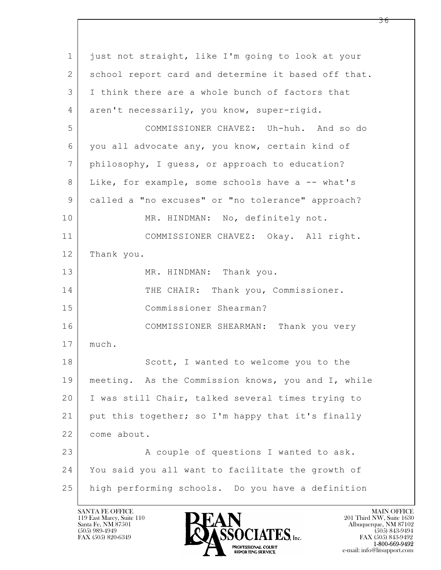| 1  | just not straight, like I'm going to look at your   |
|----|-----------------------------------------------------|
| 2  | school report card and determine it based off that. |
| 3  | I think there are a whole bunch of factors that     |
| 4  | aren't necessarily, you know, super-rigid.          |
| 5  | COMMISSIONER CHAVEZ: Uh-huh. And so do              |
| 6  | you all advocate any, you know, certain kind of     |
| 7  | philosophy, I guess, or approach to education?      |
| 8  | Like, for example, some schools have a -- what's    |
| 9  | called a "no excuses" or "no tolerance" approach?   |
| 10 | MR. HINDMAN: No, definitely not.                    |
| 11 | COMMISSIONER CHAVEZ: Okay. All right.               |
| 12 | Thank you.                                          |
| 13 | MR. HINDMAN: Thank you.                             |
| 14 | THE CHAIR: Thank you, Commissioner.                 |
| 15 | Commissioner Shearman?                              |
| 16 | COMMISSIONER SHEARMAN: Thank you very               |
| 17 | much.                                               |
| 18 | Scott, I wanted to welcome you to the               |
| 19 | meeting. As the Commission knows, you and I, while  |
| 20 | I was still Chair, talked several times trying to   |
| 21 | put this together; so I'm happy that it's finally   |
| 22 | come about.                                         |
| 23 | A couple of questions I wanted to ask.              |
| 24 | You said you all want to facilitate the growth of   |
| 25 | high performing schools. Do you have a definition   |

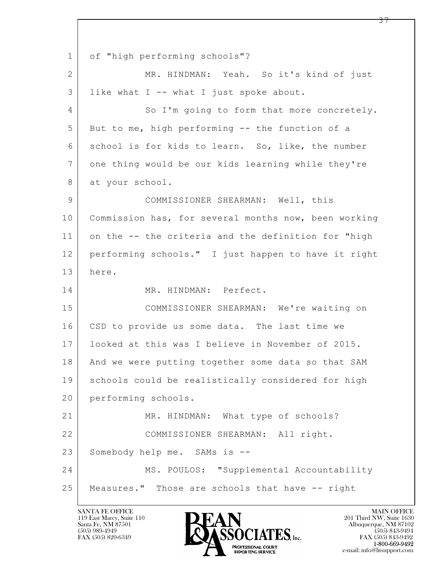$\mathbf{L}$  1 of "high performing schools"? 2 MR. HINDMAN: Yeah. So it's kind of just 3 like what I -- what I just spoke about. 4 So I'm going to form that more concretely. 5 But to me, high performing -- the function of a 6 school is for kids to learn. So, like, the number 7 one thing would be our kids learning while they're 8 at your school. 9 COMMISSIONER SHEARMAN: Well, this 10 Commission has, for several months now, been working 11 on the -- the criteria and the definition for "high 12 performing schools." I just happen to have it right 13 here. 14 MR. HINDMAN: Perfect. 15 COMMISSIONER SHEARMAN: We're waiting on 16 CSD to provide us some data. The last time we 17 looked at this was I believe in November of 2015. 18 And we were putting together some data so that SAM 19 schools could be realistically considered for high 20 performing schools. 21 MR. HINDMAN: What type of schools? 22 COMMISSIONER SHEARMAN: All right. 23 Somebody help me. SAMs is --24 MS. POULOS: "Supplemental Accountability 25 Measures." Those are schools that have -- right

119 East Marcy, Suite 110<br>Santa Fe, NM 87501

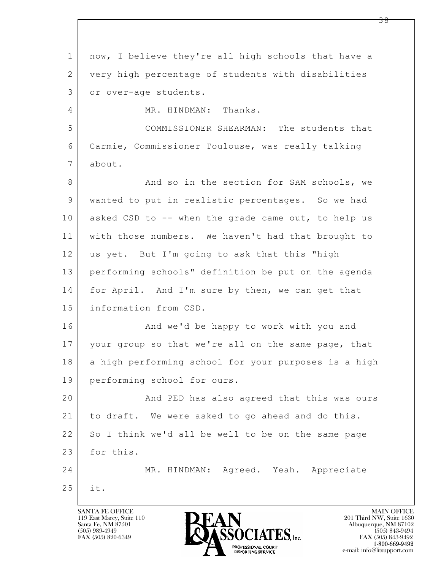$\mathbf{L}$  1 now, I believe they're all high schools that have a 2 very high percentage of students with disabilities 3 or over-age students. 4 MR. HINDMAN: Thanks. 5 COMMISSIONER SHEARMAN: The students that 6 Carmie, Commissioner Toulouse, was really talking 7 about. 8 And so in the section for SAM schools, we 9 wanted to put in realistic percentages. So we had 10 asked CSD to -- when the grade came out, to help us 11 with those numbers. We haven't had that brought to 12 us yet. But I'm going to ask that this "high 13 performing schools" definition be put on the agenda 14 for April. And I'm sure by then, we can get that 15 information from CSD. 16 | And we'd be happy to work with you and 17 your group so that we're all on the same page, that 18 a high performing school for your purposes is a high 19 performing school for ours. 20 And PED has also agreed that this was ours 21 to draft. We were asked to go ahead and do this. 22 So I think we'd all be well to be on the same page 23 for this. 24 MR. HINDMAN: Agreed. Yeah. Appreciate 25 it.

119 East Marcy, Suite 110<br>Santa Fe, NM 87501

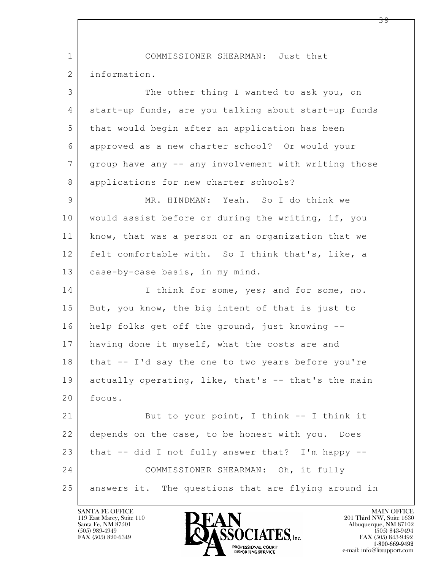$\mathbf{L}$  1 COMMISSIONER SHEARMAN: Just that 2 information. 3 The other thing I wanted to ask you, on 4 start-up funds, are you talking about start-up funds 5 that would begin after an application has been 6 approved as a new charter school? Or would your 7 group have any -- any involvement with writing those 8 applications for new charter schools? 9 MR. HINDMAN: Yeah. So I do think we 10 | would assist before or during the writing, if, you 11 | know, that was a person or an organization that we 12 felt comfortable with. So I think that's, like, a 13 | case-by-case basis, in my mind. 14 I think for some, yes; and for some, no. 15 But, you know, the big intent of that is just to 16 help folks get off the ground, just knowing -- 17 having done it myself, what the costs are and  $18$  that  $-$  I'd say the one to two years before you're 19 actually operating, like, that's -- that's the main 20 focus. 21 But to your point, I think -- I think it 22 depends on the case, to be honest with you. Does 23 that  $-$  did I not fully answer that? I'm happy  $-$ 24 COMMISSIONER SHEARMAN: Oh, it fully 25 answers it. The questions that are flying around in

119 East Marcy, Suite 110<br>Santa Fe, NM 87501



FAX (505) 843-9492 e-mail: info@litsupport.com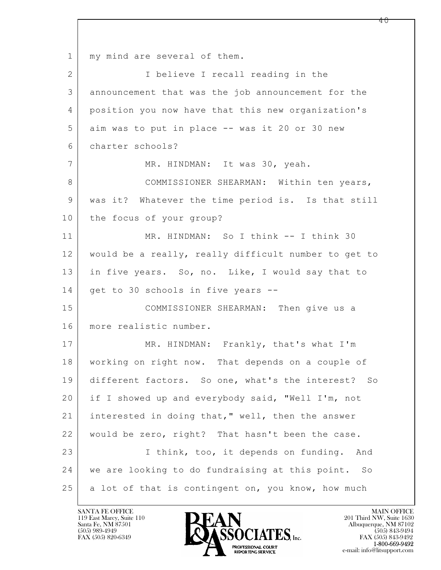$\mathbf{L}$  1 | my mind are several of them. 2 I believe I recall reading in the 3 announcement that was the job announcement for the 4 position you now have that this new organization's 5 aim was to put in place -- was it 20 or 30 new 6 charter schools? 7 MR. HINDMAN: It was 30, yeah. 8 COMMISSIONER SHEARMAN: Within ten years, 9 | was it? Whatever the time period is. Is that still 10 the focus of your group? 11 MR. HINDMAN: So I think -- I think 30 12 would be a really, really difficult number to get to 13 in five years. So, no. Like, I would say that to 14 get to 30 schools in five years --15 COMMISSIONER SHEARMAN: Then give us a 16 more realistic number. 17 MR. HINDMAN: Frankly, that's what I'm 18 working on right now. That depends on a couple of 19 different factors. So one, what's the interest? So 20 if I showed up and everybody said, "Well I'm, not 21 interested in doing that," well, then the answer 22 would be zero, right? That hasn't been the case. 23 | Think, too, it depends on funding. And 24 we are looking to do fundraising at this point. So 25 a lot of that is contingent on, you know, how much

119 East Marcy, Suite 110<br>Santa Fe, NM 87501

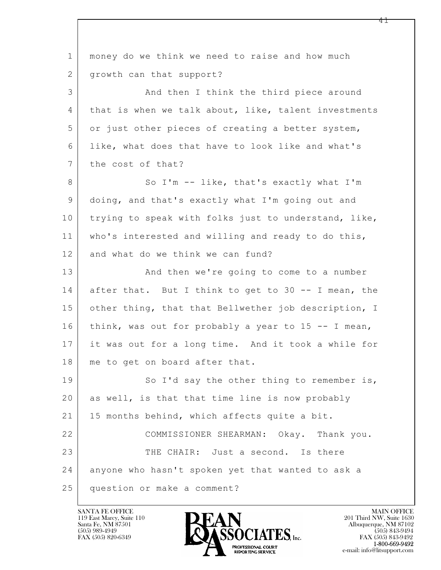$\mathbf{L}$  1 money do we think we need to raise and how much 2 | growth can that support? 3 And then I think the third piece around 4 that is when we talk about, like, talent investments 5 or just other pieces of creating a better system, 6 like, what does that have to look like and what's 7 | the cost of that? 8 So I'm -- like, that's exactly what I'm 9 doing, and that's exactly what I'm going out and 10 trying to speak with folks just to understand, like, 11 who's interested and willing and ready to do this, 12 and what do we think we can fund? 13 And then we're going to come to a number 14 after that. But I think to get to 30 -- I mean, the 15 | other thing, that that Bellwether job description, I 16 think, was out for probably a year to  $15 - -$  I mean, 17 it was out for a long time. And it took a while for 18 | me to get on board after that. 19 So I'd say the other thing to remember is, 20 as well, is that that time line is now probably 21 15 months behind, which affects quite a bit. 22 COMMISSIONER SHEARMAN: Okay. Thank you. 23 THE CHAIR: Just a second. Is there 24 anyone who hasn't spoken yet that wanted to ask a 25 question or make a comment?

119 East Marcy, Suite 110<br>Santa Fe, NM 87501

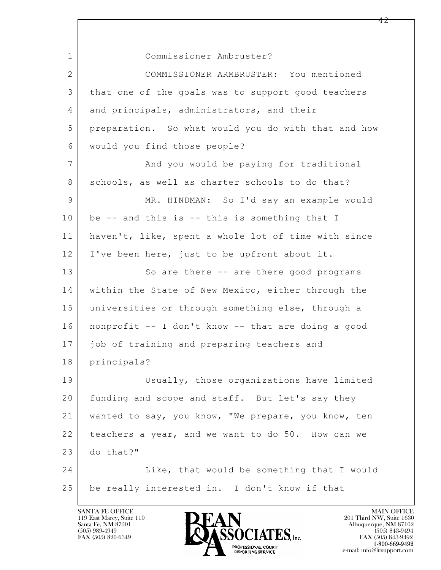$\mathbf{L}$  1 Commissioner Ambruster? 2 COMMISSIONER ARMBRUSTER: You mentioned 3 that one of the goals was to support good teachers 4 and principals, administrators, and their 5 preparation. So what would you do with that and how 6 would you find those people? 7 | And you would be paying for traditional 8 schools, as well as charter schools to do that? 9 MR. HINDMAN: So I'd say an example would  $10$  be  $-$  and this is  $-$  this is something that I 11 haven't, like, spent a whole lot of time with since 12 I've been here, just to be upfront about it. 13 So are there -- are there good programs 14 | within the State of New Mexico, either through the 15 | universities or through something else, through a 16 nonprofit -- I don't know -- that are doing a good 17 | job of training and preparing teachers and 18 principals? 19 Usually, those organizations have limited 20 funding and scope and staff. But let's say they 21 wanted to say, you know, "We prepare, you know, ten 22 teachers a year, and we want to do 50. How can we 23 do that?" 24 Like, that would be something that I would 25 be really interested in. I don't know if that

119 East Marcy, Suite 110<br>Santa Fe, NM 87501



 $FAX (505) 843-9492$ <br>1-800-669-9492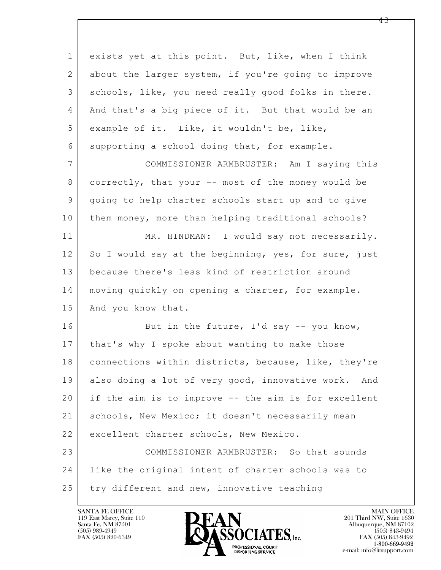| $\mathbf 1$    | exists yet at this point. But, like, when I think    |
|----------------|------------------------------------------------------|
| $\overline{2}$ | about the larger system, if you're going to improve  |
| 3              | schools, like, you need really good folks in there.  |
| 4              | And that's a big piece of it. But that would be an   |
| 5              | example of it. Like, it wouldn't be, like,           |
| 6              | supporting a school doing that, for example.         |
| $7\phantom{.}$ | COMMISSIONER ARMBRUSTER: Am I saying this            |
| 8              | correctly, that your -- most of the money would be   |
| 9              | going to help charter schools start up and to give   |
| 10             | them money, more than helping traditional schools?   |
| 11             | MR. HINDMAN: I would say not necessarily.            |
| 12             | So I would say at the beginning, yes, for sure, just |
| 13             | because there's less kind of restriction around      |
| 14             | moving quickly on opening a charter, for example.    |
| 15             | And you know that.                                   |
| 16             | But in the future, $I'$ d say -- you know,           |
| 17             | that's why I spoke about wanting to make those       |
| 18             | connections within districts, because, like, they're |
| 19             | also doing a lot of very good, innovative work. And  |
| 20             | if the aim is to improve -- the aim is for excellent |
| 21             | schools, New Mexico; it doesn't necessarily mean     |
| 22             | excellent charter schools, New Mexico.               |
| 23             | COMMISSIONER ARMBRUSTER: So that sounds              |
| 24             | like the original intent of charter schools was to   |
| 25             | try different and new, innovative teaching           |

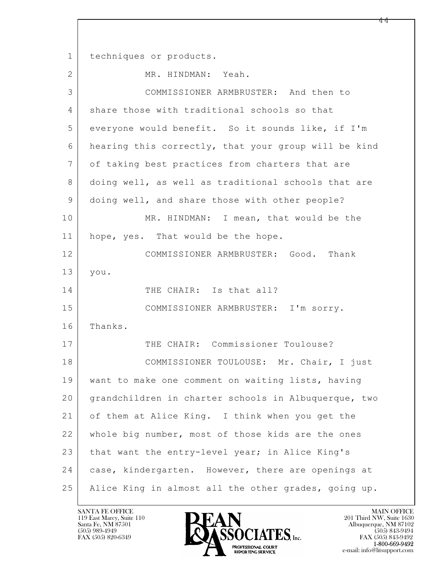$\mathbf{L}$  1 techniques or products. 2 MR. HINDMAN: Yeah. 3 COMMISSIONER ARMBRUSTER: And then to 4 share those with traditional schools so that 5 everyone would benefit. So it sounds like, if I'm 6 hearing this correctly, that your group will be kind 7 of taking best practices from charters that are 8 doing well, as well as traditional schools that are 9 doing well, and share those with other people? 10 MR. HINDMAN: I mean, that would be the 11 | hope, yes. That would be the hope. 12 COMMISSIONER ARMBRUSTER: Good. Thank 13 you. 14 THE CHAIR: Is that all? 15 COMMISSIONER ARMBRUSTER: I'm sorry. 16 Thanks. 17 THE CHAIR: Commissioner Toulouse? 18 | COMMISSIONER TOULOUSE: Mr. Chair, I just 19 want to make one comment on waiting lists, having 20 grandchildren in charter schools in Albuquerque, two 21 of them at Alice King. I think when you get the 22 whole big number, most of those kids are the ones 23 that want the entry-level year; in Alice King's 24 case, kindergarten. However, there are openings at 25 Alice King in almost all the other grades, going up.

119 East Marcy, Suite 110<br>Santa Fe, NM 87501



FAX (505) 843-9492 e-mail: info@litsupport.com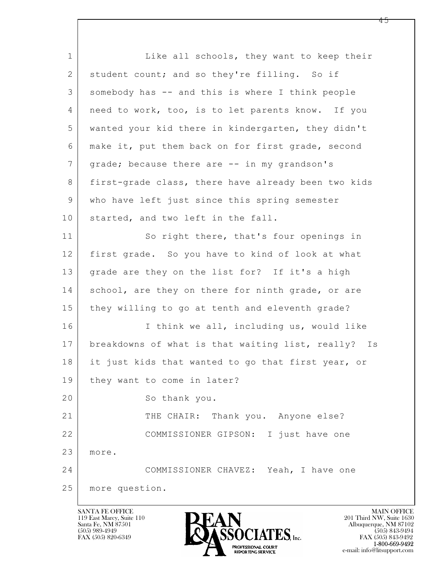$\mathbf{L}$  1 Like all schools, they want to keep their 2 student count; and so they're filling. So if 3 somebody has -- and this is where I think people 4 | need to work, too, is to let parents know. If you 5 wanted your kid there in kindergarten, they didn't 6 make it, put them back on for first grade, second 7 | grade; because there are -- in my grandson's 8 first-grade class, there have already been two kids 9 who have left just since this spring semester 10 started, and two left in the fall. 11 So right there, that's four openings in 12 first grade. So you have to kind of look at what 13 | grade are they on the list for? If it's a high 14 school, are they on there for ninth grade, or are 15 they willing to go at tenth and eleventh grade? 16 I think we all, including us, would like 17 breakdowns of what is that waiting list, really? Is 18 it just kids that wanted to go that first year, or 19 | they want to come in later? 20 So thank you. 21 THE CHAIR: Thank you. Anyone else? 22 COMMISSIONER GIPSON: I just have one 23 more. 24 COMMISSIONER CHAVEZ: Yeah, I have one 25 more question.

119 East Marcy, Suite 110<br>Santa Fe, NM 87501



FAX (505) 843-9492 e-mail: info@litsupport.com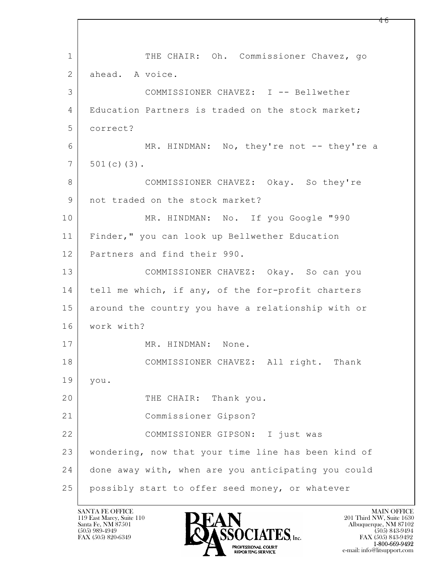$\mathbf{L}$  1 THE CHAIR: Oh. Commissioner Chavez, go 2 ahead. A voice. 3 COMMISSIONER CHAVEZ: I -- Bellwether 4 | Education Partners is traded on the stock market; 5 correct? 6 MR. HINDMAN: No, they're not -- they're a  $7 | 501(c)(3)$ . 8 COMMISSIONER CHAVEZ: Okay. So they're 9 | not traded on the stock market? 10 MR. HINDMAN: No. If you Google "990 11 Finder," you can look up Bellwether Education 12 Partners and find their 990. 13 COMMISSIONER CHAVEZ: Okay. So can you 14 tell me which, if any, of the for-profit charters 15 around the country you have a relationship with or 16 work with? 17 MR. HINDMAN: None. 18 COMMISSIONER CHAVEZ: All right. Thank 19 you. 20 THE CHAIR: Thank you. 21 Commissioner Gipson? 22 | COMMISSIONER GIPSON: I just was 23 wondering, now that your time line has been kind of 24 done away with, when are you anticipating you could 25 possibly start to offer seed money, or whatever

119 East Marcy, Suite 110<br>Santa Fe, NM 87501

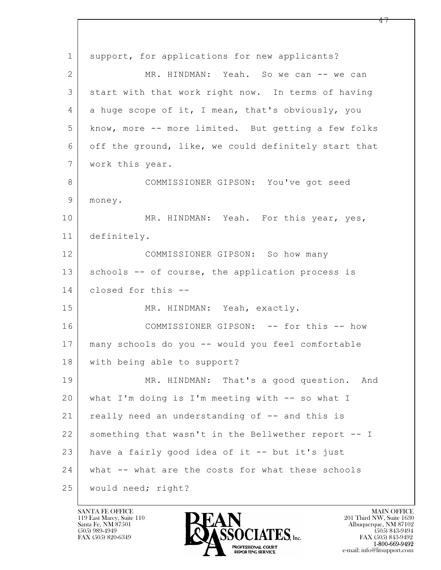$\mathbf{L}$  1 support, for applications for new applicants? 2 MR. HINDMAN: Yeah. So we can -- we can 3 start with that work right now. In terms of having 4 a huge scope of it, I mean, that's obviously, you 5 know, more -- more limited. But getting a few folks 6 off the ground, like, we could definitely start that 7 | work this year. 8 COMMISSIONER GIPSON: You've got seed 9 | money. 10 MR. HINDMAN: Yeah. For this year, yes, 11 definitely. 12 COMMISSIONER GIPSON: So how many 13 | schools -- of course, the application process is 14 closed for this -- 15 MR. HINDMAN: Yeah, exactly. 16 COMMISSIONER GIPSON: -- for this -- how 17 many schools do you -- would you feel comfortable 18 with being able to support? 19 MR. HINDMAN: That's a good question. And 20 what I'm doing is I'm meeting with -- so what I 21 | really need an understanding of -- and this is 22 something that wasn't in the Bellwether report -- I 23 have a fairly good idea of it -- but it's just 24 | what -- what are the costs for what these schools 25 would need; right?

119 East Marcy, Suite 110<br>Santa Fe, NM 87501

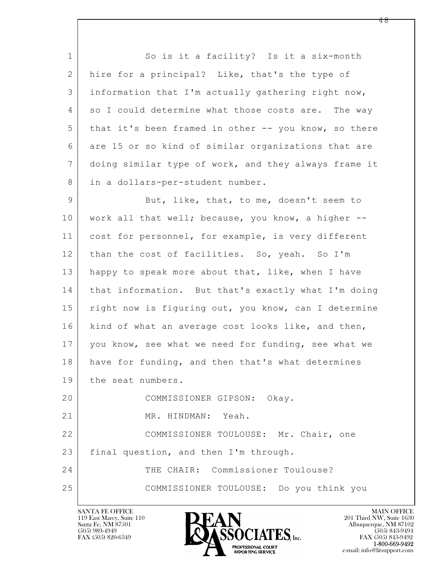1 So is it a facility? Is it a six-month 2 hire for a principal? Like, that's the type of 3 information that I'm actually gathering right now, 4 so I could determine what those costs are. The way 5 that it's been framed in other -- you know, so there 6 are 15 or so kind of similar organizations that are 7 doing similar type of work, and they always frame it 8 in a dollars-per-student number.

9 But, like, that, to me, doesn't seem to 10 | work all that well; because, you know, a higher --11 cost for personnel, for example, is very different 12 than the cost of facilities. So, yeah. So I'm 13 happy to speak more about that, like, when I have 14 that information. But that's exactly what I'm doing 15 | right now is figuring out, you know, can I determine 16 | kind of what an average cost looks like, and then, 17 you know, see what we need for funding, see what we 18 have for funding, and then that's what determines 19 the seat numbers. 20 COMMISSIONER GIPSON: Okay. 21 MR. HINDMAN: Yeah. 22 COMMISSIONER TOULOUSE: Mr. Chair, one 23 final question, and then I'm through.

 $\mathbf{L}$  24 THE CHAIR: Commissioner Toulouse? 25 COMMISSIONER TOULOUSE: Do you think you

119 East Marcy, Suite 110<br>Santa Fe, NM 87501

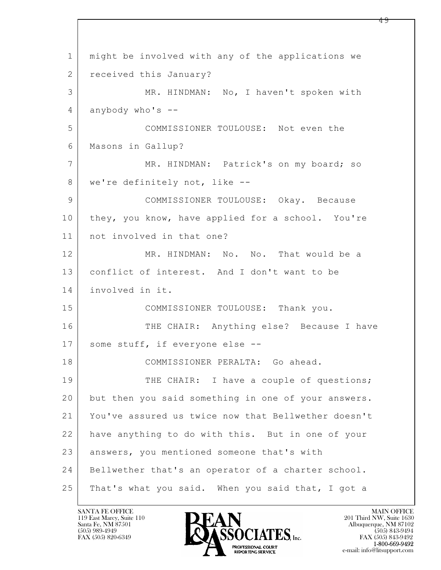$\mathbf{L}$  1 might be involved with any of the applications we 2 received this January? 3 MR. HINDMAN: No, I haven't spoken with 4 anybody who's -- 5 COMMISSIONER TOULOUSE: Not even the 6 Masons in Gallup? 7 | MR. HINDMAN: Patrick's on my board; so 8 | we're definitely not, like --9 COMMISSIONER TOULOUSE: Okay. Because 10 they, you know, have applied for a school. You're 11 not involved in that one? 12 MR. HINDMAN: No. No. That would be a 13 conflict of interest. And I don't want to be 14 involved in it. 15 | COMMISSIONER TOULOUSE: Thank you. 16 THE CHAIR: Anything else? Because I have 17 | some stuff, if everyone else --18 COMMISSIONER PERALTA: Go ahead. 19 THE CHAIR: I have a couple of questions; 20 but then you said something in one of your answers. 21 You've assured us twice now that Bellwether doesn't 22 have anything to do with this. But in one of your 23 answers, you mentioned someone that's with 24 Bellwether that's an operator of a charter school. 25 | That's what you said. When you said that, I got a

119 East Marcy, Suite 110<br>Santa Fe, NM 87501



FAX (505) 843-9492 e-mail: info@litsupport.com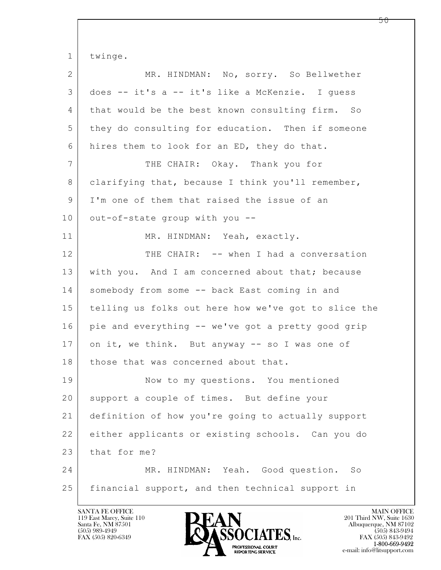$\mathbf{L}$  1 twinge. 2 MR. HINDMAN: No, sorry. So Bellwether 3 does -- it's a -- it's like a McKenzie. I guess 4 that would be the best known consulting firm. So 5 they do consulting for education. Then if someone 6 hires them to look for an ED, they do that. 7 THE CHAIR: Okay. Thank you for 8 clarifying that, because I think you'll remember, 9 I'm one of them that raised the issue of an 10 out-of-state group with you --11 MR. HINDMAN: Yeah, exactly. 12 THE CHAIR: -- when I had a conversation 13 | with you. And I am concerned about that; because 14 somebody from some -- back East coming in and 15 telling us folks out here how we've got to slice the 16 | pie and everything -- we've got a pretty good grip 17 on it, we think. But anyway -- so I was one of 18 those that was concerned about that. 19 Now to my questions. You mentioned 20 | support a couple of times. But define your 21 definition of how you're going to actually support 22 either applicants or existing schools. Can you do 23 that for me? 24 MR. HINDMAN: Yeah. Good question. So 25 financial support, and then technical support in

119 East Marcy, Suite 110<br>Santa Fe, NM 87501

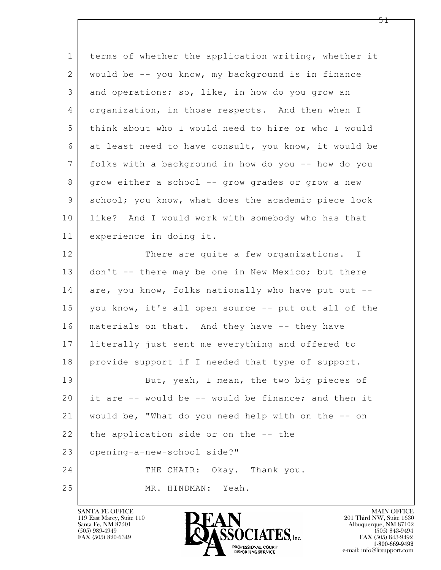$\mathbf{L}$  1 terms of whether the application writing, whether it 2 would be -- you know, my background is in finance 3 and operations; so, like, in how do you grow an 4 organization, in those respects. And then when I 5 think about who I would need to hire or who I would 6 at least need to have consult, you know, it would be 7 folks with a background in how do you -- how do you 8 | grow either a school -- grow grades or grow a new 9 school; you know, what does the academic piece look 10 like? And I would work with somebody who has that 11 experience in doing it. 12 There are quite a few organizations. I 13 don't -- there may be one in New Mexico; but there 14 are, you know, folks nationally who have put out --15 you know, it's all open source -- put out all of the 16 | materials on that. And they have -- they have 17 literally just sent me everything and offered to 18 provide support if I needed that type of support. 19 But, yeah, I mean, the two big pieces of 20 it are -- would be -- would be finance; and then it 21 would be, "What do you need help with on the -- on  $22$  the application side or on the  $-$ - the 23 opening-a-new-school side?" 24 THE CHAIR: Okay. Thank you. 25 MR. HINDMAN: Yeah.



FAX (505) 843-9492 e-mail: info@litsupport.com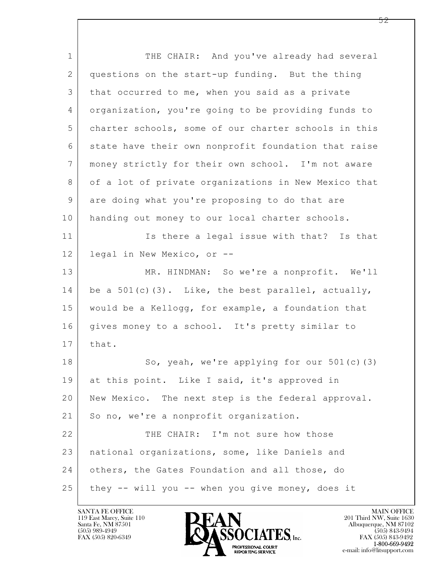$\mathbf{L}$  1 THE CHAIR: And you've already had several 2 questions on the start-up funding. But the thing 3 that occurred to me, when you said as a private 4 organization, you're going to be providing funds to 5 charter schools, some of our charter schools in this 6 state have their own nonprofit foundation that raise 7 money strictly for their own school. I'm not aware 8 of a lot of private organizations in New Mexico that 9 are doing what you're proposing to do that are 10 | handing out money to our local charter schools. 11 Is there a legal issue with that? Is that 12 legal in New Mexico, or -- 13 | MR. HINDMAN: So we're a nonprofit. We'll 14 be a 501(c)(3). Like, the best parallel, actually, 15 would be a Kellogg, for example, a foundation that 16 gives money to a school. It's pretty similar to 17 | that. 18 | So, yeah, we're applying for our 501(c)(3) 19 at this point. Like I said, it's approved in 20 New Mexico. The next step is the federal approval. 21 | So no, we're a nonprofit organization. 22 THE CHAIR: I'm not sure how those 23 national organizations, some, like Daniels and 24 others, the Gates Foundation and all those, do  $25$  they  $-$  will you  $-$  when you give money, does it

119 East Marcy, Suite 110<br>Santa Fe, NM 87501



 $FAX (505) 843-9492$ <br>1-800-669-9492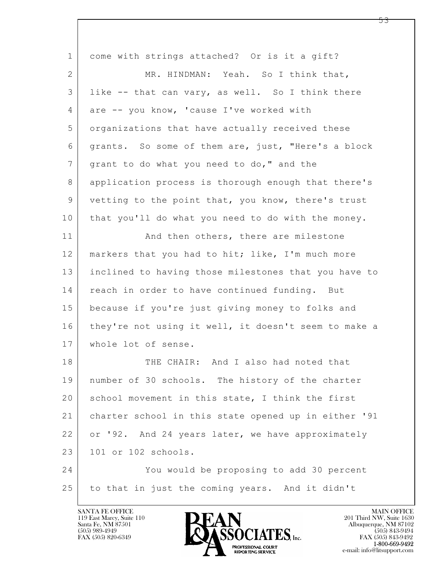| $\mathbf 1$ | come with strings attached? Or is it a gift?         |
|-------------|------------------------------------------------------|
| 2           | MR. HINDMAN: Yeah. So I think that,                  |
| 3           | like -- that can vary, as well. So I think there     |
| 4           | are -- you know, 'cause I've worked with             |
| 5           | organizations that have actually received these      |
| 6           | grants. So some of them are, just, "Here's a block   |
| 7           | grant to do what you need to do," and the            |
| 8           | application process is thorough enough that there's  |
| $\mathsf 9$ | vetting to the point that, you know, there's trust   |
| 10          | that you'll do what you need to do with the money.   |
| 11          | And then others, there are milestone                 |
| 12          | markers that you had to hit; like, I'm much more     |
| 13          | inclined to having those milestones that you have to |
| 14          | reach in order to have continued funding. But        |
| 15          | because if you're just giving money to folks and     |
| 16          | they're not using it well, it doesn't seem to make a |
| 17          | whole lot of sense.                                  |
| 18          | THE CHAIR: And I also had noted that                 |
| 19          | number of 30 schools. The history of the charter     |
| 20          | school movement in this state, I think the first     |
| 21          | charter school in this state opened up in either '91 |
| 22          | or '92. And 24 years later, we have approximately    |
| 23          | 101 or 102 schools.                                  |
| 24          | You would be proposing to add 30 percent             |
| 25          | to that in just the coming years. And it didn't      |
|             |                                                      |

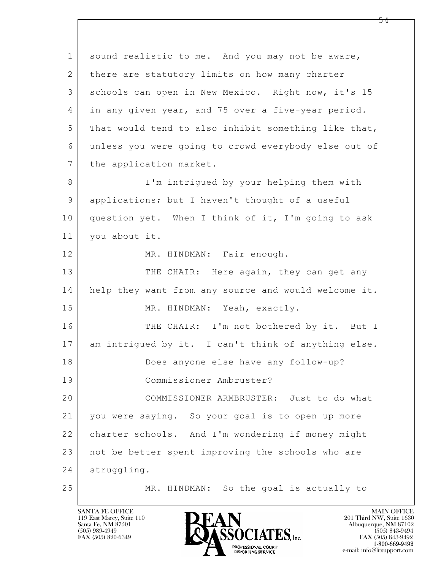$\mathbf{L}$  1 sound realistic to me. And you may not be aware, 2 there are statutory limits on how many charter 3 schools can open in New Mexico. Right now, it's 15 4 in any given year, and 75 over a five-year period. 5 That would tend to also inhibit something like that, 6 unless you were going to crowd everybody else out of 7 | the application market. 8 I'm intrigued by your helping them with 9 applications; but I haven't thought of a useful 10 question yet. When I think of it, I'm going to ask 11 you about it. 12 MR. HINDMAN: Fair enough. 13 THE CHAIR: Here again, they can get any 14 help they want from any source and would welcome it. 15 MR. HINDMAN: Yeah, exactly. 16 THE CHAIR: I'm not bothered by it. But I 17 am intrigued by it. I can't think of anything else. 18 Does anyone else have any follow-up? 19 Commissioner Ambruster? 20 COMMISSIONER ARMBRUSTER: Just to do what 21 you were saying. So your goal is to open up more 22 charter schools. And I'm wondering if money might 23 not be better spent improving the schools who are 24 struggling. 25 | MR. HINDMAN: So the goal is actually to

119 East Marcy, Suite 110<br>Santa Fe, NM 87501

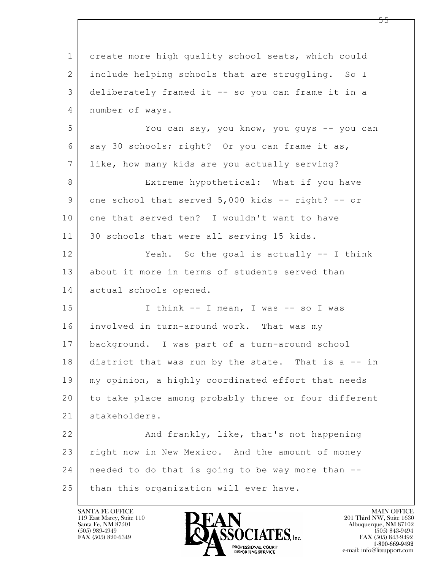$\mathbf{L}$  1 create more high quality school seats, which could 2 include helping schools that are struggling. So I 3 deliberately framed it -- so you can frame it in a 4 number of ways. 5 You can say, you know, you guys -- you can 6 say 30 schools; right? Or you can frame it as, 7 like, how many kids are you actually serving? 8 Extreme hypothetical: What if you have 9 one school that served 5,000 kids -- right? -- or 10 one that served ten? I wouldn't want to have 11 30 schools that were all serving 15 kids. 12 Yeah. So the goal is actually -- I think 13 about it more in terms of students served than 14 actual schools opened. 15 | I think -- I mean, I was -- so I was 16 involved in turn-around work. That was my 17 background. I was part of a turn-around school 18 district that was run by the state. That is a -- in 19 my opinion, a highly coordinated effort that needs 20 to take place among probably three or four different 21 stakeholders. 22 And frankly, like, that's not happening 23 right now in New Mexico. And the amount of money 24 needed to do that is going to be way more than -- 25 than this organization will ever have.

119 East Marcy, Suite 110<br>Santa Fe, NM 87501

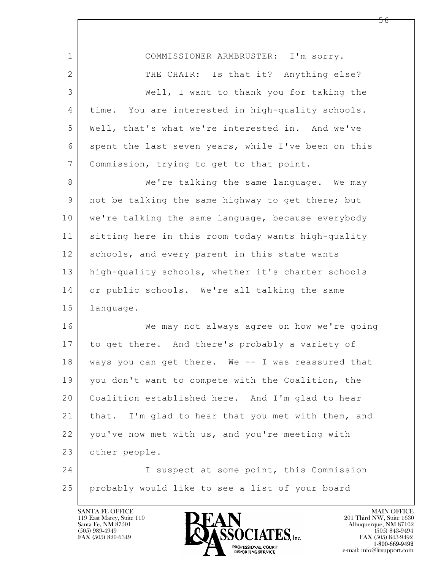| $\mathbf{1}$ | COMMISSIONER ARMBRUSTER: I'm sorry.                 |
|--------------|-----------------------------------------------------|
| 2            | THE CHAIR: Is that it? Anything else?               |
| 3            | Well, I want to thank you for taking the            |
| 4            | time. You are interested in high-quality schools.   |
| 5            | Well, that's what we're interested in. And we've    |
| 6            | spent the last seven years, while I've been on this |
| 7            | Commission, trying to get to that point.            |
| 8            | We're talking the same language. We may             |
| 9            | not be talking the same highway to get there; but   |
| 10           | we're talking the same language, because everybody  |
| 11           | sitting here in this room today wants high-quality  |
| 12           | schools, and every parent in this state wants       |
| 13           | high-quality schools, whether it's charter schools  |
| 14           | or public schools. We're all talking the same       |
| 15           | language.                                           |
| 16           | We may not always agree on how we're going          |
| 17           | to get there. And there's probably a variety of     |
| 18           | ways you can get there. We -- I was reassured that  |
| 19           | you don't want to compete with the Coalition, the   |
| 20           | Coalition established here. And I'm glad to hear    |
| 21           | that. I'm glad to hear that you met with them, and  |
| 22           | you've now met with us, and you're meeting with     |
| 23           | other people.                                       |
| 24           | I suspect at some point, this Commission            |
| 25           | probably would like to see a list of your board     |

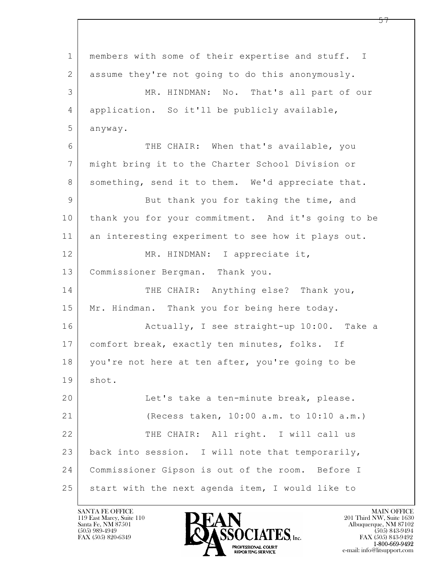$\mathbf{L}$  1 members with some of their expertise and stuff. I 2 assume they're not going to do this anonymously. 3 MR. HINDMAN: No. That's all part of our 4 application. So it'll be publicly available, 5 anyway. 6 THE CHAIR: When that's available, you 7 might bring it to the Charter School Division or 8 something, send it to them. We'd appreciate that. 9 But thank you for taking the time, and 10 thank you for your commitment. And it's going to be 11 an interesting experiment to see how it plays out. 12 MR. HINDMAN: I appreciate it, 13 Commissioner Bergman. Thank you. 14 THE CHAIR: Anything else? Thank you, 15 | Mr. Hindman. Thank you for being here today. 16 Actually, I see straight-up 10:00. Take a 17 | comfort break, exactly ten minutes, folks. If 18 | you're not here at ten after, you're going to be 19 shot. 20 Let's take a ten-minute break, please. 21 (Recess taken, 10:00 a.m. to 10:10 a.m.) 22 THE CHAIR: All right. I will call us 23 back into session. I will note that temporarily, 24 Commissioner Gipson is out of the room. Before I  $25$  start with the next agenda item, I would like to

119 East Marcy, Suite 110<br>Santa Fe, NM 87501



FAX (505) 843-9492 e-mail: info@litsupport.com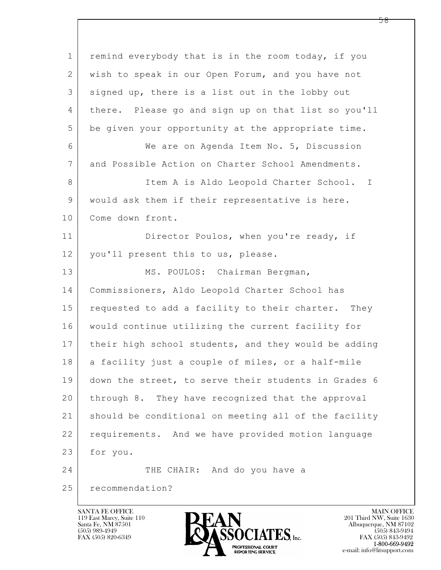$\mathbf{L}$  1 remind everybody that is in the room today, if you 2 wish to speak in our Open Forum, and you have not 3 signed up, there is a list out in the lobby out 4 there. Please go and sign up on that list so you'll 5 be given your opportunity at the appropriate time. 6 We are on Agenda Item No. 5, Discussion 7 and Possible Action on Charter School Amendments. 8 Item A is Aldo Leopold Charter School. I 9 would ask them if their representative is here. 10 Come down front. 11 Director Poulos, when you're ready, if 12 | you'll present this to us, please. 13 | MS. POULOS: Chairman Bergman, 14 Commissioners, Aldo Leopold Charter School has 15 requested to add a facility to their charter. They 16 would continue utilizing the current facility for 17 | their high school students, and they would be adding 18 a facility just a couple of miles, or a half-mile 19 down the street, to serve their students in Grades 6 20 through 8. They have recognized that the approval 21 should be conditional on meeting all of the facility 22 requirements. And we have provided motion language 23 for you. 24 THE CHAIR: And do you have a 25 recommendation?

119 East Marcy, Suite 110<br>Santa Fe, NM 87501



 $FAX (505) 843-9492$ <br>1-800-669-9492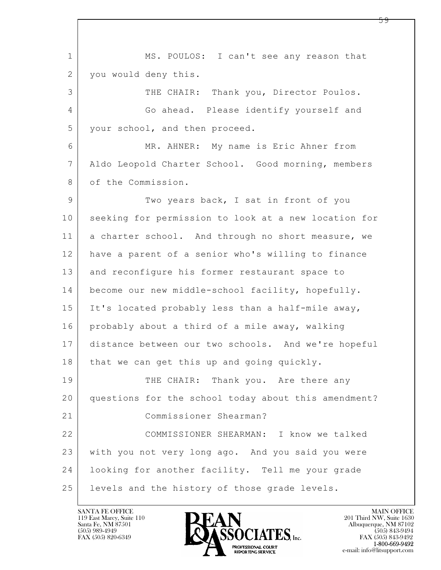$\mathbf{L}$  1 MS. POULOS: I can't see any reason that 2 | you would deny this. 3 THE CHAIR: Thank you, Director Poulos. 4 Go ahead. Please identify yourself and 5 your school, and then proceed. 6 | MR. AHNER: My name is Eric Ahner from 7 Aldo Leopold Charter School. Good morning, members 8 of the Commission. 9 Two years back, I sat in front of you 10 seeking for permission to look at a new location for 11 a charter school. And through no short measure, we 12 have a parent of a senior who's willing to finance 13 and reconfigure his former restaurant space to 14 become our new middle-school facility, hopefully. 15 | It's located probably less than a half-mile away, 16 probably about a third of a mile away, walking 17 distance between our two schools. And we're hopeful 18 | that we can get this up and going quickly. 19 THE CHAIR: Thank you. Are there any 20 questions for the school today about this amendment? 21 Commissioner Shearman? 22 COMMISSIONER SHEARMAN: I know we talked 23 with you not very long ago. And you said you were 24 looking for another facility. Tell me your grade 25 | levels and the history of those grade levels.

119 East Marcy, Suite 110<br>Santa Fe, NM 87501

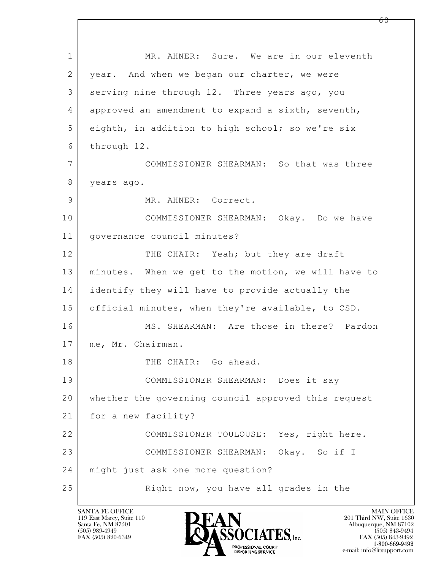$\mathbf{L}$  1 MR. AHNER: Sure. We are in our eleventh 2 year. And when we began our charter, we were 3 serving nine through 12. Three years ago, you 4 approved an amendment to expand a sixth, seventh, 5 eighth, in addition to high school; so we're six 6 through 12. 7 COMMISSIONER SHEARMAN: So that was three 8 years ago. 9 MR. AHNER: Correct. 10 COMMISSIONER SHEARMAN: Okay. Do we have 11 governance council minutes? 12 THE CHAIR: Yeah; but they are draft 13 minutes. When we get to the motion, we will have to 14 identify they will have to provide actually the 15 official minutes, when they're available, to CSD. 16 MS. SHEARMAN: Are those in there? Pardon 17 | me, Mr. Chairman. 18 THE CHAIR: Go ahead. 19 COMMISSIONER SHEARMAN: Does it say 20 whether the governing council approved this request 21 | for a new facility? 22 COMMISSIONER TOULOUSE: Yes, right here. 23 COMMISSIONER SHEARMAN: Okay. So if I 24 might just ask one more question? 25 | Right now, you have all grades in the

119 East Marcy, Suite 110<br>Santa Fe, NM 87501

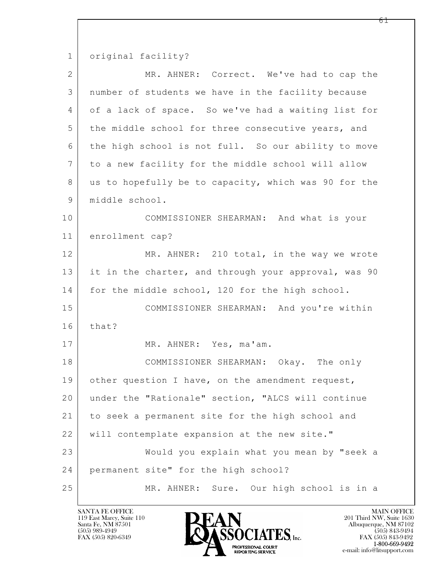1 original facility?

| $\overline{2}$ | MR. AHNER: Correct. We've had to cap the             |
|----------------|------------------------------------------------------|
| 3              | number of students we have in the facility because   |
| 4              | of a lack of space. So we've had a waiting list for  |
| 5              | the middle school for three consecutive years, and   |
| 6              | the high school is not full. So our ability to move  |
| 7              | to a new facility for the middle school will allow   |
| 8              | us to hopefully be to capacity, which was 90 for the |
| $\mathsf 9$    | middle school.                                       |
| 10             | COMMISSIONER SHEARMAN: And what is your              |
| 11             | enrollment cap?                                      |
| 12             | MR. AHNER: 210 total, in the way we wrote            |
| 13             | it in the charter, and through your approval, was 90 |
| 14             | for the middle school, 120 for the high school.      |
| 15             | COMMISSIONER SHEARMAN: And you're within             |
| 16             | that?                                                |
| 17             | MR. AHNER: Yes, ma'am.                               |
| 18             | COMMISSIONER SHEARMAN: Okay. The only                |
| 19             | other question I have, on the amendment request,     |
| 20             | under the "Rationale" section, "ALCS will continue   |
| 21             | to seek a permanent site for the high school and     |
| 22             | will contemplate expansion at the new site."         |
| 23             | Would you explain what you mean by "seek a           |
| 24             | permanent site" for the high school?                 |
| 25             | Sure. Our high school is in a<br>MR. AHNER:          |

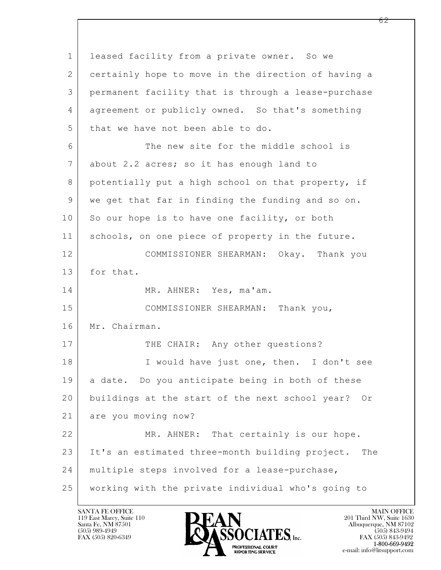$\mathbf{L}$  1 leased facility from a private owner. So we 2 certainly hope to move in the direction of having a 3 permanent facility that is through a lease-purchase 4 agreement or publicly owned. So that's something 5 that we have not been able to do. 6 The new site for the middle school is 7 about 2.2 acres; so it has enough land to 8 potentially put a high school on that property, if 9 we get that far in finding the funding and so on. 10 So our hope is to have one facility, or both 11 schools, on one piece of property in the future. 12 COMMISSIONER SHEARMAN: Okay. Thank you 13 for that. 14 MR. AHNER: Yes, ma'am. 15 | COMMISSIONER SHEARMAN: Thank you, 16 Mr. Chairman. 17 THE CHAIR: Any other questions? 18 | I would have just one, then. I don't see 19 a date. Do you anticipate being in both of these 20 buildings at the start of the next school year? Or 21 are you moving now? 22 MR. AHNER: That certainly is our hope. 23 It's an estimated three-month building project. The 24 multiple steps involved for a lease-purchase, 25 working with the private individual who's going to

119 East Marcy, Suite 110<br>Santa Fe, NM 87501

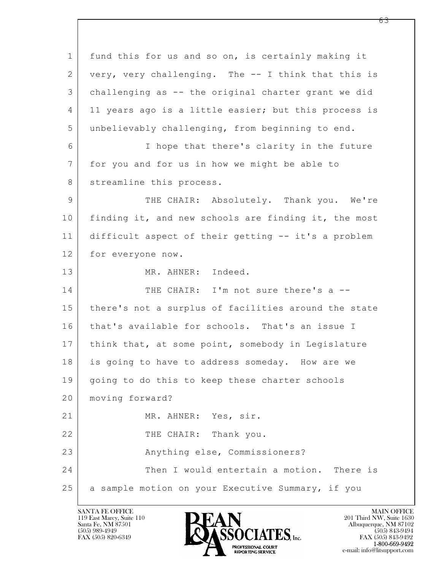$\mathbf{L}$  1 fund this for us and so on, is certainly making it 2 very, very challenging. The -- I think that this is 3 challenging as -- the original charter grant we did 4 11 years ago is a little easier; but this process is 5 unbelievably challenging, from beginning to end. 6 I hope that there's clarity in the future 7 for you and for us in how we might be able to 8 | streamline this process. 9 THE CHAIR: Absolutely. Thank you. We're 10 finding it, and new schools are finding it, the most 11 difficult aspect of their getting -- it's a problem 12 for everyone now. 13 MR. AHNER: Indeed. 14 THE CHAIR: I'm not sure there's a --15 | there's not a surplus of facilities around the state 16 that's available for schools. That's an issue I 17 | think that, at some point, somebody in Legislature 18 is going to have to address someday. How are we 19 | going to do this to keep these charter schools 20 moving forward? 21 MR. AHNER: Yes, sir. 22 THE CHAIR: Thank you. 23 Anything else, Commissioners? 24 Then I would entertain a motion. There is 25 a sample motion on your Executive Summary, if you

119 East Marcy, Suite 110<br>Santa Fe, NM 87501



<u>რ3</u>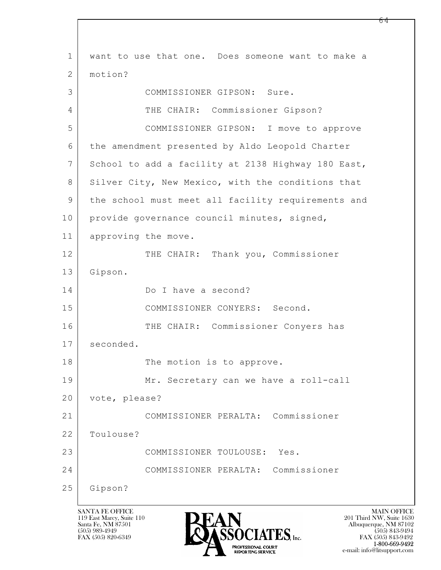$\mathbf{L}$  1 want to use that one. Does someone want to make a 2 motion? 3 COMMISSIONER GIPSON: Sure. 4 THE CHAIR: Commissioner Gipson? 5 COMMISSIONER GIPSON: I move to approve 6 the amendment presented by Aldo Leopold Charter 7 School to add a facility at 2138 Highway 180 East, 8 Silver City, New Mexico, with the conditions that 9 the school must meet all facility requirements and 10 | provide governance council minutes, signed, 11 approving the move. 12 THE CHAIR: Thank you, Commissioner 13 Gipson. 14 Do I have a second? 15 COMMISSIONER CONYERS: Second. 16 THE CHAIR: Commissioner Conyers has 17 seconded. 18 | The motion is to approve. 19 Mr. Secretary can we have a roll-call 20 vote, please? 21 COMMISSIONER PERALTA: Commissioner 22 Toulouse? 23 COMMISSIONER TOULOUSE: Yes. 24 COMMISSIONER PERALTA: Commissioner 25 Gipson?

119 East Marcy, Suite 110<br>Santa Fe, NM 87501



FAX (505) 843-9492 e-mail: info@litsupport.com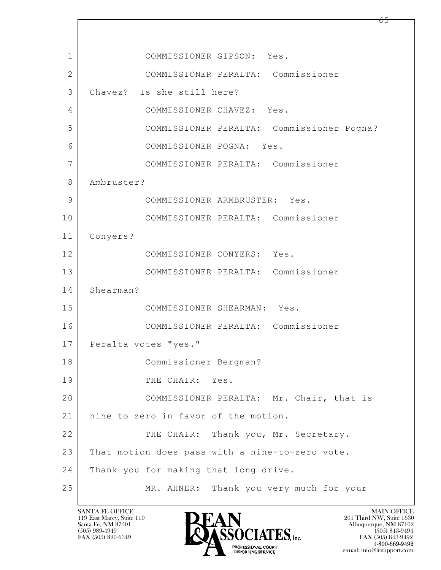$\mathbf{L}$  1 COMMISSIONER GIPSON: Yes. 2 COMMISSIONER PERALTA: Commissioner 3 Chavez? Is she still here? 4 COMMISSIONER CHAVEZ: Yes. 5 COMMISSIONER PERALTA: Commissioner Pogna? 6 COMMISSIONER POGNA: Yes. 7 COMMISSIONER PERALTA: Commissioner 8 Ambruster? 9 COMMISSIONER ARMBRUSTER: Yes. 10 COMMISSIONER PERALTA: Commissioner 11 Conyers? 12 COMMISSIONER CONYERS: Yes. 13 COMMISSIONER PERALTA: Commissioner 14 Shearman? 15 COMMISSIONER SHEARMAN: Yes. 16 COMMISSIONER PERALTA: Commissioner 17 | Peralta votes "yes." 18 Commissioner Bergman? 19 THE CHAIR: Yes. 20 COMMISSIONER PERALTA: Mr. Chair, that is 21 | nine to zero in favor of the motion. 22 THE CHAIR: Thank you, Mr. Secretary. 23 That motion does pass with a nine-to-zero vote. 24 Thank you for making that long drive. 25 MR. AHNER: Thank you very much for your

119 East Marcy, Suite 110<br>Santa Fe, NM 87501

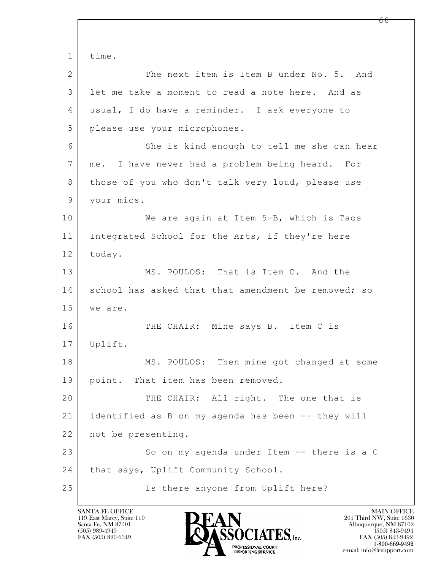$\mathbf{L}$  1 time. 2 The next item is Item B under No. 5. And 3 let me take a moment to read a note here. And as 4 usual, I do have a reminder. I ask everyone to 5 please use your microphones. 6 She is kind enough to tell me she can hear 7 me. I have never had a problem being heard. For 8 | those of you who don't talk very loud, please use 9 your mics. 10 We are again at Item 5-B, which is Taos 11 | Integrated School for the Arts, if they're here 12 today. 13 MS. POULOS: That is Item C. And the 14 school has asked that that amendment be removed; so 15 we are. 16 THE CHAIR: Mine says B. Item C is 17 Uplift. 18 MS. POULOS: Then mine got changed at some 19 point. That item has been removed. 20 THE CHAIR: All right. The one that is 21 identified as B on my agenda has been -- they will 22 not be presenting. 23 So on my agenda under Item -- there is a C 24 | that says, Uplift Community School. 25 | Ts there anyone from Uplift here?

119 East Marcy, Suite 110<br>Santa Fe, NM 87501

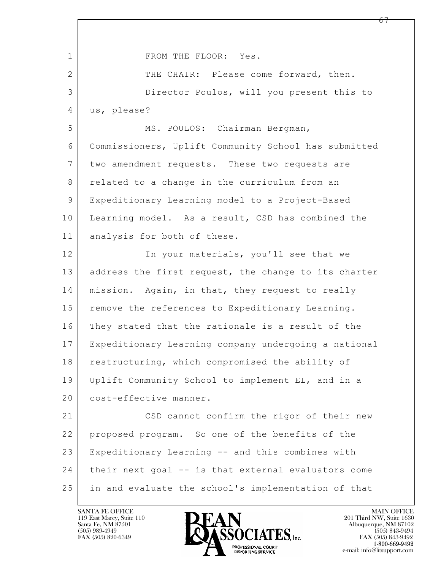$\mathbf{L}$  1 FROM THE FLOOR: Yes. 2 THE CHAIR: Please come forward, then. 3 Director Poulos, will you present this to 4 us, please? 5 MS. POULOS: Chairman Bergman, 6 Commissioners, Uplift Community School has submitted 7 two amendment requests. These two requests are 8 related to a change in the curriculum from an 9 Expeditionary Learning model to a Project-Based 10 Learning model. As a result, CSD has combined the 11 analysis for both of these. 12 In your materials, you'll see that we 13 | address the first request, the change to its charter 14 | mission. Again, in that, they request to really 15 | remove the references to Expeditionary Learning. 16 They stated that the rationale is a result of the 17 Expeditionary Learning company undergoing a national 18 restructuring, which compromised the ability of 19 Uplift Community School to implement EL, and in a 20 cost-effective manner. 21 CSD cannot confirm the rigor of their new 22 proposed program. So one of the benefits of the 23 Expeditionary Learning -- and this combines with 24 their next goal -- is that external evaluators come 25 in and evaluate the school's implementation of that

119 East Marcy, Suite 110<br>Santa Fe, NM 87501

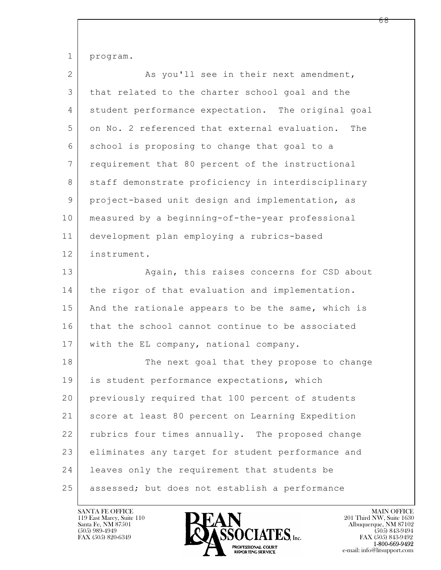1 program.

| $\overline{2}$ | As you'll see in their next amendment,               |
|----------------|------------------------------------------------------|
| 3              | that related to the charter school goal and the      |
| 4              | student performance expectation. The original goal   |
| 5              | on No. 2 referenced that external evaluation.<br>The |
| 6              | school is proposing to change that goal to a         |
| 7              | requirement that 80 percent of the instructional     |
| 8              | staff demonstrate proficiency in interdisciplinary   |
| 9              | project-based unit design and implementation, as     |
| 10             | measured by a beginning-of-the-year professional     |
| 11             | development plan employing a rubrics-based           |
| 12             | instrument.                                          |
| 13             | Again, this raises concerns for CSD about            |
| 14             | the rigor of that evaluation and implementation.     |
| 15             | And the rationale appears to be the same, which is   |
| 16             | that the school cannot continue to be associated     |
| 17             | with the EL company, national company.               |
| 18             | The next goal that they propose to change            |
| 19             | is student performance expectations, which           |
| 20             | previously required that 100 percent of students     |
| 21             | score at least 80 percent on Learning Expedition     |
| 22             | rubrics four times annually. The proposed change     |
| 23             | eliminates any target for student performance and    |
| 24             | leaves only the requirement that students be         |
| 25             | assessed; but does not establish a performance       |

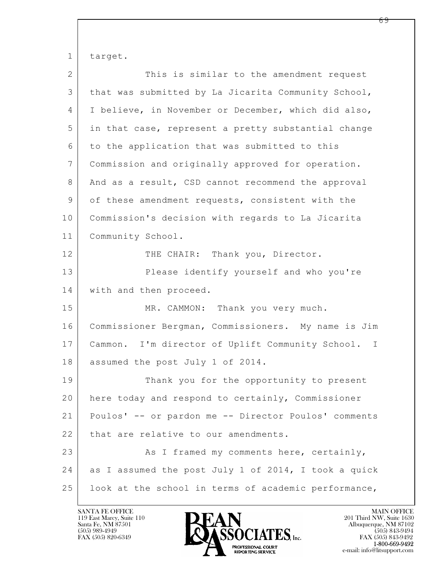$\mathbf{L}$  1 target. 2 This is similar to the amendment request 3 that was submitted by La Jicarita Community School, 4 I believe, in November or December, which did also, 5 in that case, represent a pretty substantial change 6 to the application that was submitted to this 7 Commission and originally approved for operation. 8 And as a result, CSD cannot recommend the approval 9 of these amendment requests, consistent with the 10 Commission's decision with regards to La Jicarita 11 | Community School. 12 THE CHAIR: Thank you, Director. 13 Please identify yourself and who you're 14 with and then proceed. 15 | MR. CAMMON: Thank you very much. 16 Commissioner Bergman, Commissioners. My name is Jim 17 Cammon. I'm director of Uplift Community School. I 18 | assumed the post July 1 of 2014. 19 Thank you for the opportunity to present 20 here today and respond to certainly, Commissioner 21 Poulos' -- or pardon me -- Director Poulos' comments 22 | that are relative to our amendments. 23 As I framed my comments here, certainly, 24 as I assumed the post July 1 of 2014, I took a quick 25 | look at the school in terms of academic performance,

119 East Marcy, Suite 110<br>Santa Fe, NM 87501

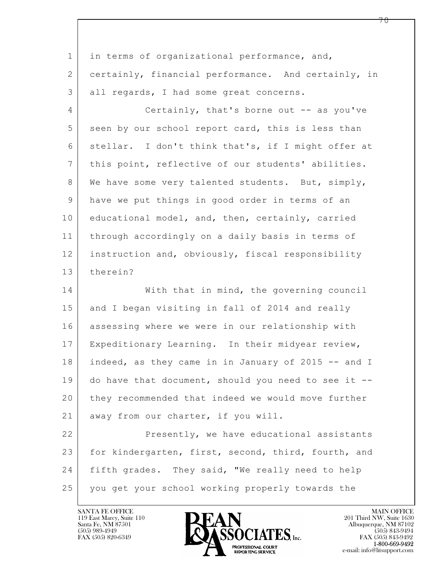| $\mathbf{1}$   | in terms of organizational performance, and,        |
|----------------|-----------------------------------------------------|
| $\mathbf{2}$   | certainly, financial performance. And certainly, in |
| 3              | all regards, I had some great concerns.             |
| $\overline{4}$ | Certainly, that's borne out $-$ as you've           |
| 5              | seen by our school report card, this is less than   |
| 6              | stellar. I don't think that's, if I might offer at  |
| $7\phantom{.}$ | this point, reflective of our students' abilities.  |
| 8              | We have some very talented students. But, simply,   |
| 9              | have we put things in good order in terms of an     |
| 10             | educational model, and, then, certainly, carried    |
| 11             | through accordingly on a daily basis in terms of    |
| 12             | instruction and, obviously, fiscal responsibility   |
| 13             | therein?                                            |
| 14             | With that in mind, the governing council            |
| 15             | and I began visiting in fall of 2014 and really     |
| 16             | assessing where we were in our relationship with    |
| 17             | Expeditionary Learning. In their midyear review,    |
| 18             | indeed, as they came in in January of 2015 -- and I |
| 19             | do have that document, should you need to see it -- |
| 20             | they recommended that indeed we would move further  |
| 21             | away from our charter, if you will.                 |
| 22             | Presently, we have educational assistants           |
| 23             | for kindergarten, first, second, third, fourth, and |
| 24             | fifth grades. They said, "We really need to help    |
| 25             | you get your school working properly towards the    |

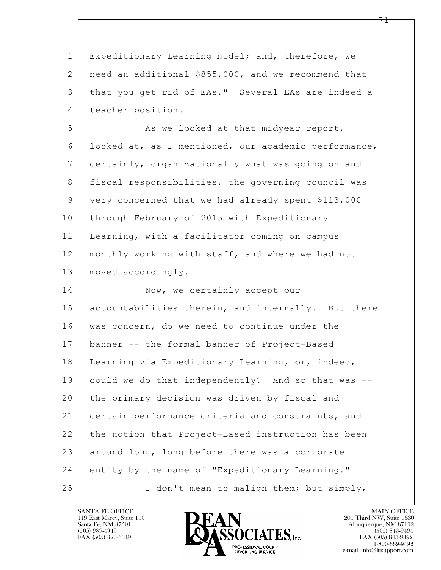$\mathbf{L}$  1 Expeditionary Learning model; and, therefore, we 2 need an additional \$855,000, and we recommend that 3 that you get rid of EAs." Several EAs are indeed a 4 teacher position. 5 As we looked at that midyear report, 6 looked at, as I mentioned, our academic performance, 7 certainly, organizationally what was going on and 8 fiscal responsibilities, the governing council was 9 very concerned that we had already spent \$113,000 10 through February of 2015 with Expeditionary 11 Learning, with a facilitator coming on campus 12 monthly working with staff, and where we had not 13 | moved accordingly. 14 Now, we certainly accept our 15 accountabilities therein, and internally. But there 16 was concern, do we need to continue under the 17 banner -- the formal banner of Project-Based 18 Learning via Expeditionary Learning, or, indeed, 19 could we do that independently? And so that was -- 20 the primary decision was driven by fiscal and 21 certain performance criteria and constraints, and 22 the notion that Project-Based instruction has been  $23$  around long, long before there was a corporate 24 entity by the name of "Expeditionary Learning." 25 I don't mean to malign them; but simply,



FAX (505) 843-9492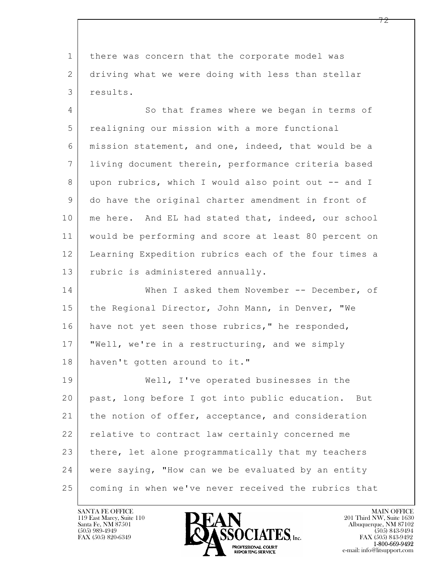1 there was concern that the corporate model was 2 driving what we were doing with less than stellar 3 results.

4 So that frames where we began in terms of 5 realigning our mission with a more functional 6 mission statement, and one, indeed, that would be a 7 living document therein, performance criteria based 8 upon rubrics, which I would also point out -- and I 9 do have the original charter amendment in front of 10 | me here. And EL had stated that, indeed, our school 11 would be performing and score at least 80 percent on 12 Learning Expedition rubrics each of the four times a 13 | rubric is administered annually.

14 When I asked them November -- December, of 15 the Regional Director, John Mann, in Denver, "We 16 have not yet seen those rubrics," he responded, 17 "Well, we're in a restructuring, and we simply 18 haven't gotten around to it."

 $\mathbf{L}$  19 Well, I've operated businesses in the 20 past, long before I got into public education. But 21 | the notion of offer, acceptance, and consideration 22 relative to contract law certainly concerned me 23 there, let alone programmatically that my teachers 24 were saying, "How can we be evaluated by an entity 25 coming in when we've never received the rubrics that

119 East Marcy, Suite 110<br>Santa Fe, NM 87501



FAX (505) 843-9492 e-mail: info@litsupport.com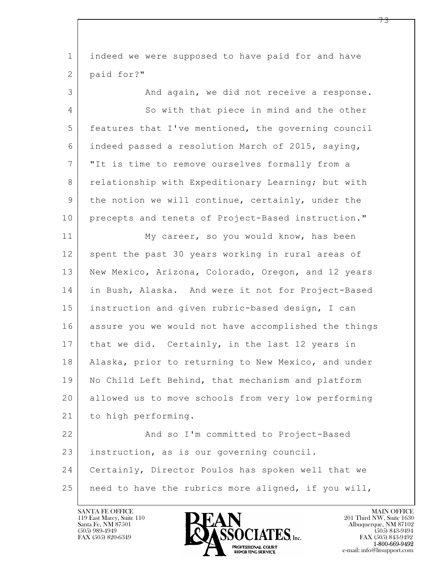| $\mathbf{1}$   | indeed we were supposed to have paid for and have    |
|----------------|------------------------------------------------------|
| $\mathbf{2}$   | paid for?"                                           |
| 3              | And again, we did not receive a response.            |
| 4              | So with that piece in mind and the other             |
| 5              | features that I've mentioned, the governing council  |
| 6              | indeed passed a resolution March of 2015, saying,    |
| $\overline{7}$ | "It is time to remove ourselves formally from a      |
| 8              | relationship with Expeditionary Learning; but with   |
| 9              | the notion we will continue, certainly, under the    |
| 10             | precepts and tenets of Project-Based instruction."   |
| 11             | My career, so you would know, has been               |
| 12             | spent the past 30 years working in rural areas of    |
| 13             | New Mexico, Arizona, Colorado, Oregon, and 12 years  |
| 14             | in Bush, Alaska. And were it not for Project-Based   |
| 15             | instruction and given rubric-based design, I can     |
| 16             | assure you we would not have accomplished the things |
| 17             | that we did. Certainly, in the last 12 years in      |
| 18             | Alaska, prior to returning to New Mexico, and under  |
| 19             | No Child Left Behind, that mechanism and platform    |
| 20             | allowed us to move schools from very low performing  |
| 21             | to high performing.                                  |
| 22             | And so I'm committed to Project-Based                |
| 23             | instruction, as is our governing council.            |
| 24             | Certainly, Director Poulos has spoken well that we   |
| 25             | need to have the rubrics more aligned, if you will,  |

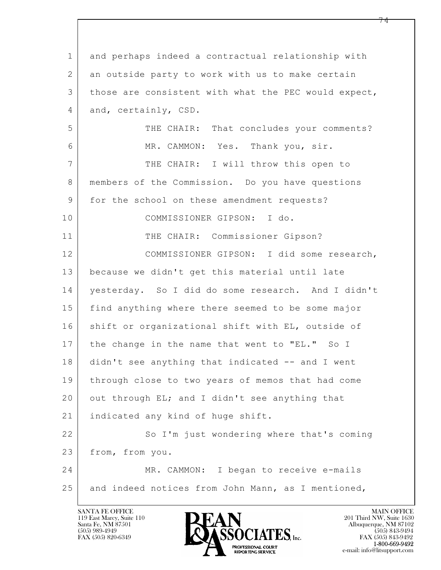$\mathbf{L}$  1 and perhaps indeed a contractual relationship with 2 an outside party to work with us to make certain 3 those are consistent with what the PEC would expect, 4 and, certainly, CSD. 5 THE CHAIR: That concludes your comments? 6 MR. CAMMON: Yes. Thank you, sir. 7 THE CHAIR: I will throw this open to 8 members of the Commission. Do you have questions 9 | for the school on these amendment requests? 10 COMMISSIONER GIPSON: I do. 11 THE CHAIR: Commissioner Gipson? 12 COMMISSIONER GIPSON: I did some research, 13 because we didn't get this material until late 14 yesterday. So I did do some research. And I didn't 15 find anything where there seemed to be some major 16 shift or organizational shift with EL, outside of 17 the change in the name that went to "EL." So I 18 didn't see anything that indicated -- and I went 19 through close to two years of memos that had come 20 out through EL; and I didn't see anything that 21 | indicated any kind of huge shift. 22 So I'm just wondering where that's coming 23 from, from you. 24 MR. CAMMON: I began to receive e-mails 25 and indeed notices from John Mann, as I mentioned,

119 East Marcy, Suite 110<br>Santa Fe, NM 87501



FAX (505) 843-9492 e-mail: info@litsupport.com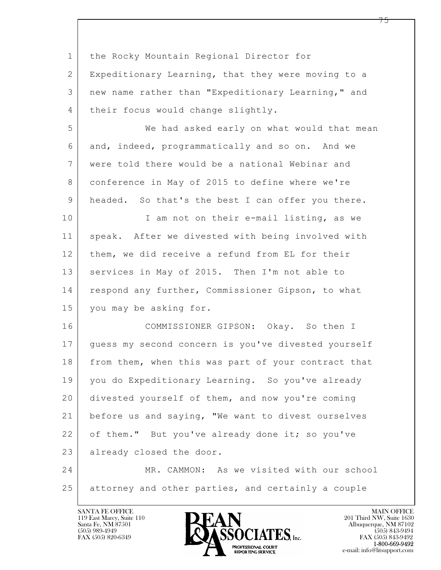| $\mathbf 1$    | the Rocky Mountain Regional Director for            |
|----------------|-----------------------------------------------------|
| $\overline{2}$ | Expeditionary Learning, that they were moving to a  |
| 3              | new name rather than "Expeditionary Learning," and  |
| 4              | their focus would change slightly.                  |
| 5              | We had asked early on what would that mean          |
| 6              | and, indeed, programmatically and so on. And we     |
| $7\phantom{.}$ | were told there would be a national Webinar and     |
| 8              | conference in May of 2015 to define where we're     |
| 9              | headed. So that's the best I can offer you there.   |
| 10             | I am not on their e-mail listing, as we             |
| 11             | speak. After we divested with being involved with   |
| 12             | them, we did receive a refund from EL for their     |
| 13             | services in May of 2015. Then I'm not able to       |
| 14             | respond any further, Commissioner Gipson, to what   |
| 15             | you may be asking for.                              |
| 16             | COMMISSIONER GIPSON: Okay. So then I                |
| 17             | guess my second concern is you've divested yourself |
| 18             | from them, when this was part of your contract that |
| 19             | you do Expeditionary Learning. So you've already    |
| 20             | divested yourself of them, and now you're coming    |
| 21             | before us and saying, "We want to divest ourselves  |
| 22             | of them." But you've already done it; so you've     |
| 23             | already closed the door.                            |
| 24             | MR. CAMMON: As we visited with our school           |
| 25             | attorney and other parties, and certainly a couple  |

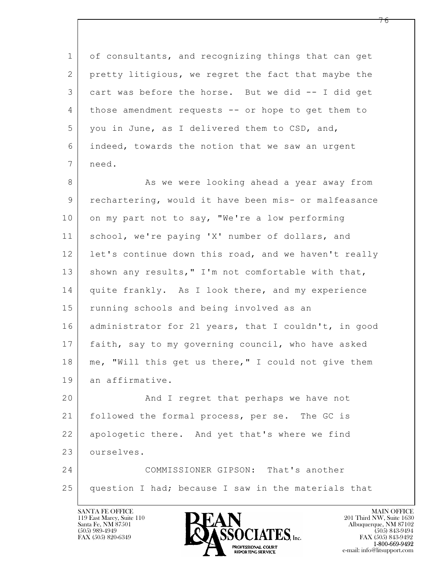$\mathbf{L}$  1 of consultants, and recognizing things that can get 2 pretty litigious, we regret the fact that maybe the 3 cart was before the horse. But we did -- I did get 4 those amendment requests -- or hope to get them to 5 you in June, as I delivered them to CSD, and, 6 indeed, towards the notion that we saw an urgent 7 need. 8 as we were looking ahead a year away from 9 rechartering, would it have been mis- or malfeasance 10 on my part not to say, "We're a low performing 11 school, we're paying 'X' number of dollars, and 12 let's continue down this road, and we haven't really 13 | shown any results, " I'm not comfortable with that, 14 quite frankly. As I look there, and my experience 15 | running schools and being involved as an 16 administrator for 21 years, that I couldn't, in good 17 faith, say to my governing council, who have asked 18 | me, "Will this get us there," I could not give them 19 an affirmative. 20 | And I regret that perhaps we have not 21 followed the formal process, per se. The GC is 22 apologetic there. And yet that's where we find 23 ourselves. 24 COMMISSIONER GIPSON: That's another 25 question I had; because I saw in the materials that

119 East Marcy, Suite 110<br>Santa Fe, NM 87501



 $FAX (505) 843-9492$ <br>1-800-669-9492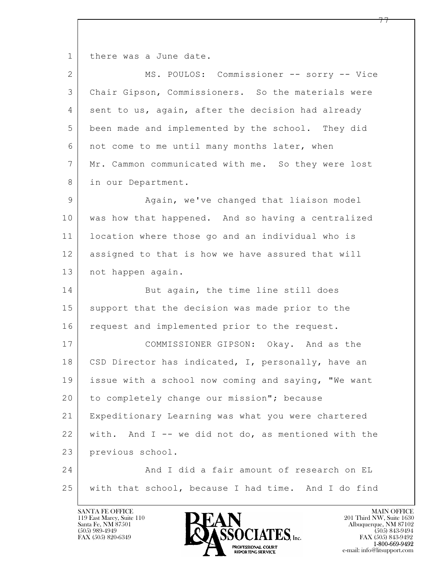1 there was a June date.

| $\overline{2}$ | MS. POULOS: Commissioner -- sorry -- Vice             |
|----------------|-------------------------------------------------------|
| 3              | Chair Gipson, Commissioners. So the materials were    |
| 4              | sent to us, again, after the decision had already     |
| 5              | been made and implemented by the school. They did     |
| 6              | not come to me until many months later, when          |
| 7              | Mr. Cammon communicated with me. So they were lost    |
| 8              | in our Department.                                    |
| 9              | Again, we've changed that liaison model               |
| 10             | was how that happened. And so having a centralized    |
| 11             | location where those go and an individual who is      |
| 12             | assigned to that is how we have assured that will     |
| 13             | not happen again.                                     |
| 14             | But again, the time line still does                   |
| 15             | support that the decision was made prior to the       |
| 16             | request and implemented prior to the request.         |
| 17             | COMMISSIONER GIPSON: Okay. And as the                 |
| 18             | CSD Director has indicated, I, personally, have an    |
| 19             | issue with a school now coming and saying, "We want   |
| 20             | to completely change our mission"; because            |
| 21             | Expeditionary Learning was what you were chartered    |
| 22             | with. And $I$ -- we did not do, as mentioned with the |
| 23             | previous school.                                      |
| 24             | And I did a fair amount of research on EL             |
| 25             | with that school, because I had time. And I do find   |

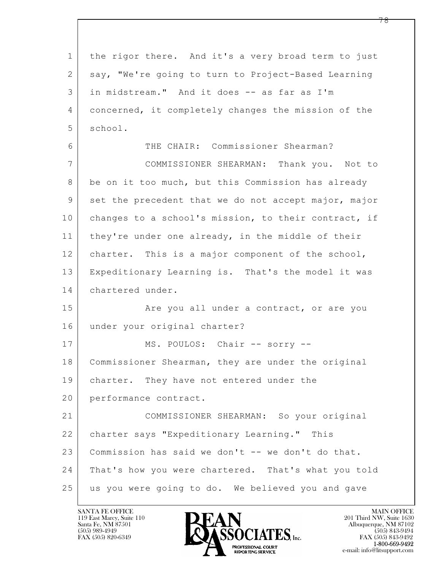$\mathbf{L}$  1 the rigor there. And it's a very broad term to just 2 say, "We're going to turn to Project-Based Learning 3 in midstream." And it does -- as far as I'm 4 concerned, it completely changes the mission of the 5 school. 6 THE CHAIR: Commissioner Shearman? 7 COMMISSIONER SHEARMAN: Thank you. Not to 8 be on it too much, but this Commission has already 9 set the precedent that we do not accept major, major 10 changes to a school's mission, to their contract, if 11 they're under one already, in the middle of their 12 charter. This is a major component of the school, 13 Expeditionary Learning is. That's the model it was 14 chartered under. 15 | The you all under a contract, or are you 16 under your original charter? 17 | MS. POULOS: Chair -- sorry --18 Commissioner Shearman, they are under the original 19 | charter. They have not entered under the 20 performance contract. 21 COMMISSIONER SHEARMAN: So your original 22 charter says "Expeditionary Learning." This 23 Commission has said we don't -- we don't do that. 24 That's how you were chartered. That's what you told 25 us you were going to do. We believed you and gave

119 East Marcy, Suite 110<br>Santa Fe, NM 87501

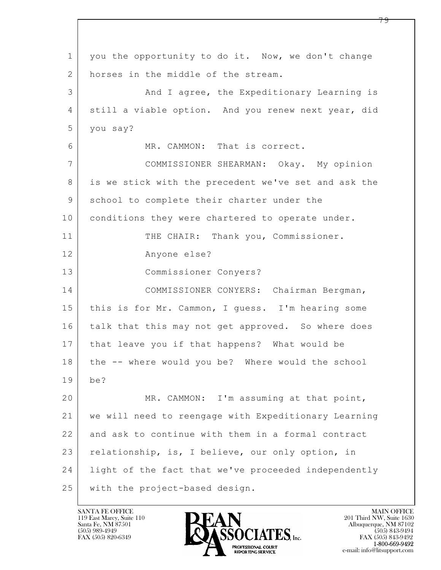$\mathbf{L}$  1 you the opportunity to do it. Now, we don't change 2 horses in the middle of the stream. 3 And I agree, the Expeditionary Learning is 4 still a viable option. And you renew next year, did 5 you say? 6 MR. CAMMON: That is correct. 7 COMMISSIONER SHEARMAN: Okay. My opinion 8 is we stick with the precedent we've set and ask the 9 school to complete their charter under the 10 conditions they were chartered to operate under. 11 | THE CHAIR: Thank you, Commissioner. 12 Anyone else? 13 Commissioner Conyers? 14 COMMISSIONER CONYERS: Chairman Bergman, 15 this is for Mr. Cammon, I guess. I'm hearing some 16 talk that this may not get approved. So where does 17 that leave you if that happens? What would be 18 the -- where would you be? Where would the school 19 be? 20 MR. CAMMON: I'm assuming at that point, 21 we will need to reengage with Expeditionary Learning 22 and ask to continue with them in a formal contract 23 relationship, is, I believe, our only option, in 24 | light of the fact that we've proceeded independently 25 with the project-based design.

119 East Marcy, Suite 110<br>Santa Fe, NM 87501

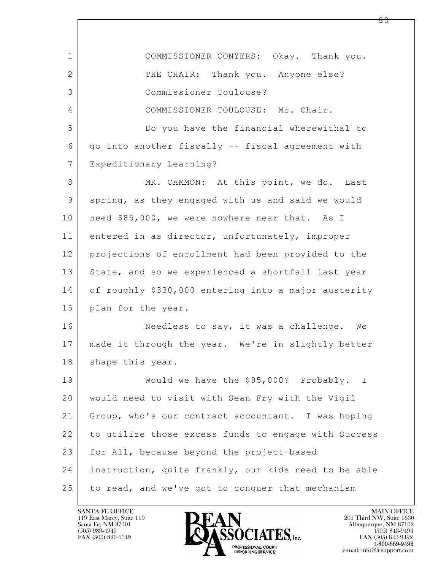| $\mathbf 1$ | COMMISSIONER CONYERS: Okay. Thank you.               |
|-------------|------------------------------------------------------|
| 2           | THE CHAIR: Thank you. Anyone else?                   |
| 3           | Commissioner Toulouse?                               |
| 4           | COMMISSIONER TOULOUSE: Mr. Chair.                    |
| 5           | Do you have the financial wherewithal to             |
| 6           | go into another fiscally -- fiscal agreement with    |
| 7           | Expeditionary Learning?                              |
| 8           | MR. CAMMON: At this point, we do. Last               |
| $\mathsf 9$ | spring, as they engaged with us and said we would    |
| 10          | need \$85,000, we were nowhere near that. As I       |
| 11          | entered in as director, unfortunately, improper      |
| 12          | projections of enrollment had been provided to the   |
| 13          | State, and so we experienced a shortfall last year   |
| 14          | of roughly \$330,000 entering into a major austerity |
| 15          | plan for the year.                                   |
| 16          | Needless to say, it was a challenge. We              |
| 17          | made it through the year. We're in slightly better   |
| 18          | shape this year.                                     |
| 19          | Would we have the \$85,000? Probably. I              |
| 20          | would need to visit with Sean Fry with the Vigil     |
| 21          | Group, who's our contract accountant. I was hoping   |
| 22          | to utilize those excess funds to engage with Success |
| 23          | for All, because beyond the project-based            |
| 24          | instruction, quite frankly, our kids need to be able |
| 25          | to read, and we've got to conquer that mechanism     |

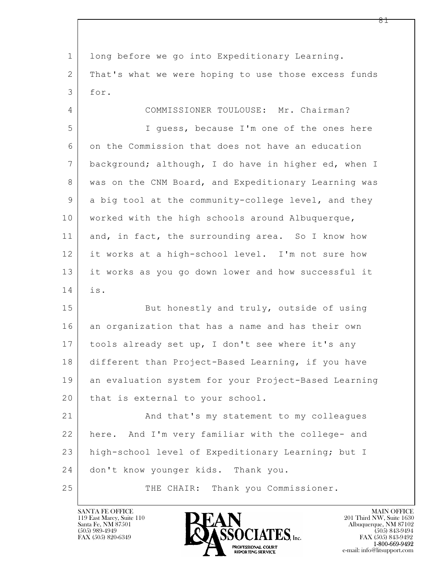$\mathbf{L}$  1 long before we go into Expeditionary Learning. 2 That's what we were hoping to use those excess funds 3 for. 4 COMMISSIONER TOULOUSE: Mr. Chairman? 5 I guess, because I'm one of the ones here 6 on the Commission that does not have an education 7 background; although, I do have in higher ed, when I 8 was on the CNM Board, and Expeditionary Learning was 9 a big tool at the community-college level, and they 10 | worked with the high schools around Albuquerque, 11 and, in fact, the surrounding area. So I know how 12 it works at a high-school level. I'm not sure how 13 it works as you go down lower and how successful it 14 is. 15 But honestly and truly, outside of using 16 an organization that has a name and has their own 17 | tools already set up, I don't see where it's any 18 different than Project-Based Learning, if you have 19 an evaluation system for your Project-Based Learning 20 | that is external to your school. 21 And that's my statement to my colleagues 22 here. And I'm very familiar with the college- and 23 high-school level of Expeditionary Learning; but I 24 don't know younger kids. Thank you. 25 THE CHAIR: Thank you Commissioner.

119 East Marcy, Suite 110<br>Santa Fe, NM 87501

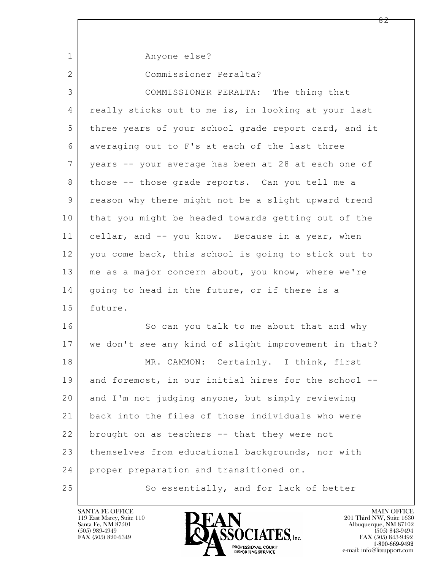$\mathbf{L}$  1 Anyone else? 2 Commissioner Peralta? 3 COMMISSIONER PERALTA: The thing that 4 really sticks out to me is, in looking at your last 5 three years of your school grade report card, and it 6 averaging out to F's at each of the last three 7 years -- your average has been at 28 at each one of 8 | those -- those grade reports. Can you tell me a 9 reason why there might not be a slight upward trend 10 that you might be headed towards getting out of the 11 cellar, and -- you know. Because in a year, when 12 you come back, this school is going to stick out to 13 | me as a major concern about, you know, where we're 14 | going to head in the future, or if there is a 15 future. 16 So can you talk to me about that and why 17 we don't see any kind of slight improvement in that? 18 MR. CAMMON: Certainly. I think, first 19 and foremost, in our initial hires for the school --20 and I'm not judging anyone, but simply reviewing 21 back into the files of those individuals who were 22 brought on as teachers -- that they were not 23 themselves from educational backgrounds, nor with 24 proper preparation and transitioned on. 25 So essentially, and for lack of better

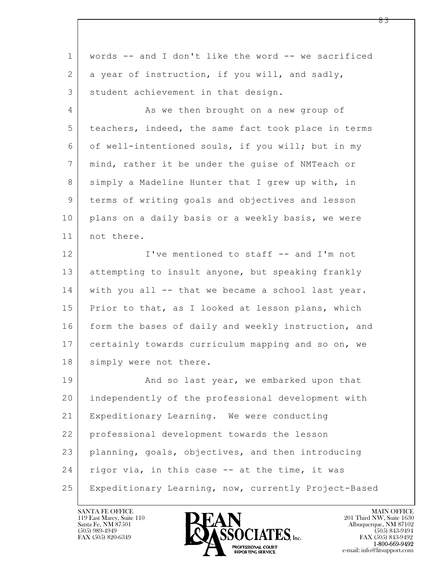| $\mathbf{1}$    | words -- and I don't like the word -- we sacrificed  |
|-----------------|------------------------------------------------------|
| 2               | a year of instruction, if you will, and sadly,       |
| 3               | student achievement in that design.                  |
| $\overline{4}$  | As we then brought on a new group of                 |
| 5               | teachers, indeed, the same fact took place in terms  |
| 6               | of well-intentioned souls, if you will; but in my    |
| $7\phantom{.0}$ | mind, rather it be under the guise of NMTeach or     |
| 8               | simply a Madeline Hunter that I grew up with, in     |
| 9               | terms of writing goals and objectives and lesson     |
| 10              | plans on a daily basis or a weekly basis, we were    |
| 11              | not there.                                           |
| 12              | I've mentioned to staff -- and I'm not               |
| 13              | attempting to insult anyone, but speaking frankly    |
| 14              | with you all -- that we became a school last year.   |
| 15              | Prior to that, as I looked at lesson plans, which    |
| 16              | form the bases of daily and weekly instruction, and  |
| 17              | certainly towards curriculum mapping and so on, we   |
| 18              | simply were not there.                               |
| 19              | And so last year, we embarked upon that              |
| 20              | independently of the professional development with   |
| 21              | Expeditionary Learning. We were conducting           |
| 22              | professional development towards the lesson          |
| 23              | planning, goals, objectives, and then introducing    |
| 24              | rigor via, in this case -- at the time, it was       |
| 25              | Expeditionary Learning, now, currently Project-Based |

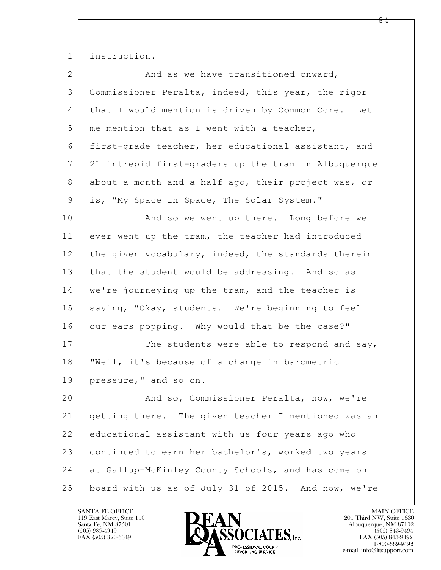1 instruction.

| $\overline{2}$ | And as we have transitioned onward,                  |
|----------------|------------------------------------------------------|
| 3              | Commissioner Peralta, indeed, this year, the rigor   |
| 4              | that I would mention is driven by Common Core. Let   |
| 5              | me mention that as I went with a teacher,            |
| 6              | first-grade teacher, her educational assistant, and  |
| 7              | 21 intrepid first-graders up the tram in Albuquerque |
| 8              | about a month and a half ago, their project was, or  |
| 9              | is, "My Space in Space, The Solar System."           |
| 10             | And so we went up there. Long before we              |
| 11             | ever went up the tram, the teacher had introduced    |
| 12             | the given vocabulary, indeed, the standards therein  |
| 13             | that the student would be addressing. And so as      |
| 14             | we're journeying up the tram, and the teacher is     |
| 15             | saying, "Okay, students. We're beginning to feel     |
| 16             | our ears popping. Why would that be the case?"       |
| 17             | The students were able to respond and say,           |
| 18             | "Well, it's because of a change in barometric        |
| 19             | pressure," and so on.                                |
| 20             | And so, Commissioner Peralta, now, we're             |
| 21             | getting there. The given teacher I mentioned was an  |
| 22             | educational assistant with us four years ago who     |
| 23             | continued to earn her bachelor's, worked two years   |
| 24             | at Gallup-McKinley County Schools, and has come on   |
| 25             | board with us as of July 31 of 2015. And now, we're  |

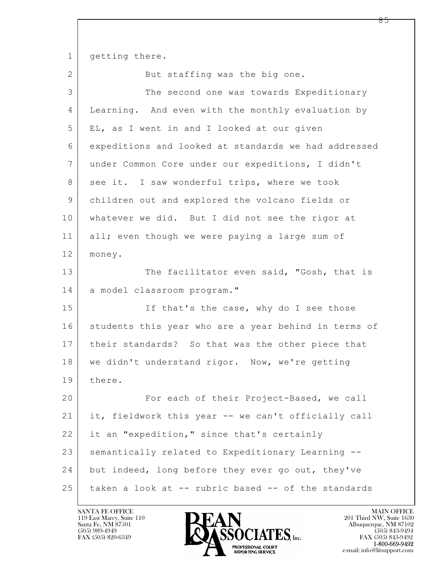1 getting there.

2 But staffing was the big one.

| 3              | The second one was towards Expeditionary             |
|----------------|------------------------------------------------------|
| 4              | Learning. And even with the monthly evaluation by    |
| 5              | EL, as I went in and I looked at our given           |
| 6              | expeditions and looked at standards we had addressed |
| $\overline{7}$ | under Common Core under our expeditions, I didn't    |
| 8              | see it. I saw wonderful trips, where we took         |
| 9              | children out and explored the volcano fields or      |
| 10             | whatever we did. But I did not see the rigor at      |
| 11             | all; even though we were paying a large sum of       |
| 12             | money.                                               |
| 13             | The facilitator even said, "Gosh, that is            |
| 14             | a model classroom program."                          |
| 15             | If that's the case, why do I see those               |
| 16             | students this year who are a year behind in terms of |
| 17             | their standards? So that was the other piece that    |
| 18             | we didn't understand rigor. Now, we're getting       |
| 19             | there.                                               |
| 20             | For each of their Project-Based, we call             |
| 21             | it, fieldwork this year -- we can't officially call  |
| 22             | it an "expedition," since that's certainly           |
| 23             | semantically related to Expeditionary Learning --    |
| 24             | but indeed, long before they ever go out, they've    |
| 25             | taken a look at -- rubric based -- of the standards  |

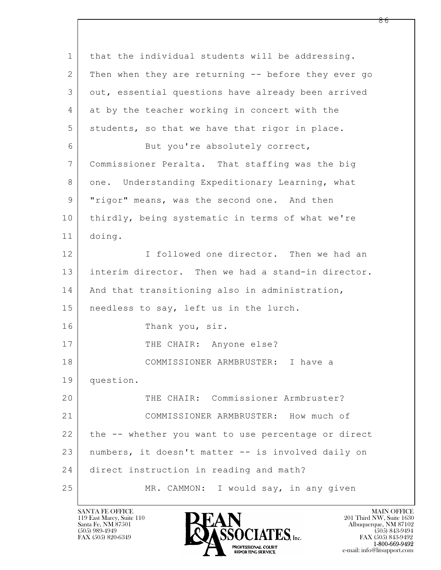| $\mathbf 1$ | that the individual students will be addressing.    |
|-------------|-----------------------------------------------------|
| 2           | Then when they are returning -- before they ever go |
| 3           | out, essential questions have already been arrived  |
| 4           | at by the teacher working in concert with the       |
| 5           | students, so that we have that rigor in place.      |
| 6           | But you're absolutely correct,                      |
| 7           | Commissioner Peralta. That staffing was the big     |
| 8           | one. Understanding Expeditionary Learning, what     |
| 9           | "rigor" means, was the second one. And then         |
| 10          | thirdly, being systematic in terms of what we're    |
| 11          | doing.                                              |
| 12          | I followed one director. Then we had an             |
| 13          | interim director. Then we had a stand-in director.  |
| 14          | And that transitioning also in administration,      |
| 15          | needless to say, left us in the lurch.              |
| 16          | Thank you, sir.                                     |
| 17          | THE CHAIR: Anyone else?                             |
| 18          | COMMISSIONER ARMBRUSTER: I have a                   |
| 19          | question.                                           |
| 20          | THE CHAIR: Commissioner Armbruster?                 |
| 21          | COMMISSIONER ARMBRUSTER: How much of                |
| 22          | the -- whether you want to use percentage or direct |
| 23          | numbers, it doesn't matter -- is involved daily on  |
| 24          | direct instruction in reading and math?             |
| 25          | MR. CAMMON: I would say, in any given               |

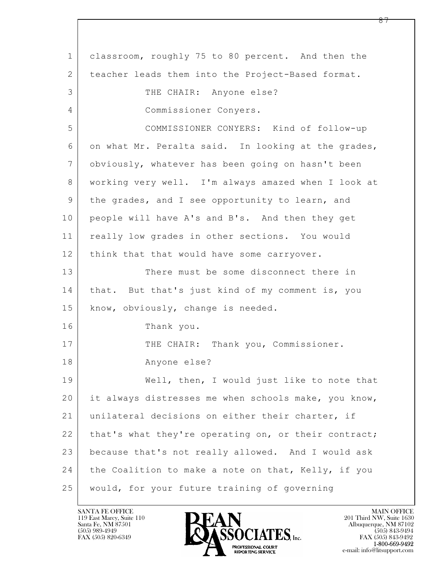$\mathbf{L}$  1 classroom, roughly 75 to 80 percent. And then the 2 | teacher leads them into the Project-Based format. 3 THE CHAIR: Anyone else? 4 Commissioner Conyers. 5 COMMISSIONER CONYERS: Kind of follow-up 6 on what Mr. Peralta said. In looking at the grades, 7 obviously, whatever has been going on hasn't been 8 working very well. I'm always amazed when I look at 9 | the grades, and I see opportunity to learn, and 10 people will have A's and B's. And then they get 11 really low grades in other sections. You would 12 | think that that would have some carryover. 13 There must be some disconnect there in 14 | that. But that's just kind of my comment is, you 15 | know, obviously, change is needed. 16 Thank you. 17 | THE CHAIR: Thank you, Commissioner. 18 Anyone else? 19 Well, then, I would just like to note that 20 it always distresses me when schools make, you know, 21 | unilateral decisions on either their charter, if 22 | that's what they're operating on, or their contract; 23 because that's not really allowed. And I would ask 24 the Coalition to make a note on that, Kelly, if you 25 would, for your future training of governing

119 East Marcy, Suite 110<br>Santa Fe, NM 87501

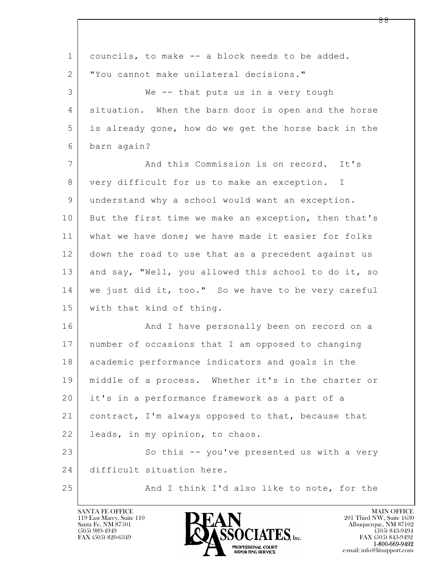| $\mathbf 1$    | councils, to make -- a block needs to be added.      |
|----------------|------------------------------------------------------|
| $\overline{2}$ | "You cannot make unilateral decisions."              |
| 3              | We -- that puts us in a very tough                   |
| 4              | situation. When the barn door is open and the horse  |
| 5              | is already gone, how do we get the horse back in the |
| 6              | barn again?                                          |
| 7              | And this Commission is on record. It's               |
| 8              | very difficult for us to make an exception. I        |
| 9              | understand why a school would want an exception.     |
| 10             | But the first time we make an exception, then that's |
| 11             | what we have done; we have made it easier for folks  |
| 12             | down the road to use that as a precedent against us  |
| 13             | and say, "Well, you allowed this school to do it, so |
| 14             | we just did it, too." So we have to be very careful  |
| 15             | with that kind of thing.                             |
| 16             | And I have personally been on record on a            |
| 17             | number of occasions that I am opposed to changing    |
| 18             | academic performance indicators and goals in the     |
| 19             | middle of a process. Whether it's in the charter or  |
| 20             | it's in a performance framework as a part of a       |
| 21             | contract, I'm always opposed to that, because that   |
| 22             | leads, in my opinion, to chaos.                      |
| 23             | So this -- you've presented us with a very           |
| 24             | difficult situation here.                            |
| 25             | And I think I'd also like to note, for the           |

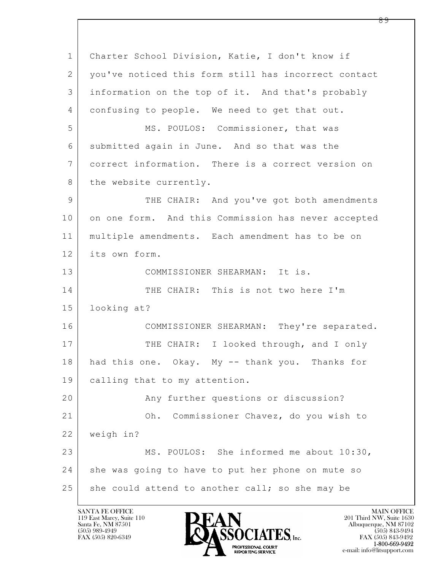$\mathbf{L}$  1 Charter School Division, Katie, I don't know if 2 you've noticed this form still has incorrect contact 3 information on the top of it. And that's probably 4 confusing to people. We need to get that out. 5 MS. POULOS: Commissioner, that was 6 submitted again in June. And so that was the 7 correct information. There is a correct version on 8 the website currently. 9 | THE CHAIR: And you've got both amendments 10 on one form. And this Commission has never accepted 11 multiple amendments. Each amendment has to be on 12 its own form. 13 COMMISSIONER SHEARMAN: It is. 14 THE CHAIR: This is not two here I'm 15 looking at? 16 COMMISSIONER SHEARMAN: They're separated. 17 THE CHAIR: I looked through, and I only 18 had this one. Okay. My -- thank you. Thanks for 19 calling that to my attention. 20 Any further questions or discussion? 21 Oh. Commissioner Chavez, do you wish to 22 weigh in? 23 MS. POULOS: She informed me about 10:30, 24 she was going to have to put her phone on mute so  $25$  she could attend to another call; so she may be

119 East Marcy, Suite 110<br>Santa Fe, NM 87501

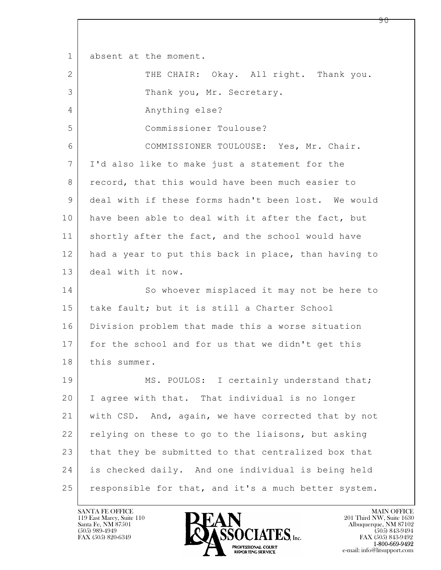$\mathbf{L}$  1 absent at the moment. 2 THE CHAIR: Okay. All right. Thank you. 3 Thank you, Mr. Secretary. 4 Anything else? 5 Commissioner Toulouse? 6 COMMISSIONER TOULOUSE: Yes, Mr. Chair. 7 I'd also like to make just a statement for the 8 | record, that this would have been much easier to 9 deal with if these forms hadn't been lost. We would 10 have been able to deal with it after the fact, but 11 shortly after the fact, and the school would have 12 had a year to put this back in place, than having to 13 deal with it now. 14 So whoever misplaced it may not be here to 15 take fault; but it is still a Charter School 16 Division problem that made this a worse situation 17 for the school and for us that we didn't get this 18 | this summer. 19 MS. POULOS: I certainly understand that; 20 I agree with that. That individual is no longer 21 with CSD. And, again, we have corrected that by not 22 relying on these to go to the liaisons, but asking 23 that they be submitted to that centralized box that 24 is checked daily. And one individual is being held 25 | responsible for that, and it's a much better system.

119 East Marcy, Suite 110<br>Santa Fe, NM 87501

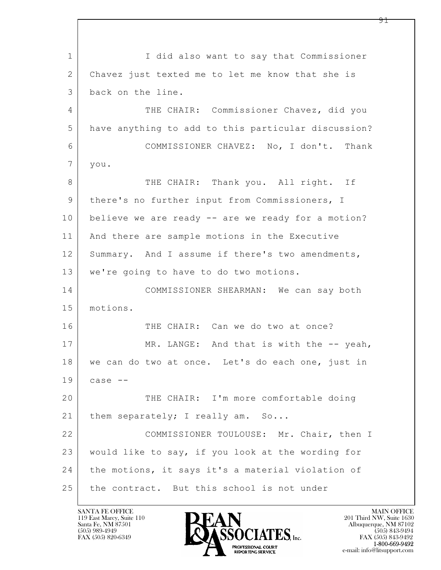$\mathbf{L}$  1 I did also want to say that Commissioner 2 Chavez just texted me to let me know that she is 3 back on the line. 4 THE CHAIR: Commissioner Chavez, did you 5 have anything to add to this particular discussion? 6 COMMISSIONER CHAVEZ: No, I don't. Thank 7 you. 8 THE CHAIR: Thank you. All right. If 9 there's no further input from Commissioners, I 10 believe we are ready -- are we ready for a motion? 11 | And there are sample motions in the Executive 12 Summary. And I assume if there's two amendments, 13 | we're going to have to do two motions. 14 COMMISSIONER SHEARMAN: We can say both 15 motions. 16 THE CHAIR: Can we do two at once? 17 MR. LANGE: And that is with the -- yeah, 18 we can do two at once. Let's do each one, just in  $19$  case  $-$ 20 THE CHAIR: I'm more comfortable doing 21 | them separately; I really am. So... 22 COMMISSIONER TOULOUSE: Mr. Chair, then I 23 would like to say, if you look at the wording for 24 | the motions, it says it's a material violation of 25 the contract. But this school is not under

119 East Marcy, Suite 110<br>Santa Fe, NM 87501

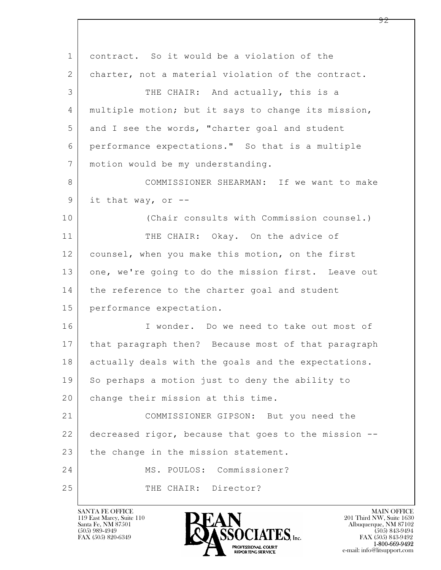| $\mathbf 1$     | contract. So it would be a violation of the          |
|-----------------|------------------------------------------------------|
| 2               | charter, not a material violation of the contract.   |
| 3               | THE CHAIR: And actually, this is a                   |
| 4               | multiple motion; but it says to change its mission,  |
| 5               | and I see the words, "charter goal and student       |
| 6               | performance expectations." So that is a multiple     |
| $7\phantom{.0}$ | motion would be my understanding.                    |
| 8               | COMMISSIONER SHEARMAN: If we want to make            |
| $\mathsf 9$     | it that way, or --                                   |
| 10              | (Chair consults with Commission counsel.)            |
| 11              | THE CHAIR: Okay. On the advice of                    |
| 12              | counsel, when you make this motion, on the first     |
| 13              | one, we're going to do the mission first. Leave out  |
| 14              | the reference to the charter goal and student        |
| 15              | performance expectation.                             |
| 16              | I wonder. Do we need to take out most of             |
| 17              | that paragraph then? Because most of that paragraph  |
| 18              | actually deals with the goals and the expectations.  |
| 19              | So perhaps a motion just to deny the ability to      |
| 20              | change their mission at this time.                   |
| 21              | COMMISSIONER GIPSON: But you need the                |
| 22              | decreased rigor, because that goes to the mission -- |
| 23              | the change in the mission statement.                 |
| 24              | MS. POULOS: Commissioner?                            |
| 25              | THE CHAIR: Director?                                 |

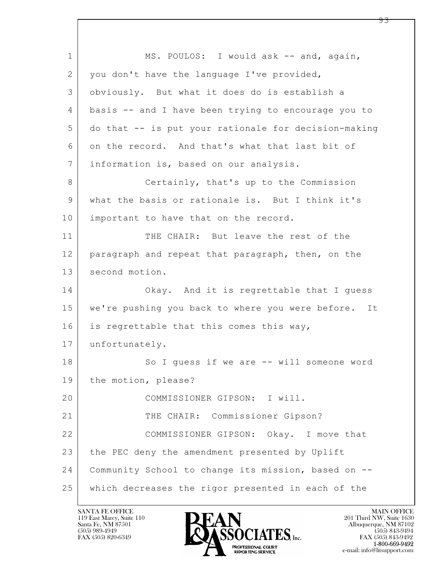$\mathbf{L}$  1 MS. POULOS: I would ask -- and, again, 2 | you don't have the language I've provided, 3 obviously. But what it does do is establish a 4 basis -- and I have been trying to encourage you to 5 do that -- is put your rationale for decision-making 6 on the record. And that's what that last bit of 7 information is, based on our analysis. 8 Certainly, that's up to the Commission 9 what the basis or rationale is. But I think it's 10 | important to have that on the record. 11 THE CHAIR: But leave the rest of the 12 | paragraph and repeat that paragraph, then, on the 13 second motion. 14 Okay. And it is regrettable that I quess 15 | we're pushing you back to where you were before. It 16 is regrettable that this comes this way, 17 unfortunately. 18 So I quess if we are -- will someone word 19 the motion, please? 20 COMMISSIONER GIPSON: I will. 21 THE CHAIR: Commissioner Gipson? 22 COMMISSIONER GIPSON: Okay. I move that 23 the PEC deny the amendment presented by Uplift 24 Community School to change its mission, based on -- 25 which decreases the rigor presented in each of the

119 East Marcy, Suite 110<br>Santa Fe, NM 87501

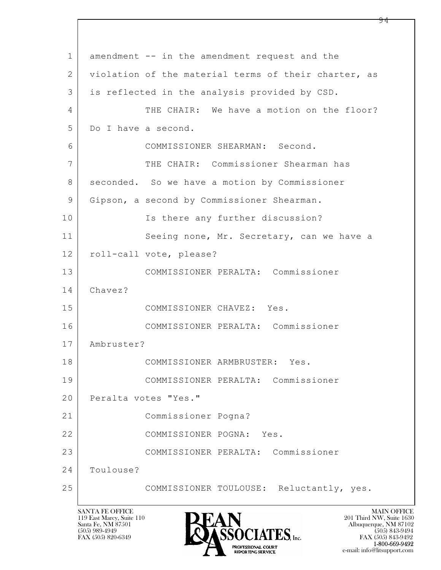$\mathbf{L}$  1 amendment -- in the amendment request and the 2 violation of the material terms of their charter, as 3 is reflected in the analysis provided by CSD. 4 THE CHAIR: We have a motion on the floor? 5 Do I have a second. 6 COMMISSIONER SHEARMAN: Second. 7 THE CHAIR: Commissioner Shearman has 8 | seconded. So we have a motion by Commissioner 9 Gipson, a second by Commissioner Shearman. 10 | Is there any further discussion? 11 Seeing none, Mr. Secretary, can we have a 12 roll-call vote, please? 13 COMMISSIONER PERALTA: Commissioner 14 Chavez? 15 COMMISSIONER CHAVEZ: Yes. 16 COMMISSIONER PERALTA: Commissioner 17 Ambruster? 18 COMMISSIONER ARMBRUSTER: Yes. 19 COMMISSIONER PERALTA: Commissioner 20 Peralta votes "Yes." 21 Commissioner Pogna? 22 COMMISSIONER POGNA: Yes. 23 COMMISSIONER PERALTA: Commissioner 24 Toulouse? 25 COMMISSIONER TOULOUSE: Reluctantly, yes.

119 East Marcy, Suite 110<br>Santa Fe, NM 87501



FAX (505) 843-9492 e-mail: info@litsupport.com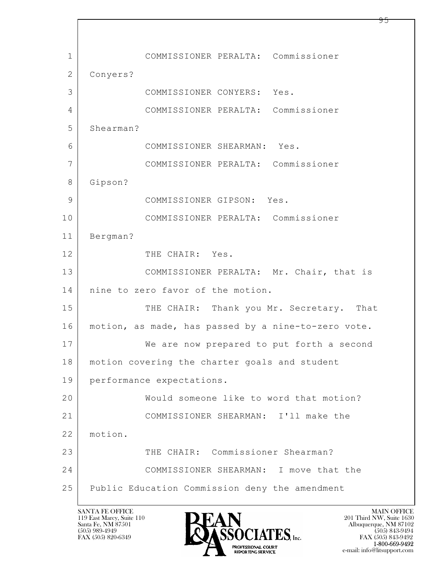$\mathbf{L}$  1 COMMISSIONER PERALTA: Commissioner 2 Conyers? 3 COMMISSIONER CONYERS: Yes. 4 COMMISSIONER PERALTA: Commissioner 5 Shearman? 6 COMMISSIONER SHEARMAN: Yes. 7 COMMISSIONER PERALTA: Commissioner 8 Gipson? 9 COMMISSIONER GIPSON: Yes. 10 COMMISSIONER PERALTA: Commissioner 11 Bergman? 12 THE CHAIR: Yes. 13 COMMISSIONER PERALTA: Mr. Chair, that is 14 | nine to zero favor of the motion. 15 THE CHAIR: Thank you Mr. Secretary. That 16 motion, as made, has passed by a nine-to-zero vote. 17 We are now prepared to put forth a second 18 | motion covering the charter goals and student 19 performance expectations. 20 Would someone like to word that motion? 21 COMMISSIONER SHEARMAN: I'll make the 22 motion. 23 THE CHAIR: Commissioner Shearman? 24 COMMISSIONER SHEARMAN: I move that the 25 Public Education Commission deny the amendment

119 East Marcy, Suite 110<br>Santa Fe, NM 87501

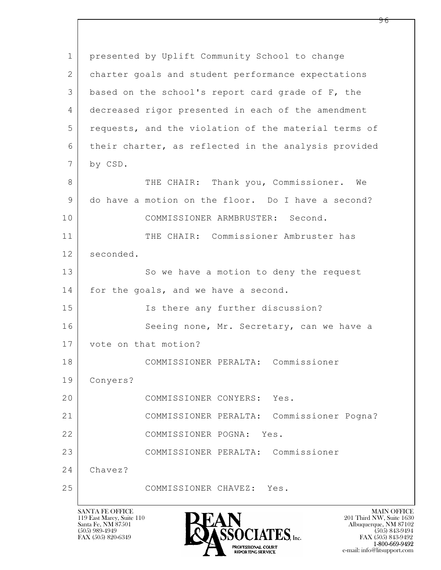| $\mathbf 1$ | presented by Uplift Community School to change       |
|-------------|------------------------------------------------------|
| 2           | charter goals and student performance expectations   |
| 3           | based on the school's report card grade of F, the    |
| 4           | decreased rigor presented in each of the amendment   |
| 5           | requests, and the violation of the material terms of |
| 6           | their charter, as reflected in the analysis provided |
| 7           | by CSD.                                              |
| 8           | THE CHAIR: Thank you, Commissioner. We               |
| 9           | do have a motion on the floor. Do I have a second?   |
| 10          | COMMISSIONER ARMBRUSTER: Second.                     |
| 11          | THE CHAIR: Commissioner Ambruster has                |
| 12          | seconded.                                            |
| 13          | So we have a motion to deny the request              |
| 14          | for the goals, and we have a second.                 |
| 15          | Is there any further discussion?                     |
| 16          | Seeing none, Mr. Secretary, can we have a            |
| 17          | vote on that motion?                                 |
| 18          | COMMISSIONER PERALTA:<br>Commissioner                |
| 19          | Conyers?                                             |
| 20          | COMMISSIONER CONYERS: Yes.                           |
| 21          | COMMISSIONER PERALTA: Commissioner Pogna?            |
| 22          | COMMISSIONER POGNA: Yes.                             |
| 23          | COMMISSIONER PERALTA: Commissioner                   |
| 24          | Chavez?                                              |
| 25          | COMMISSIONER CHAVEZ:<br>Yes.                         |
|             |                                                      |

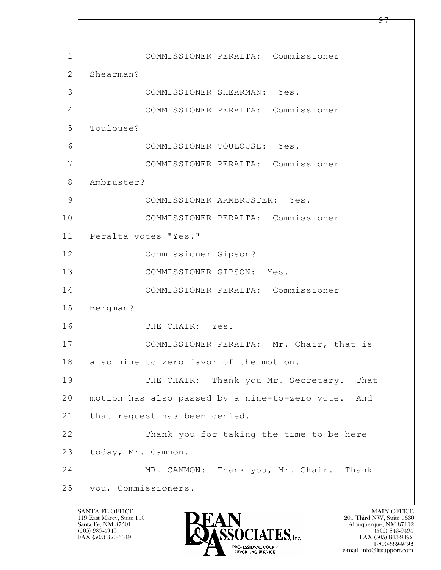$\mathbf{L}$  1 COMMISSIONER PERALTA: Commissioner 2 Shearman? 3 COMMISSIONER SHEARMAN: Yes. 4 COMMISSIONER PERALTA: Commissioner 5 Toulouse? 6 COMMISSIONER TOULOUSE: Yes. 7 COMMISSIONER PERALTA: Commissioner 8 Ambruster? 9 COMMISSIONER ARMBRUSTER: Yes. 10 COMMISSIONER PERALTA: Commissioner 11 | Peralta votes "Yes." 12 Commissioner Gipson? 13 COMMISSIONER GIPSON: Yes. 14 COMMISSIONER PERALTA: Commissioner 15 Bergman? 16 THE CHAIR: Yes. 17 | COMMISSIONER PERALTA: Mr. Chair, that is 18 also nine to zero favor of the motion. 19 THE CHAIR: Thank you Mr. Secretary. That 20 motion has also passed by a nine-to-zero vote. And 21 | that request has been denied. 22 Thank you for taking the time to be here 23 today, Mr. Cammon. 24 MR. CAMMON: Thank you, Mr. Chair. Thank 25 you, Commissioners.

119 East Marcy, Suite 110<br>Santa Fe, NM 87501

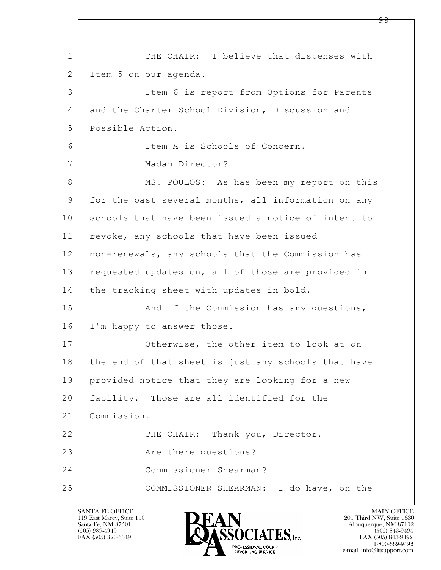$\mathbf{L}$  1 THE CHAIR: I believe that dispenses with 2 Item 5 on our agenda. 3 Item 6 is report from Options for Parents 4 and the Charter School Division, Discussion and 5 Possible Action. 6 Item A is Schools of Concern. 7 Madam Director? 8 MS. POULOS: As has been my report on this 9 for the past several months, all information on any 10 schools that have been issued a notice of intent to 11 | revoke, any schools that have been issued 12 non-renewals, any schools that the Commission has 13 requested updates on, all of those are provided in 14 | the tracking sheet with updates in bold. 15 | And if the Commission has any questions, 16 I'm happy to answer those. 17 Otherwise, the other item to look at on 18 the end of that sheet is just any schools that have 19 provided notice that they are looking for a new 20 | facility. Those are all identified for the 21 Commission. 22 THE CHAIR: Thank you, Director. 23 Are there questions? 24 Commissioner Shearman? 25 COMMISSIONER SHEARMAN: I do have, on the

119 East Marcy, Suite 110<br>Santa Fe, NM 87501



FAX (505) 843-9492 e-mail: info@litsupport.com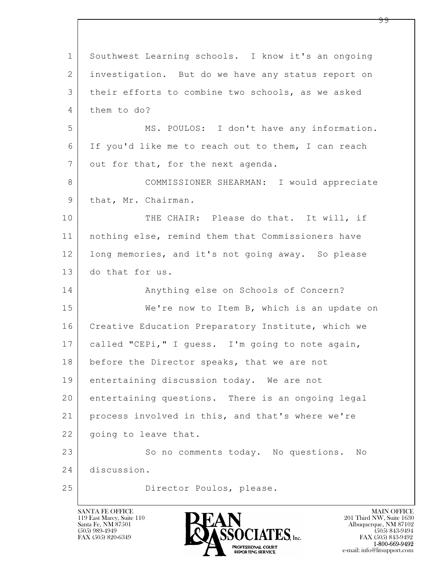$\mathbf{L}$  1 Southwest Learning schools. I know it's an ongoing 2 investigation. But do we have any status report on 3 their efforts to combine two schools, as we asked 4 them to do? 5 MS. POULOS: I don't have any information. 6 If you'd like me to reach out to them, I can reach 7 out for that, for the next agenda. 8 | COMMISSIONER SHEARMAN: I would appreciate 9 | that, Mr. Chairman. 10 THE CHAIR: Please do that. It will, if 11 nothing else, remind them that Commissioners have 12 long memories, and it's not going away. So please 13 do that for us. 14 Anything else on Schools of Concern? 15 | We're now to Item B, which is an update on 16 | Creative Education Preparatory Institute, which we 17 called "CEPi," I guess. I'm going to note again, 18 before the Director speaks, that we are not 19 entertaining discussion today. We are not 20 entertaining questions. There is an ongoing legal 21 process involved in this, and that's where we're 22 | going to leave that. 23 So no comments today. No questions. No 24 discussion. 25 Director Poulos, please.

119 East Marcy, Suite 110<br>Santa Fe, NM 87501



FAX (505) 843-9492 e-mail: info@litsupport.com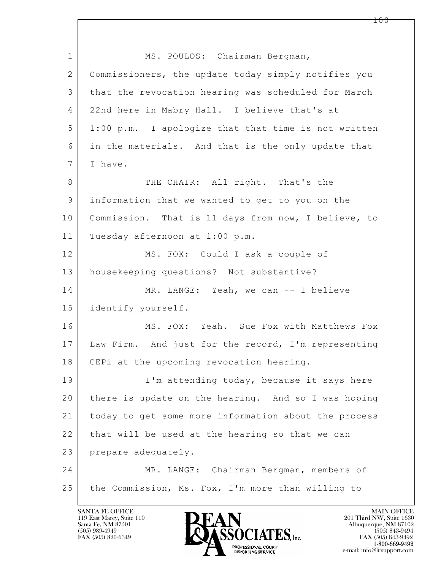$\mathbf{L}$  1 MS. POULOS: Chairman Bergman, 2 Commissioners, the update today simply notifies you 3 that the revocation hearing was scheduled for March 4 22nd here in Mabry Hall. I believe that's at 5 1:00 p.m. I apologize that that time is not written 6 in the materials. And that is the only update that 7 I have. 8 THE CHAIR: All right. That's the 9 information that we wanted to get to you on the 10 | Commission. That is 11 days from now, I believe, to 11 Tuesday afternoon at 1:00 p.m. 12 MS. FOX: Could I ask a couple of 13 housekeeping questions? Not substantive? 14 MR. LANGE: Yeah, we can -- I believe 15 identify yourself. 16 MS. FOX: Yeah. Sue Fox with Matthews Fox 17 Law Firm. And just for the record, I'm representing 18 | CEPi at the upcoming revocation hearing. 19 | I'm attending today, because it says here 20 there is update on the hearing. And so I was hoping 21 today to get some more information about the process 22 that will be used at the hearing so that we can 23 prepare adequately. 24 | MR. LANGE: Chairman Bergman, members of 25 the Commission, Ms. Fox, I'm more than willing to

119 East Marcy, Suite 110<br>Santa Fe, NM 87501

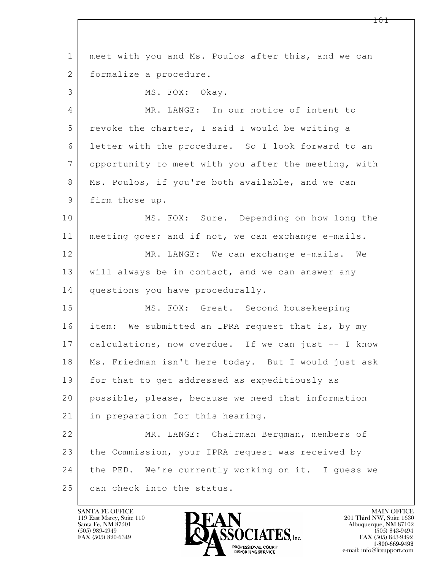$\mathbf{L}$  1 meet with you and Ms. Poulos after this, and we can 2 | formalize a procedure. 3 MS. FOX: Okay. 4 MR. LANGE: In our notice of intent to 5 revoke the charter, I said I would be writing a 6 letter with the procedure. So I look forward to an 7 opportunity to meet with you after the meeting, with 8 | Ms. Poulos, if you're both available, and we can 9 firm those up. 10 MS. FOX: Sure. Depending on how long the 11 meeting goes; and if not, we can exchange e-mails. 12 MR. LANGE: We can exchange e-mails. We 13 will always be in contact, and we can answer any 14 questions you have procedurally. 15 | MS. FOX: Great. Second housekeeping 16 | item: We submitted an IPRA request that is, by my 17 calculations, now overdue. If we can just -- I know 18 Ms. Friedman isn't here today. But I would just ask 19 for that to get addressed as expeditiously as 20 possible, please, because we need that information 21 | in preparation for this hearing. 22 MR. LANGE: Chairman Bergman, members of 23 the Commission, your IPRA request was received by 24 the PED. We're currently working on it. I guess we 25 can check into the status.

119 East Marcy, Suite 110<br>Santa Fe, NM 87501

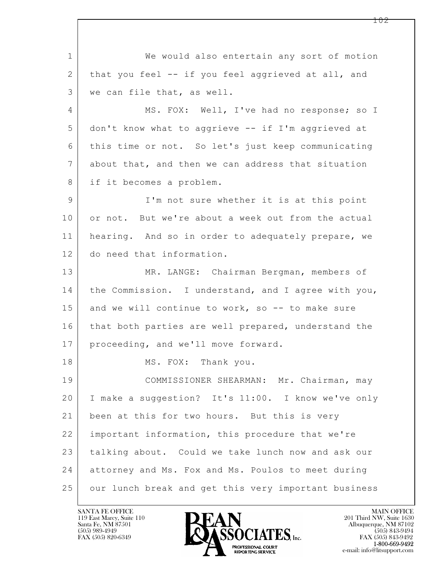$\mathbf{L}$  1 We would also entertain any sort of motion 2 that you feel -- if you feel aggrieved at all, and 3 we can file that, as well. 4 | MS. FOX: Well, I've had no response; so I 5 don't know what to aggrieve -- if I'm aggrieved at 6 this time or not. So let's just keep communicating 7 about that, and then we can address that situation 8 if it becomes a problem. 9 I'm not sure whether it is at this point 10 or not. But we're about a week out from the actual 11 hearing. And so in order to adequately prepare, we 12 do need that information. 13 | MR. LANGE: Chairman Bergman, members of 14 the Commission. I understand, and I agree with you, 15 and we will continue to work, so  $-$  to make sure 16 | that both parties are well prepared, understand the 17 | proceeding, and we'll move forward. 18 MS. FOX: Thank you. 19 | COMMISSIONER SHEARMAN: Mr. Chairman, may 20 I make a suggestion? It's 11:00. I know we've only 21 been at this for two hours. But this is very 22 important information, this procedure that we're 23 talking about. Could we take lunch now and ask our 24 attorney and Ms. Fox and Ms. Poulos to meet during 25 | our lunch break and get this very important business

119 East Marcy, Suite 110<br>Santa Fe, NM 87501

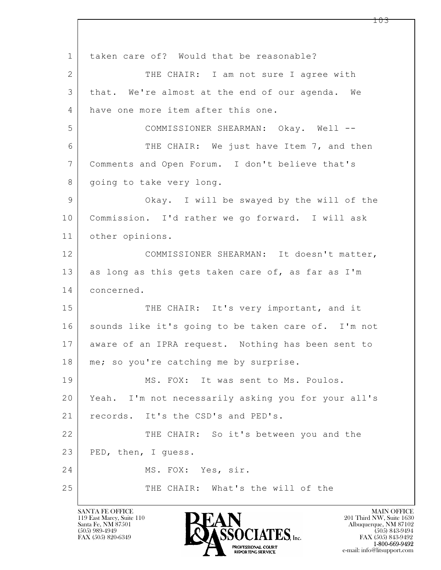$\mathbf{L}$  1 | taken care of? Would that be reasonable? 2 THE CHAIR: I am not sure I agree with 3 that. We're almost at the end of our agenda. We 4 have one more item after this one. 5 COMMISSIONER SHEARMAN: Okay. Well -- 6 THE CHAIR: We just have Item 7, and then 7 Comments and Open Forum. I don't believe that's 8 | going to take very long. 9 Okay. I will be swayed by the will of the 10 Commission. I'd rather we go forward. I will ask 11 other opinions. 12 COMMISSIONER SHEARMAN: It doesn't matter, 13 as long as this gets taken care of, as far as I'm 14 concerned. 15 THE CHAIR: It's very important, and it 16 sounds like it's going to be taken care of. I'm not 17 aware of an IPRA request. Nothing has been sent to 18 | me; so you're catching me by surprise. 19 MS. FOX: It was sent to Ms. Poulos. 20 Yeah. I'm not necessarily asking you for your all's 21 | records. It's the CSD's and PED's. 22 THE CHAIR: So it's between you and the 23 | PED, then, I guess. 24 MS. FOX: Yes, sir. 25 THE CHAIR: What's the will of the

119 East Marcy, Suite 110<br>Santa Fe, NM 87501



FAX (505) 843-9492 e-mail: info@litsupport.com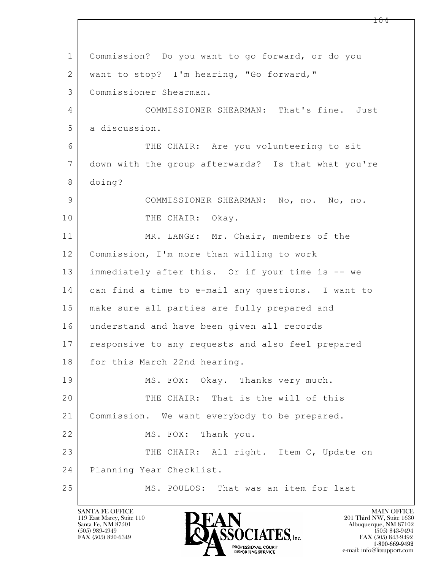$\mathbf{L}$  1 Commission? Do you want to go forward, or do you 2 want to stop? I'm hearing, "Go forward," 3 Commissioner Shearman. 4 | COMMISSIONER SHEARMAN: That's fine. Just 5 a discussion. 6 THE CHAIR: Are you volunteering to sit 7 down with the group afterwards? Is that what you're 8 doing? 9 COMMISSIONER SHEARMAN: No, no. No, no. 10 THE CHAIR: Okay. 11 MR. LANGE: Mr. Chair, members of the 12 Commission, I'm more than willing to work 13 immediately after this. Or if your time is -- we 14 can find a time to e-mail any questions. I want to 15 make sure all parties are fully prepared and 16 understand and have been given all records 17 responsive to any requests and also feel prepared 18 for this March 22nd hearing. 19 MS. FOX: Okay. Thanks very much. 20 THE CHAIR: That is the will of this 21 Commission. We want everybody to be prepared. 22 MS. FOX: Thank you. 23 THE CHAIR: All right. Item C, Update on 24 Planning Year Checklist. 25 MS. POULOS: That was an item for last

119 East Marcy, Suite 110<br>Santa Fe, NM 87501

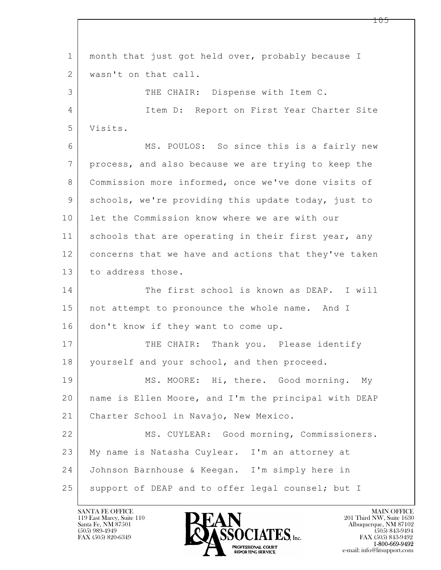$\mathbf{L}$  1 month that just got held over, probably because I 2 wasn't on that call. 3 THE CHAIR: Dispense with Item C. 4 Item D: Report on First Year Charter Site 5 Visits. 6 | MS. POULOS: So since this is a fairly new 7 process, and also because we are trying to keep the 8 | Commission more informed, once we've done visits of 9 schools, we're providing this update today, just to 10 let the Commission know where we are with our 11 schools that are operating in their first year, any 12 concerns that we have and actions that they've taken 13 to address those. 14 The first school is known as DEAP. I will 15 | not attempt to pronounce the whole name. And I 16 don't know if they want to come up. 17 THE CHAIR: Thank you. Please identify 18 | yourself and your school, and then proceed. 19 MS. MOORE: Hi, there. Good morning. My 20 name is Ellen Moore, and I'm the principal with DEAP 21 Charter School in Navajo, New Mexico. 22 MS. CUYLEAR: Good morning, Commissioners. 23 My name is Natasha Cuylear. I'm an attorney at 24 Johnson Barnhouse & Keegan. I'm simply here in 25 | support of DEAP and to offer legal counsel; but I

119 East Marcy, Suite 110<br>Santa Fe, NM 87501



FAX (505) 843-9492 e-mail: info@litsupport.com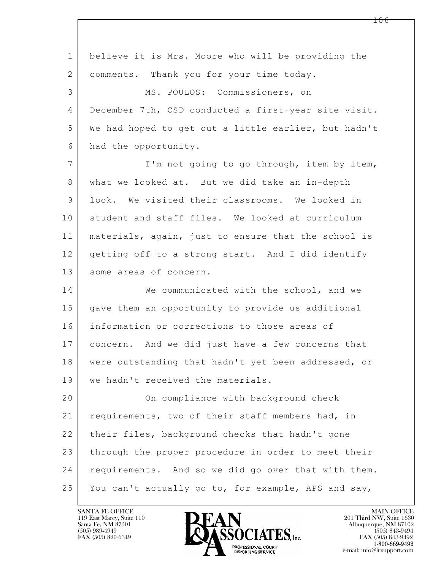$\mathbf{L}$  1 believe it is Mrs. Moore who will be providing the 2 | comments. Thank you for your time today. 3 MS. POULOS: Commissioners, on 4 December 7th, CSD conducted a first-year site visit. 5 We had hoped to get out a little earlier, but hadn't 6 had the opportunity. 7 | I'm not going to go through, item by item, 8 what we looked at. But we did take an in-depth 9 look. We visited their classrooms. We looked in 10 student and staff files. We looked at curriculum 11 materials, again, just to ensure that the school is 12 getting off to a strong start. And I did identify 13 some areas of concern. 14 We communicated with the school, and we 15 gave them an opportunity to provide us additional 16 information or corrections to those areas of 17 concern. And we did just have a few concerns that 18 were outstanding that hadn't yet been addressed, or 19 we hadn't received the materials. 20 On compliance with background check 21 requirements, two of their staff members had, in 22 | their files, background checks that hadn't gone 23 | through the proper procedure in order to meet their 24 | requirements. And so we did go over that with them. 25 You can't actually go to, for example, APS and say,

119 East Marcy, Suite 110<br>Santa Fe, NM 87501

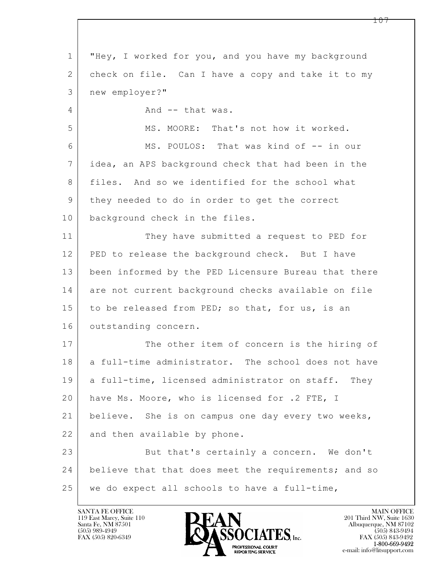$\mathbf{L}$  1 "Hey, I worked for you, and you have my background 2 check on file. Can I have a copy and take it to my 3 new employer?" 4 And -- that was. 5 MS. MOORE: That's not how it worked. 6 MS. POULOS: That was kind of -- in our 7 idea, an APS background check that had been in the 8 files. And so we identified for the school what 9 they needed to do in order to get the correct 10 background check in the files. 11 They have submitted a request to PED for 12 PED to release the background check. But I have 13 been informed by the PED Licensure Bureau that there 14 are not current background checks available on file 15 to be released from PED; so that, for us, is an 16 outstanding concern. 17 The other item of concern is the hiring of 18 a full-time administrator. The school does not have 19 a full-time, licensed administrator on staff. They 20 have Ms. Moore, who is licensed for .2 FTE, I 21 believe. She is on campus one day every two weeks, 22 and then available by phone. 23 But that's certainly a concern. We don't 24 believe that that does meet the requirements; and so 25 we do expect all schools to have a full-time,

119 East Marcy, Suite 110<br>Santa Fe, NM 87501

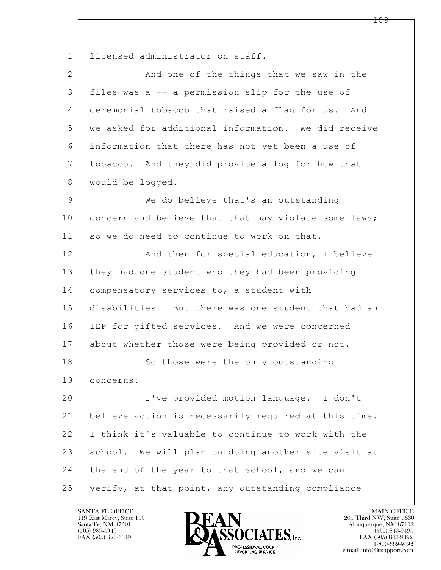$\mathbf{L}$  1 licensed administrator on staff. 2 And one of the things that we saw in the 3 files was a -- a permission slip for the use of 4 ceremonial tobacco that raised a flag for us. And 5 we asked for additional information. We did receive 6 information that there has not yet been a use of 7 tobacco. And they did provide a log for how that 8 | would be logged. 9 We do believe that's an outstanding 10 concern and believe that that may violate some laws; 11 so we do need to continue to work on that. 12 And then for special education, I believe 13 they had one student who they had been providing 14 compensatory services to, a student with 15 disabilities. But there was one student that had an 16 IEP for gifted services. And we were concerned 17 about whether those were being provided or not. 18 So those were the only outstanding 19 concerns. 20 I've provided motion language. I don't 21 believe action is necessarily required at this time. 22 I think it's valuable to continue to work with the 23 school. We will plan on doing another site visit at 24 the end of the year to that school, and we can 25 verify, at that point, any outstanding compliance

119 East Marcy, Suite 110<br>Santa Fe, NM 87501



FAX (505) 843-9492 e-mail: info@litsupport.com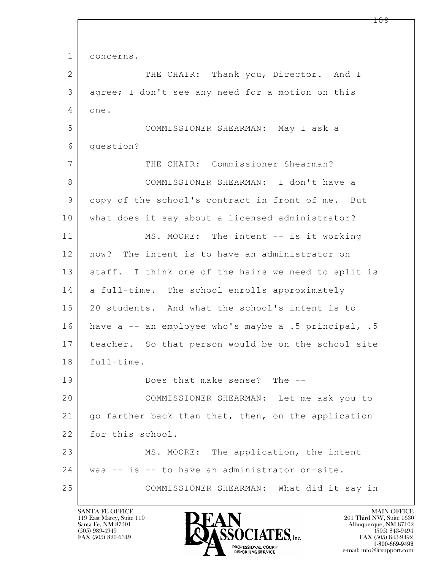$\mathbf{L}$  1 concerns. 2 THE CHAIR: Thank you, Director. And I 3 agree; I don't see any need for a motion on this 4 one. 5 COMMISSIONER SHEARMAN: May I ask a 6 question? 7 THE CHAIR: Commissioner Shearman? 8 COMMISSIONER SHEARMAN: I don't have a 9 copy of the school's contract in front of me. But 10 what does it say about a licensed administrator? 11 MS. MOORE: The intent -- is it working 12 now? The intent is to have an administrator on 13 | staff. I think one of the hairs we need to split is 14 a full-time. The school enrolls approximately 15 20 students. And what the school's intent is to 16 have a -- an employee who's maybe a .5 principal, .5 17 teacher. So that person would be on the school site 18 full-time. 19 Does that make sense? The -- 20 COMMISSIONER SHEARMAN: Let me ask you to 21 | go farther back than that, then, on the application 22 for this school. 23 MS. MOORE: The application, the intent 24 was -- is -- to have an administrator on-site. 25 COMMISSIONER SHEARMAN: What did it say in

119 East Marcy, Suite 110<br>Santa Fe, NM 87501

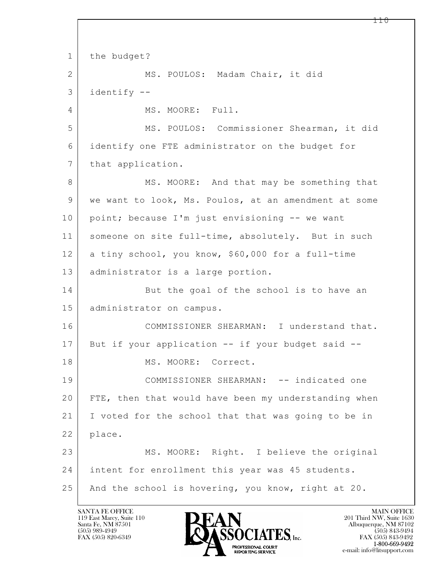$\mathbf{L}$  1 the budget? 2 MS. POULOS: Madam Chair, it did 3 identify -- 4 MS. MOORE: Full. 5 MS. POULOS: Commissioner Shearman, it did 6 identify one FTE administrator on the budget for 7 | that application. 8 MS. MOORE: And that may be something that 9 we want to look, Ms. Poulos, at an amendment at some 10 point; because I'm just envisioning -- we want 11 someone on site full-time, absolutely. But in such 12 a tiny school, you know, \$60,000 for a full-time 13 | administrator is a large portion. 14 But the goal of the school is to have an 15 administrator on campus. 16 COMMISSIONER SHEARMAN: I understand that. 17 But if your application -- if your budget said -- 18 MS. MOORE: Correct. 19 COMMISSIONER SHEARMAN: -- indicated one 20 FTE, then that would have been my understanding when 21 I voted for the school that that was going to be in 22 | place. 23 MS. MOORE: Right. I believe the original 24 intent for enrollment this year was 45 students. 25 | And the school is hovering, you know, right at 20.

119 East Marcy, Suite 110<br>Santa Fe, NM 87501

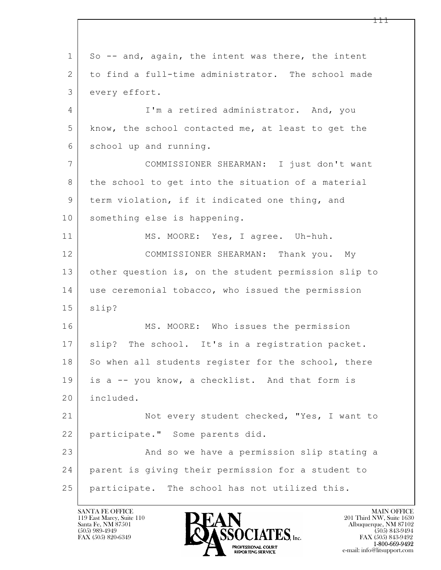$\mathbf{L}$  1 So -- and, again, the intent was there, the intent 2 to find a full-time administrator. The school made 3 every effort. 4 I'm a retired administrator. And, you 5 know, the school contacted me, at least to get the 6 school up and running. 7 COMMISSIONER SHEARMAN: I just don't want 8 the school to get into the situation of a material 9 term violation, if it indicated one thing, and 10 something else is happening. 11 | MS. MOORE: Yes, I agree. Uh-huh. 12 COMMISSIONER SHEARMAN: Thank you. My 13 other question is, on the student permission slip to 14 use ceremonial tobacco, who issued the permission 15 slip? 16 MS. MOORE: Who issues the permission 17 | slip? The school. It's in a registration packet. 18 So when all students register for the school, there 19 is a -- you know, a checklist. And that form is 20 included. 21 Not every student checked, "Yes, I want to 22 participate." Some parents did. 23 And so we have a permission slip stating a 24 parent is giving their permission for a student to 25 participate. The school has not utilized this.

119 East Marcy, Suite 110<br>Santa Fe, NM 87501

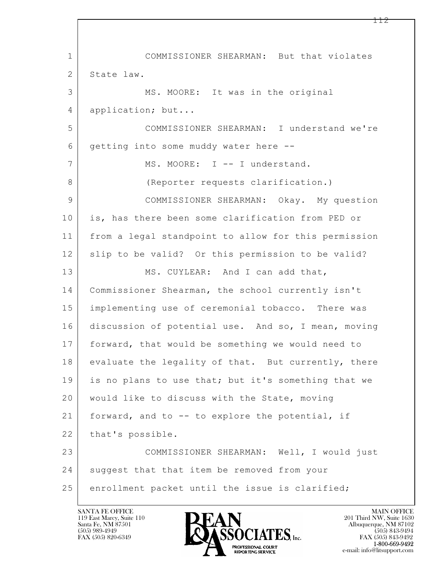$\mathbf{L}$  1 COMMISSIONER SHEARMAN: But that violates 2 State law. 3 MS. MOORE: It was in the original 4 application; but... 5 COMMISSIONER SHEARMAN: I understand we're 6 getting into some muddy water here -- 7 MS. MOORE: I -- I understand. 8 (Reporter requests clarification.) 9 COMMISSIONER SHEARMAN: Okay. My question 10 is, has there been some clarification from PED or 11 from a legal standpoint to allow for this permission 12 | slip to be valid? Or this permission to be valid? 13 MS. CUYLEAR: And I can add that, 14 Commissioner Shearman, the school currently isn't 15 implementing use of ceremonial tobacco. There was 16 discussion of potential use. And so, I mean, moving 17 forward, that would be something we would need to  $18$  evaluate the legality of that. But currently, there 19 is no plans to use that; but it's something that we 20 would like to discuss with the State, moving 21 forward, and to -- to explore the potential, if 22 | that's possible. 23 COMMISSIONER SHEARMAN: Well, I would just 24 suggest that that item be removed from your 25 enrollment packet until the issue is clarified;

119 East Marcy, Suite 110<br>Santa Fe, NM 87501

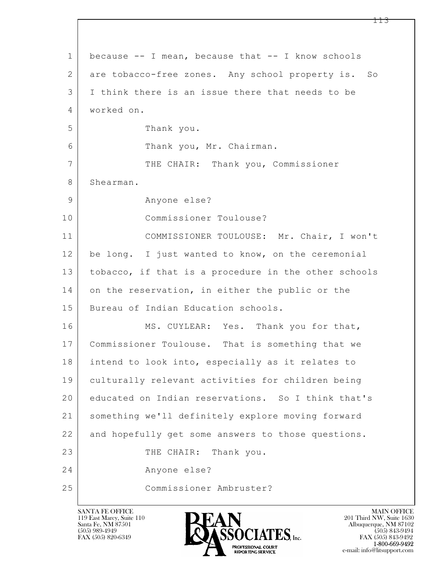$\mathbf{L}$  1 because -- I mean, because that -- I know schools 2 are tobacco-free zones. Any school property is. So 3 I think there is an issue there that needs to be 4 worked on. 5 Thank you. 6 Thank you, Mr. Chairman. 7 THE CHAIR: Thank you, Commissioner 8 Shearman. 9 Anyone else? 10 Commissioner Toulouse? 11 COMMISSIONER TOULOUSE: Mr. Chair, I won't 12 be long. I just wanted to know, on the ceremonial 13 tobacco, if that is a procedure in the other schools 14 on the reservation, in either the public or the 15 Bureau of Indian Education schools. 16 MS. CUYLEAR: Yes. Thank you for that, 17 Commissioner Toulouse. That is something that we 18 intend to look into, especially as it relates to 19 culturally relevant activities for children being 20 educated on Indian reservations. So I think that's 21 something we'll definitely explore moving forward 22 and hopefully get some answers to those questions. 23 THE CHAIR: Thank you. 24 Anyone else? 25 Commissioner Ambruster?

119 East Marcy, Suite 110<br>Santa Fe, NM 87501



FAX (505) 843-9492 e-mail: info@litsupport.com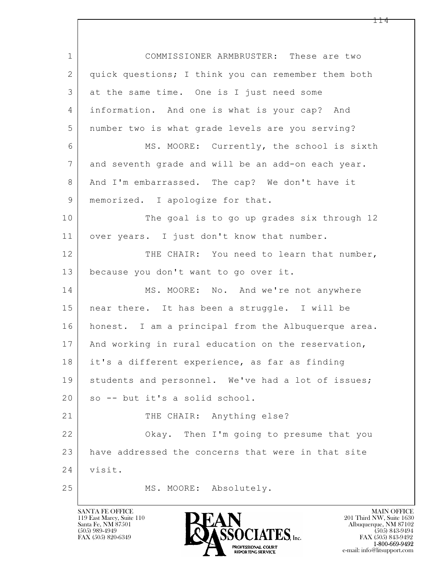$\mathbf{L}$  1 COMMISSIONER ARMBRUSTER: These are two 2 quick questions; I think you can remember them both 3 at the same time. One is I just need some 4 information. And one is what is your cap? And 5 number two is what grade levels are you serving? 6 MS. MOORE: Currently, the school is sixth 7 and seventh grade and will be an add-on each year. 8 And I'm embarrassed. The cap? We don't have it 9 | memorized. I apologize for that. 10 The goal is to go up grades six through 12 11 over years. I just don't know that number. 12 THE CHAIR: You need to learn that number, 13 because you don't want to go over it. 14 MS. MOORE: No. And we're not anywhere 15 near there. It has been a struggle. I will be 16 honest. I am a principal from the Albuquerque area. 17 | And working in rural education on the reservation, 18 it's a different experience, as far as finding 19 | students and personnel. We've had a lot of issues; 20 | so -- but it's a solid school. 21 THE CHAIR: Anything else? 22 Okay. Then I'm going to presume that you 23 have addressed the concerns that were in that site 24 visit. 25 MS. MOORE: Absolutely.

119 East Marcy, Suite 110<br>Santa Fe, NM 87501

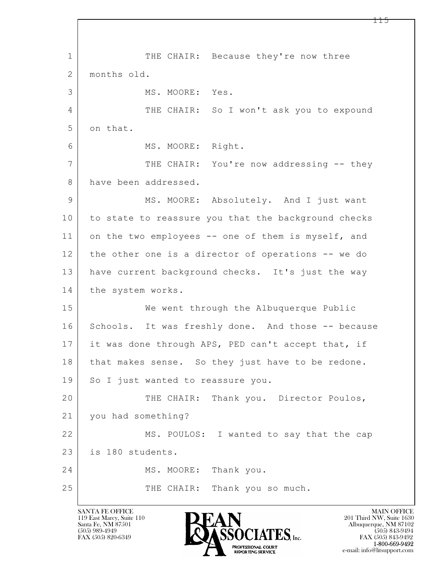$\mathbf{L}$  1 THE CHAIR: Because they're now three 2 months old. 3 MS. MOORE: Yes. 4 THE CHAIR: So I won't ask you to expound 5 on that. 6 MS. MOORE: Right. 7 THE CHAIR: You're now addressing -- they 8 have been addressed. 9 MS. MOORE: Absolutely. And I just want 10 to state to reassure you that the background checks 11 on the two employees -- one of them is myself, and 12 the other one is a director of operations -- we do 13 have current background checks. It's just the way 14 the system works. 15 We went through the Albuquerque Public 16 Schools. It was freshly done. And those -- because 17 it was done through APS, PED can't accept that, if 18 | that makes sense. So they just have to be redone. 19 So I just wanted to reassure you. 20 THE CHAIR: Thank you. Director Poulos, 21 you had something? 22 MS. POULOS: I wanted to say that the cap 23 is 180 students. 24 MS. MOORE: Thank you. 25 THE CHAIR: Thank you so much.

119 East Marcy, Suite 110<br>Santa Fe, NM 87501



FAX (505) 843-9492 e-mail: info@litsupport.com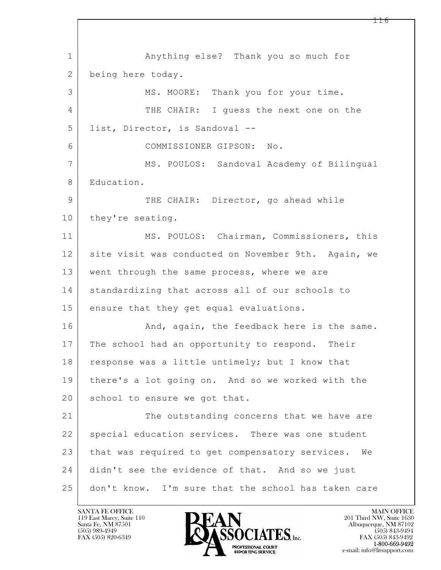$\mathbf{L}$  1 Anything else? Thank you so much for 2 being here today. 3 MS. MOORE: Thank you for your time. 4 THE CHAIR: I guess the next one on the 5 list, Director, is Sandoval -- 6 COMMISSIONER GIPSON: No. 7 MS. POULOS: Sandoval Academy of Bilingual 8 Education. 9 THE CHAIR: Director, go ahead while 10 they're seating. 11 MS. POULOS: Chairman, Commissioners, this 12 site visit was conducted on November 9th. Again, we 13 went through the same process, where we are 14 standardizing that across all of our schools to 15 ensure that they get equal evaluations. 16 And, again, the feedback here is the same. 17 The school had an opportunity to respond. Their 18 | response was a little untimely; but I know that 19 there's a lot going on. And so we worked with the 20 | school to ensure we got that. 21 The outstanding concerns that we have are 22 | special education services. There was one student 23 that was required to get compensatory services. We 24 didn't see the evidence of that. And so we just 25 don't know. I'm sure that the school has taken care

119 East Marcy, Suite 110<br>Santa Fe, NM 87501



FAX (505) 843-9492 e-mail: info@litsupport.com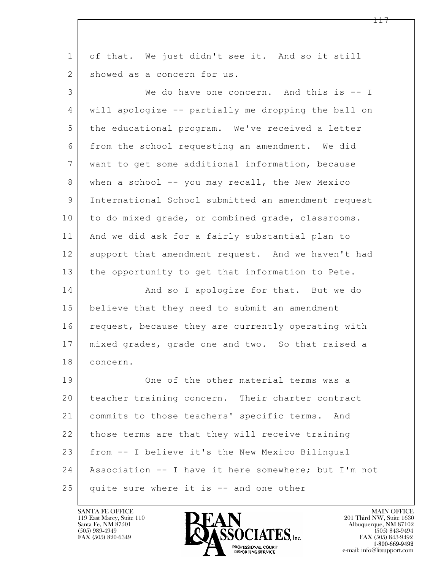| $\mathbf{1}$ | of that. We just didn't see it. And so it still      |
|--------------|------------------------------------------------------|
| 2            | showed as a concern for us.                          |
| 3            | We do have one concern. And this is -- I             |
| 4            | will apologize -- partially me dropping the ball on  |
| 5            | the educational program. We've received a letter     |
| 6            | from the school requesting an amendment. We did      |
| 7            | want to get some additional information, because     |
| 8            | when a school -- you may recall, the New Mexico      |
| 9            | International School submitted an amendment request  |
| 10           | to do mixed grade, or combined grade, classrooms.    |
| 11           | And we did ask for a fairly substantial plan to      |
| 12           | support that amendment request. And we haven't had   |
| 13           | the opportunity to get that information to Pete.     |
| 14           | And so I apologize for that. But we do               |
| 15           | believe that they need to submit an amendment        |
| 16           | request, because they are currently operating with   |
| 17           | mixed grades, grade one and two. So that raised a    |
| 18           | concern.                                             |
| 19           | One of the other material terms was a                |
| 20           | teacher training concern. Their charter contract     |
| 21           | commits to those teachers' specific terms. And       |
| 22           | those terms are that they will receive training      |
| 23           | from -- I believe it's the New Mexico Bilingual      |
| 24           | Association -- I have it here somewhere; but I'm not |
| 25           | quite sure where it is -- and one other              |

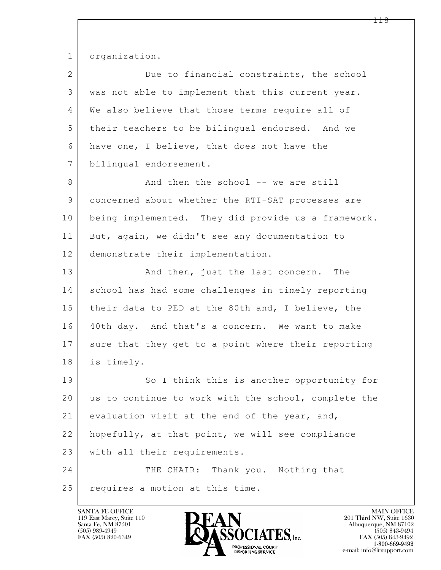1 organization.

| $\overline{2}$ | Due to financial constraints, the school             |
|----------------|------------------------------------------------------|
| 3              | was not able to implement that this current year.    |
| 4              | We also believe that those terms require all of      |
| 5              | their teachers to be bilingual endorsed. And we      |
| 6              | have one, I believe, that does not have the          |
| 7              | bilingual endorsement.                               |
| 8              | And then the school -- we are still                  |
| $\mathcal{G}$  | concerned about whether the RTI-SAT processes are    |
| 10             | being implemented. They did provide us a framework.  |
| 11             | But, again, we didn't see any documentation to       |
| 12             | demonstrate their implementation.                    |
| 13             | And then, just the last concern. The                 |
| 14             | school has had some challenges in timely reporting   |
| 15             | their data to PED at the 80th and, I believe, the    |
| 16             | 40th day. And that's a concern. We want to make      |
| 17             | sure that they get to a point where their reporting  |
| 18             | is timely.                                           |
| 19             | So I think this is another opportunity for           |
| 20             | us to continue to work with the school, complete the |
| 21             | evaluation visit at the end of the year, and,        |
| 22             | hopefully, at that point, we will see compliance     |
| 23             | with all their requirements.                         |
| 24             | THE CHAIR: Thank you. Nothing that                   |
| 25             | requires a motion at this time.                      |

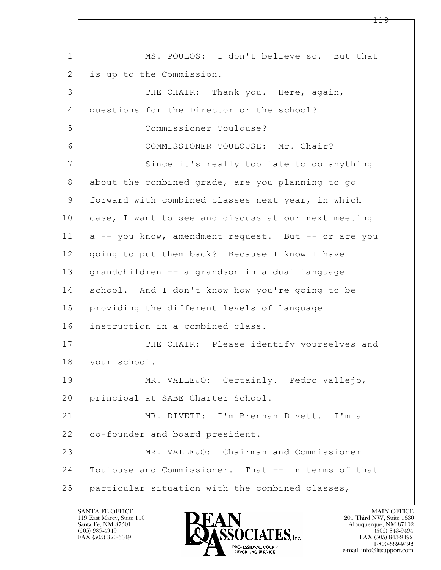$\mathbf{L}$  1 MS. POULOS: I don't believe so. But that 2 is up to the Commission. 3 THE CHAIR: Thank you. Here, again, 4 questions for the Director or the school? 5 Commissioner Toulouse? 6 COMMISSIONER TOULOUSE: Mr. Chair? 7 Since it's really too late to do anything 8 about the combined grade, are you planning to go 9 forward with combined classes next year, in which 10 case, I want to see and discuss at our next meeting 11 a -- you know, amendment request. But -- or are you 12 | going to put them back? Because I know I have 13 grandchildren -- a grandson in a dual language 14 school. And I don't know how you're going to be 15 providing the different levels of language 16 instruction in a combined class. 17 THE CHAIR: Please identify yourselves and 18 your school. 19 MR. VALLEJO: Certainly. Pedro Vallejo, 20 principal at SABE Charter School. 21 MR. DIVETT: I'm Brennan Divett. I'm a 22 co-founder and board president. 23 MR. VALLEJO: Chairman and Commissioner 24 Toulouse and Commissioner. That -- in terms of that 25 particular situation with the combined classes,

119 East Marcy, Suite 110<br>Santa Fe, NM 87501

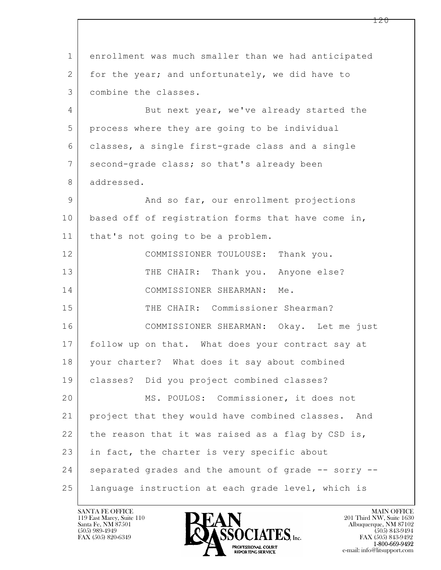$\mathbf{L}$  1 enrollment was much smaller than we had anticipated 2 for the year; and unfortunately, we did have to 3 combine the classes. 4 But next year, we've already started the 5 process where they are going to be individual 6 classes, a single first-grade class and a single 7 second-grade class; so that's already been 8 addressed. 9 And so far, our enrollment projections 10 | based off of registration forms that have come in, 11 | that's not going to be a problem. 12 | COMMISSIONER TOULOUSE: Thank you. 13 THE CHAIR: Thank you. Anyone else? 14 COMMISSIONER SHEARMAN: Me. 15 THE CHAIR: Commissioner Shearman? 16 COMMISSIONER SHEARMAN: Okay. Let me just 17 follow up on that. What does your contract say at 18 your charter? What does it say about combined 19 classes? Did you project combined classes? 20 MS. POULOS: Commissioner, it does not 21 project that they would have combined classes. And 22 the reason that it was raised as a flag by CSD is, 23 in fact, the charter is very specific about 24 separated grades and the amount of grade -- sorry --25 language instruction at each grade level, which is

119 East Marcy, Suite 110<br>Santa Fe, NM 87501



FAX (505) 843-9492 e-mail: info@litsupport.com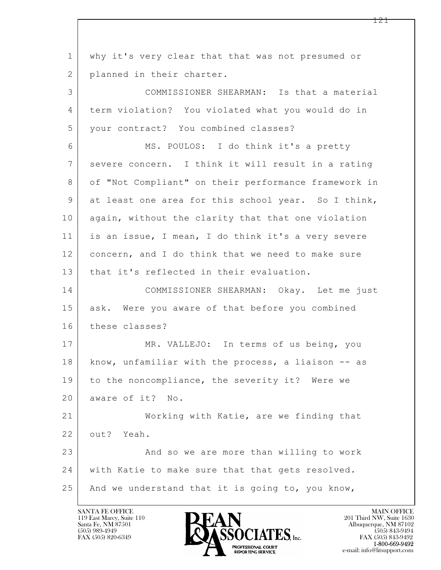$\mathbf{L}$  1 why it's very clear that that was not presumed or 2 planned in their charter. 3 COMMISSIONER SHEARMAN: Is that a material 4 term violation? You violated what you would do in 5 your contract? You combined classes? 6 MS. POULOS: I do think it's a pretty 7 severe concern. I think it will result in a rating 8 of "Not Compliant" on their performance framework in 9 at least one area for this school year. So I think, 10 again, without the clarity that that one violation 11 is an issue, I mean, I do think it's a very severe 12 concern, and I do think that we need to make sure 13 that it's reflected in their evaluation. 14 COMMISSIONER SHEARMAN: Okay. Let me just 15 | ask. Were you aware of that before you combined 16 these classes? 17 MR. VALLEJO: In terms of us being, you 18 | know, unfamiliar with the process, a liaison -- as 19 to the noncompliance, the severity it? Were we 20 aware of it? No. 21 Working with Katie, are we finding that 22 out? Yeah. 23 And so we are more than willing to work 24 with Katie to make sure that that gets resolved. 25 And we understand that it is going to, you know,

119 East Marcy, Suite 110<br>Santa Fe, NM 87501

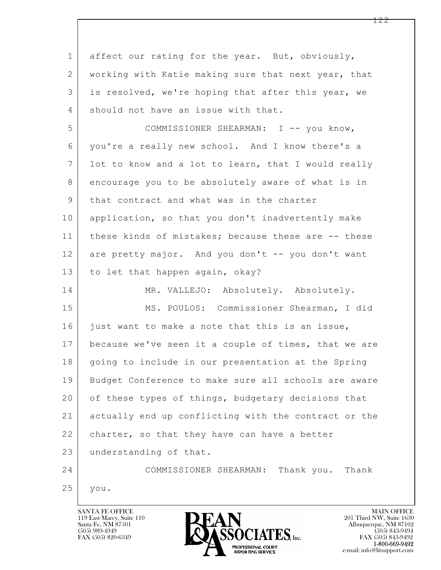$\mathbf{L}$  1 affect our rating for the year. But, obviously, 2 working with Katie making sure that next year, that 3 is resolved, we're hoping that after this year, we 4 should not have an issue with that. 5 COMMISSIONER SHEARMAN: I -- you know, 6 you're a really new school. And I know there's a 7 lot to know and a lot to learn, that I would really 8 encourage you to be absolutely aware of what is in 9 | that contract and what was in the charter 10 application, so that you don't inadvertently make 11 | these kinds of mistakes; because these are -- these 12 are pretty major. And you don't -- you don't want 13 to let that happen again, okay? 14 MR. VALLEJO: Absolutely. Absolutely. 15 MS. POULOS: Commissioner Shearman, I did 16 just want to make a note that this is an issue, 17 because we've seen it a couple of times, that we are 18 | going to include in our presentation at the Spring 19 Budget Conference to make sure all schools are aware 20 of these types of things, budgetary decisions that 21 actually end up conflicting with the contract or the 22 charter, so that they have can have a better 23 understanding of that. 24 COMMISSIONER SHEARMAN: Thank you. Thank 25 you.

119 East Marcy, Suite 110<br>Santa Fe, NM 87501

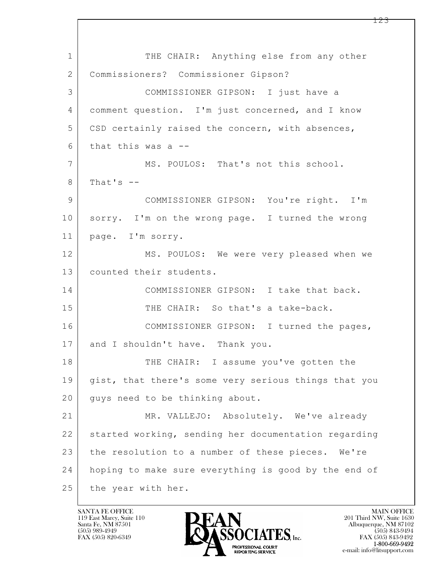$\mathbf{L}$  1 THE CHAIR: Anything else from any other 2 Commissioners? Commissioner Gipson? 3 COMMISSIONER GIPSON: I just have a 4 comment question. I'm just concerned, and I know 5 CSD certainly raised the concern, with absences,  $6$  that this was a  $-$ 7 MS. POULOS: That's not this school.  $8$  That's  $-$ 9 COMMISSIONER GIPSON: You're right. I'm 10 sorry. I'm on the wrong page. I turned the wrong 11 page. I'm sorry. 12 MS. POULOS: We were very pleased when we 13 counted their students. 14 COMMISSIONER GIPSON: I take that back. 15 THE CHAIR: So that's a take-back. 16 COMMISSIONER GIPSON: I turned the pages, 17 and I shouldn't have. Thank you. 18 THE CHAIR: I assume you've gotten the 19 gist, that there's some very serious things that you 20 guys need to be thinking about. 21 MR. VALLEJO: Absolutely. We've already 22 started working, sending her documentation regarding 23 the resolution to a number of these pieces. We're 24 hoping to make sure everything is good by the end of 25 the year with her.

119 East Marcy, Suite 110<br>Santa Fe, NM 87501

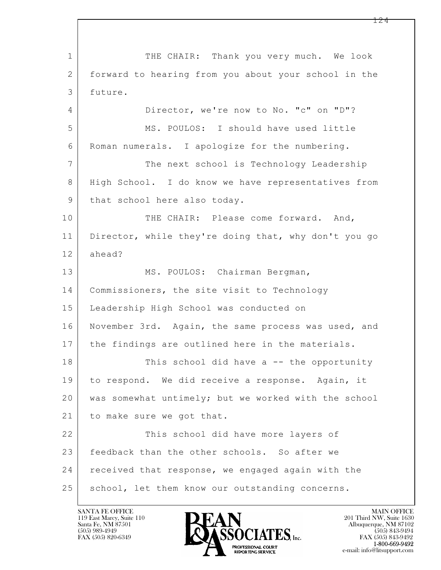$\mathbf{L}$  1 THE CHAIR: Thank you very much. We look 2 forward to hearing from you about your school in the 3 future. 4 Director, we're now to No. "c" on "D"? 5 MS. POULOS: I should have used little 6 Roman numerals. I apologize for the numbering. 7 The next school is Technology Leadership 8 High School. I do know we have representatives from 9 | that school here also today. 10 THE CHAIR: Please come forward. And, 11 Director, while they're doing that, why don't you go 12 ahead? 13 | MS. POULOS: Chairman Bergman, 14 Commissioners, the site visit to Technology 15 Leadership High School was conducted on 16 November 3rd. Again, the same process was used, and 17 the findings are outlined here in the materials. 18 | This school did have a -- the opportunity 19 to respond. We did receive a response. Again, it 20 was somewhat untimely; but we worked with the school 21 to make sure we got that. 22 This school did have more layers of 23 feedback than the other schools. So after we 24 received that response, we engaged again with the 25 | school, let them know our outstanding concerns.

119 East Marcy, Suite 110<br>Santa Fe, NM 87501



FAX (505) 843-9492 e-mail: info@litsupport.com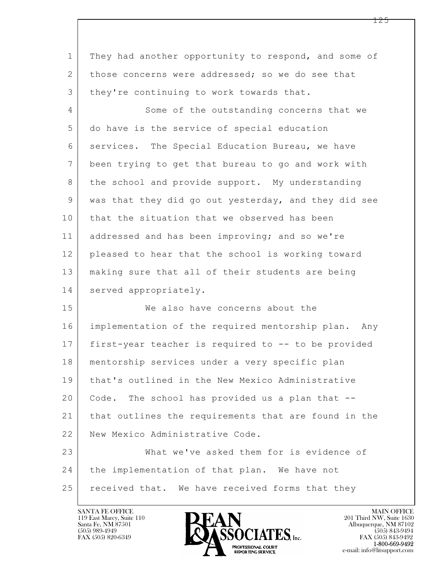| $\mathbf 1$    | They had another opportunity to respond, and some of   |
|----------------|--------------------------------------------------------|
| $\overline{2}$ | those concerns were addressed; so we do see that       |
| 3              | they're continuing to work towards that.               |
| $\overline{4}$ | Some of the outstanding concerns that we               |
| 5              | do have is the service of special education            |
| 6              | services. The Special Education Bureau, we have        |
| 7              | been trying to get that bureau to go and work with     |
| 8              | the school and provide support. My understanding       |
| 9              | was that they did go out yesterday, and they did see   |
| 10             | that the situation that we observed has been           |
| 11             | addressed and has been improving; and so we're         |
| 12             | pleased to hear that the school is working toward      |
| 13             | making sure that all of their students are being       |
| 14             | served appropriately.                                  |
| 15             | We also have concerns about the                        |
| 16             | implementation of the required mentorship plan.<br>Any |
| 17             | first-year teacher is required to -- to be provided    |
| 18             | mentorship services under a very specific plan         |
| 19             | that's outlined in the New Mexico Administrative       |
| 20             | Code. The school has provided us a plan that --        |
| 21             | that outlines the requirements that are found in the   |
| 22             | New Mexico Administrative Code.                        |
| 23             | What we've asked them for is evidence of               |
| 24             | the implementation of that plan. We have not           |
| 25             | received that. We have received forms that they        |

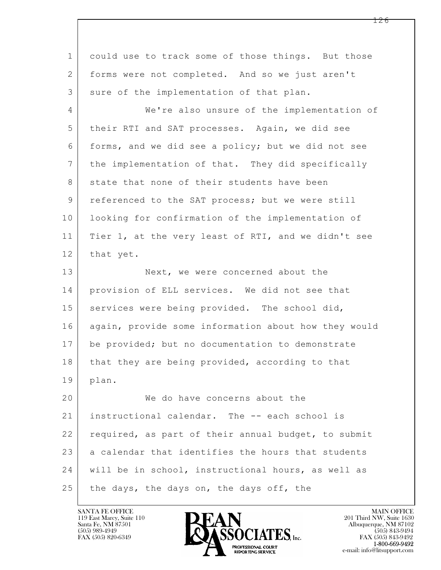| $\mathbf 1$     | could use to track some of those things. But those   |
|-----------------|------------------------------------------------------|
| 2               | forms were not completed. And so we just aren't      |
| 3               | sure of the implementation of that plan.             |
| 4               | We're also unsure of the implementation of           |
| 5               | their RTI and SAT processes. Again, we did see       |
| 6               | forms, and we did see a policy; but we did not see   |
| $7\phantom{.0}$ | the implementation of that. They did specifically    |
| $8\,$           | state that none of their students have been          |
| $\mathsf 9$     | referenced to the SAT process; but we were still     |
| 10              | looking for confirmation of the implementation of    |
| 11              | Tier 1, at the very least of RTI, and we didn't see  |
| 12              | that yet.                                            |
| 13              | Next, we were concerned about the                    |
| 14              | provision of ELL services. We did not see that       |
| 15              | services were being provided. The school did,        |
| 16              | again, provide some information about how they would |
| 17              | be provided; but no documentation to demonstrate     |
| 18              | that they are being provided, according to that      |
| 19              | plan.                                                |
| 20              | We do have concerns about the                        |
| 21              | instructional calendar. The -- each school is        |
| 22              | required, as part of their annual budget, to submit  |
| 23              | a calendar that identifies the hours that students   |
| 24              | will be in school, instructional hours, as well as   |
| 25              | the days, the days on, the days off, the             |

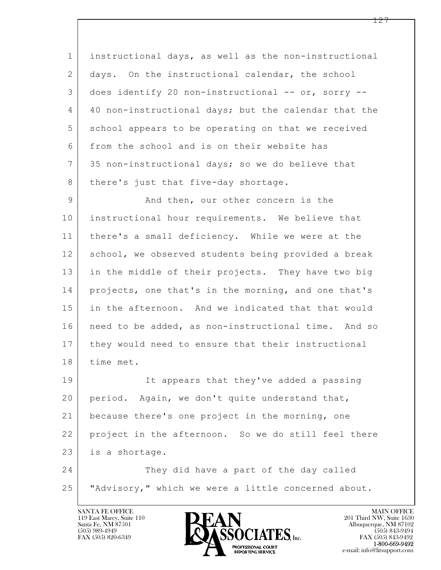1 instructional days, as well as the non-instructional 2 days. On the instructional calendar, the school 3 does identify 20 non-instructional -- or, sorry -- 4 40 non-instructional days; but the calendar that the 5 school appears to be operating on that we received 6 from the school and is on their website has 7 35 non-instructional days; so we do believe that 8 | there's just that five-day shortage. 9 And then, our other concern is the

10 instructional hour requirements. We believe that 11 there's a small deficiency. While we were at the 12 school, we observed students being provided a break 13 in the middle of their projects. They have two big 14 projects, one that's in the morning, and one that's 15 in the afternoon. And we indicated that that would 16 need to be added, as non-instructional time. And so 17 they would need to ensure that their instructional 18 time met.

 $\mathbf{L}$ 19 It appears that they've added a passing 20 period. Again, we don't quite understand that, 21 because there's one project in the morning, one 22 | project in the afternoon. So we do still feel there 23 is a shortage.

 24 They did have a part of the day called 25 "Advisory," which we were a little concerned about.

119 East Marcy, Suite 110<br>Santa Fe, NM 87501



FAX (505) 843-9492 e-mail: info@litsupport.com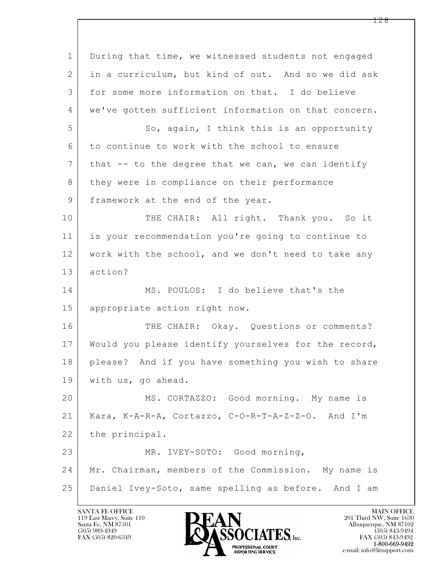$\mathbf{L}$  1 During that time, we witnessed students not engaged 2 in a curriculum, but kind of out. And so we did ask 3 for some more information on that. I do believe 4 we've gotten sufficient information on that concern. 5 So, again, I think this is an opportunity 6 to continue to work with the school to ensure  $7$  that  $-$  to the degree that we can, we can identify 8 they were in compliance on their performance 9 framework at the end of the year. 10 THE CHAIR: All right. Thank you. So it 11 is your recommendation you're going to continue to 12 work with the school, and we don't need to take any 13 action? 14 MS. POULOS: I do believe that's the 15 appropriate action right now. 16 THE CHAIR: Okay. Questions or comments? 17 Would you please identify yourselves for the record, 18 please? And if you have something you wish to share 19 with us, go ahead. 20 MS. CORTAZZO: Good morning. My name is 21 Kara, K-A-R-A, Cortazzo, C-O-R-T-A-Z-Z-O. And I'm 22 the principal. 23 MR. IVEY-SOTO: Good morning, 24 Mr. Chairman, members of the Commission. My name is 25 Daniel Ivey-Soto, same spelling as before. And I am

119 East Marcy, Suite 110<br>Santa Fe, NM 87501

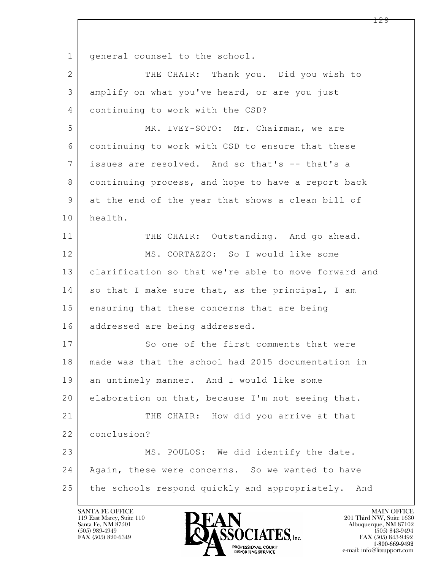$\mathbf{L}$  1 | general counsel to the school. 2 THE CHAIR: Thank you. Did you wish to 3 amplify on what you've heard, or are you just 4 continuing to work with the CSD? 5 MR. IVEY-SOTO: Mr. Chairman, we are 6 continuing to work with CSD to ensure that these 7 issues are resolved. And so that's -- that's a 8 continuing process, and hope to have a report back 9 at the end of the year that shows a clean bill of 10 health. 11 THE CHAIR: Outstanding. And go ahead. 12 MS. CORTAZZO: So I would like some 13 clarification so that we're able to move forward and 14 so that I make sure that, as the principal, I am 15 ensuring that these concerns that are being 16 addressed are being addressed. 17 So one of the first comments that were 18 made was that the school had 2015 documentation in 19 an untimely manner. And I would like some 20 elaboration on that, because I'm not seeing that. 21 THE CHAIR: How did you arrive at that 22 conclusion? 23 MS. POULOS: We did identify the date. 24 | Again, these were concerns. So we wanted to have 25 the schools respond quickly and appropriately. And

119 East Marcy, Suite 110<br>Santa Fe, NM 87501

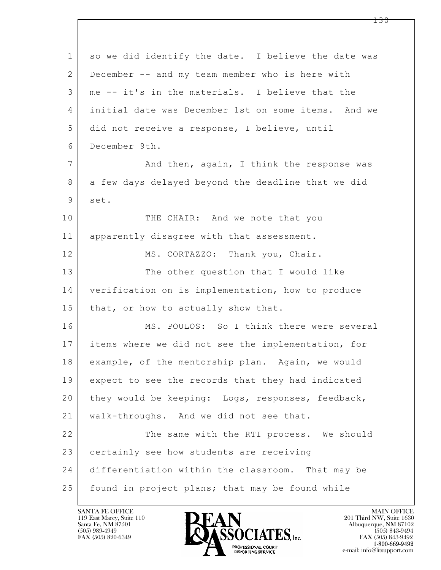| $\mathbf 1$    | so we did identify the date. I believe the date was |
|----------------|-----------------------------------------------------|
| 2              | December -- and my team member who is here with     |
| 3              | me -- it's in the materials. I believe that the     |
| 4              | initial date was December 1st on some items. And we |
| 5              | did not receive a response, I believe, until        |
| 6              | December 9th.                                       |
| $7\phantom{.}$ | And then, again, I think the response was           |
| 8              | a few days delayed beyond the deadline that we did  |
| 9              | set.                                                |
| 10             | THE CHAIR: And we note that you                     |
| 11             | apparently disagree with that assessment.           |
| 12             | MS. CORTAZZO: Thank you, Chair.                     |
| 13             | The other question that I would like                |
| 14             | verification on is implementation, how to produce   |
| 15             | that, or how to actually show that.                 |
| 16             | MS. POULOS: So I think there were several           |
| 17             | items where we did not see the implementation, for  |
| 18             | example, of the mentorship plan. Again, we would    |
| 19             | expect to see the records that they had indicated   |
| 20             | they would be keeping: Logs, responses, feedback,   |
| 21             | walk-throughs. And we did not see that.             |
| 22             | The same with the RTI process. We should            |
| 23             | certainly see how students are receiving            |
| 24             | differentiation within the classroom. That may be   |
| 25             | found in project plans; that may be found while     |

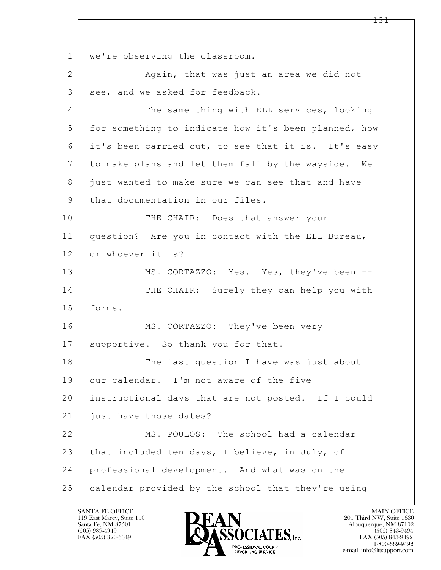$\mathbf{L}$  1 | we're observing the classroom. 2 Again, that was just an area we did not 3 see, and we asked for feedback. 4 The same thing with ELL services, looking 5 for something to indicate how it's been planned, how 6 it's been carried out, to see that it is. It's easy 7 to make plans and let them fall by the wayside. We 8 just wanted to make sure we can see that and have 9 | that documentation in our files. 10 THE CHAIR: Does that answer your 11 question? Are you in contact with the ELL Bureau, 12 or whoever it is? 13 MS. CORTAZZO: Yes. Yes, they've been --14 THE CHAIR: Surely they can help you with 15 forms. 16 MS. CORTAZZO: They've been very 17 | supportive. So thank you for that. 18 The last question I have was just about 19 our calendar. I'm not aware of the five 20 instructional days that are not posted. If I could 21 *just* have those dates? 22 MS. POULOS: The school had a calendar 23 that included ten days, I believe, in July, of 24 professional development. And what was on the 25 calendar provided by the school that they're using

119 East Marcy, Suite 110<br>Santa Fe, NM 87501

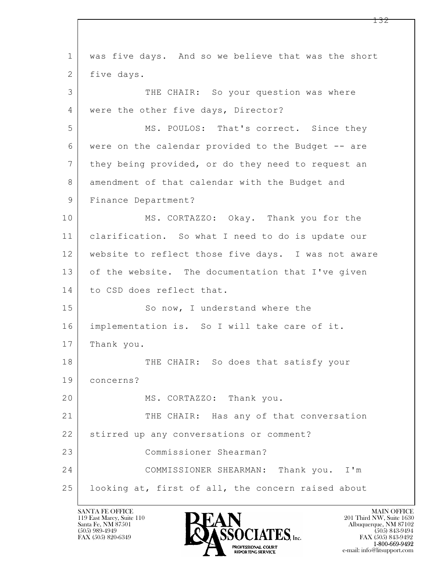$\mathbf{L}$  1 was five days. And so we believe that was the short 2 five days. 3 THE CHAIR: So your question was where 4 | were the other five days, Director? 5 MS. POULOS: That's correct. Since they 6 were on the calendar provided to the Budget -- are 7 they being provided, or do they need to request an 8 amendment of that calendar with the Budget and 9 | Finance Department? 10 MS. CORTAZZO: Okay. Thank you for the 11 clarification. So what I need to do is update our 12 website to reflect those five days. I was not aware 13 of the website. The documentation that I've given 14 to CSD does reflect that. 15 So now, I understand where the 16 implementation is. So I will take care of it. 17 Thank you. 18 THE CHAIR: So does that satisfy your 19 concerns? 20 MS. CORTAZZO: Thank you. 21 THE CHAIR: Has any of that conversation 22 stirred up any conversations or comment? 23 Commissioner Shearman? 24 COMMISSIONER SHEARMAN: Thank you. I'm 25 | looking at, first of all, the concern raised about

119 East Marcy, Suite 110<br>Santa Fe, NM 87501

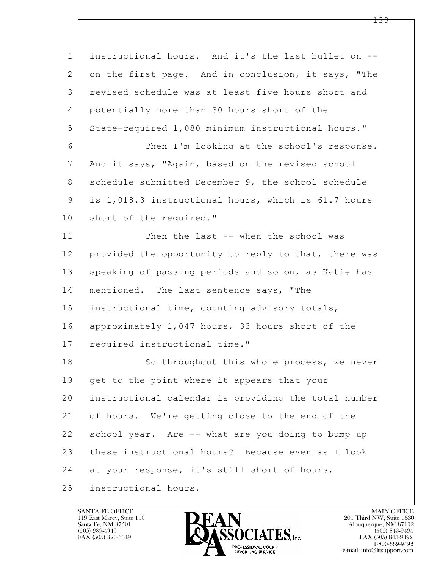| $\mathbf 1$    | instructional hours. And it's the last bullet on --  |
|----------------|------------------------------------------------------|
| $\overline{2}$ | on the first page. And in conclusion, it says, "The  |
| 3              | revised schedule was at least five hours short and   |
| 4              | potentially more than 30 hours short of the          |
| 5              | State-required 1,080 minimum instructional hours."   |
| 6              | Then I'm looking at the school's response.           |
| $\overline{7}$ | And it says, "Again, based on the revised school     |
| 8              | schedule submitted December 9, the school schedule   |
| 9              | is 1,018.3 instructional hours, which is 61.7 hours  |
| 10             | short of the required."                              |
| 11             | Then the last -- when the school was                 |
| 12             | provided the opportunity to reply to that, there was |
| 13             | speaking of passing periods and so on, as Katie has  |
| 14             | mentioned. The last sentence says, "The              |
| 15             | instructional time, counting advisory totals,        |
| 16             | approximately 1,047 hours, 33 hours short of the     |
| 17             | required instructional time."                        |
| 18             | So throughout this whole process, we never           |
| 19             | get to the point where it appears that your          |
| 20             | instructional calendar is providing the total number |
| 21             | of hours. We're getting close to the end of the      |
| 22             | school year. Are -- what are you doing to bump up    |
| 23             | these instructional hours? Because even as I look    |
| 24             | at your response, it's still short of hours,         |
| 25             | instructional hours.                                 |

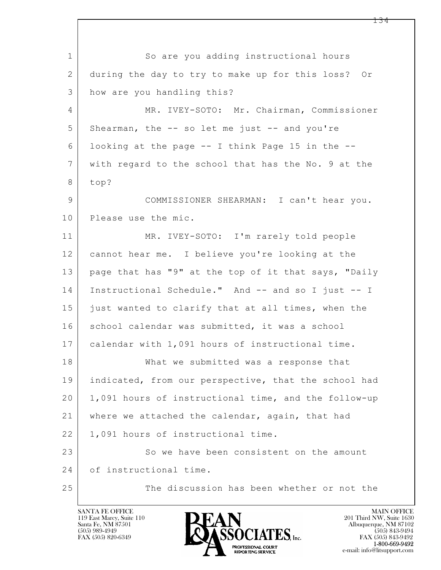$\mathbf{L}$  1 So are you adding instructional hours 2 during the day to try to make up for this loss? Or 3 how are you handling this? 4 MR. IVEY-SOTO: Mr. Chairman, Commissioner 5 Shearman, the -- so let me just -- and you're 6 looking at the page -- I think Page 15 in the -- 7 with regard to the school that has the No. 9 at the 8 top? 9 COMMISSIONER SHEARMAN: I can't hear you. 10 Please use the mic. 11 MR. IVEY-SOTO: I'm rarely told people 12 cannot hear me. I believe you're looking at the 13 | page that has "9" at the top of it that says, "Daily 14 Instructional Schedule." And -- and so I just -- I 15 just wanted to clarify that at all times, when the 16 school calendar was submitted, it was a school 17 calendar with 1,091 hours of instructional time. 18 | What we submitted was a response that 19 indicated, from our perspective, that the school had 20 1,091 hours of instructional time, and the follow-up 21 where we attached the calendar, again, that had 22 | 1,091 hours of instructional time. 23 So we have been consistent on the amount 24 of instructional time. 25 The discussion has been whether or not the

119 East Marcy, Suite 110<br>Santa Fe, NM 87501

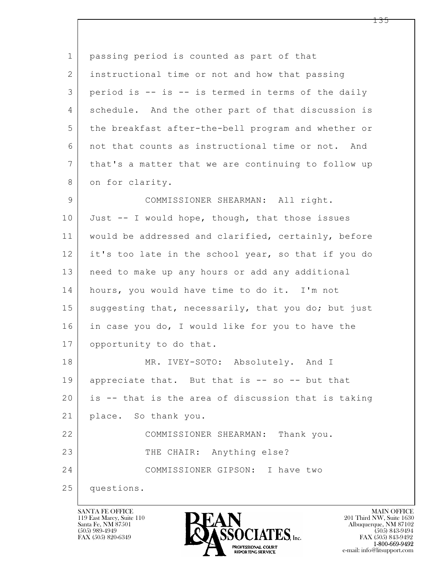| $\mathbf 1$ | passing period is counted as part of that           |
|-------------|-----------------------------------------------------|
| 2           | instructional time or not and how that passing      |
| 3           | period is -- is -- is termed in terms of the daily  |
| 4           | schedule. And the other part of that discussion is  |
| 5           | the breakfast after-the-bell program and whether or |
| 6           | not that counts as instructional time or not. And   |
| 7           | that's a matter that we are continuing to follow up |
| 8           | on for clarity.                                     |
| 9           | COMMISSIONER SHEARMAN: All right.                   |
| 10          | Just -- I would hope, though, that those issues     |
| 11          | would be addressed and clarified, certainly, before |
| 12          | it's too late in the school year, so that if you do |
| 13          | need to make up any hours or add any additional     |
| 14          | hours, you would have time to do it. I'm not        |
| 15          | suggesting that, necessarily, that you do; but just |
| 16          | in case you do, I would like for you to have the    |
| 17          | opportunity to do that.                             |
| 18          | MR. IVEY-SOTO: Absolutely. And I                    |
| 19          | appreciate that. But that is -- so -- but that      |
| 20          | is -- that is the area of discussion that is taking |
| 21          | place. So thank you.                                |
| 22          | COMMISSIONER SHEARMAN: Thank you.                   |
| 23          | THE CHAIR: Anything else?                           |
| 24          | COMMISSIONER GIPSON: I have two                     |
| 25          | questions.                                          |

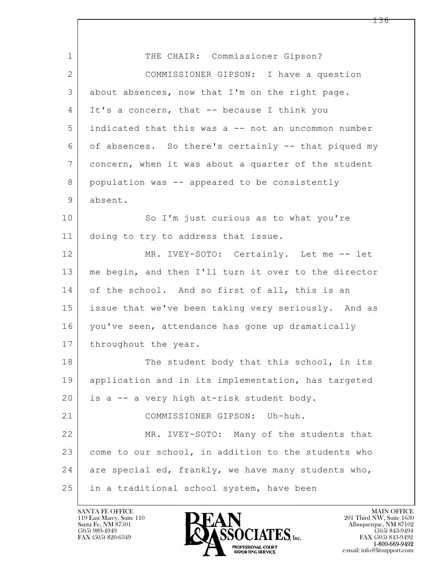| 1              | THE CHAIR: Commissioner Gipson?                      |
|----------------|------------------------------------------------------|
| $\mathbf{2}$   | COMMISSIONER GIPSON: I have a question               |
| 3              | about absences, now that I'm on the right page.      |
| 4              | It's a concern, that -- because I think you          |
| 5              | indicated that this was a -- not an uncommon number  |
| 6              | of absences. So there's certainly -- that piqued my  |
| $\overline{7}$ | concern, when it was about a quarter of the student  |
| 8              | population was -- appeared to be consistently        |
| 9              | absent.                                              |
| 10             | So I'm just curious as to what you're                |
| 11             | doing to try to address that issue.                  |
| 12             | MR. IVEY-SOTO: Certainly. Let me -- let              |
| 13             | me begin, and then I'll turn it over to the director |
| 14             | of the school. And so first of all, this is an       |
| 15             | issue that we've been taking very seriously. And as  |
| 16             | you've seen, attendance has gone up dramatically     |
| 17             | throughout the year.                                 |
| 18             | The student body that this school, in its            |
| 19             | application and in its implementation, has targeted  |
| 20             | is a -- a very high at-risk student body.            |
| 21             | COMMISSIONER GIPSON: Uh-huh.                         |
| 22             | MR. IVEY-SOTO: Many of the students that             |
| 23             | come to our school, in addition to the students who  |
| 24             | are special ed, frankly, we have many students who,  |
| 25             | in a traditional school system, have been            |

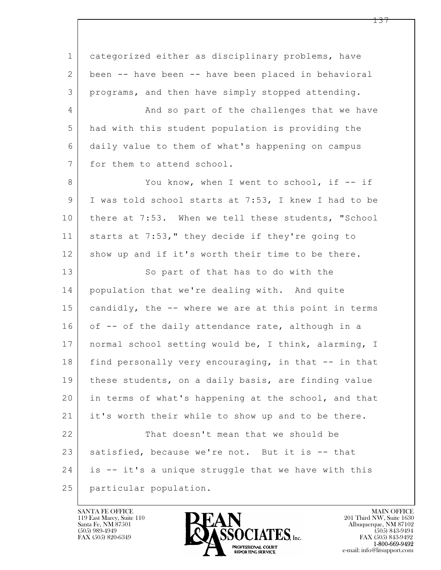$\mathbf{L}$  1 categorized either as disciplinary problems, have 2 been -- have been -- have been placed in behavioral 3 programs, and then have simply stopped attending. 4 And so part of the challenges that we have 5 had with this student population is providing the 6 daily value to them of what's happening on campus 7 for them to attend school. 8 You know, when I went to school, if -- if 9 I was told school starts at 7:53, I knew I had to be 10 there at 7:53. When we tell these students, "School 11 starts at 7:53," they decide if they're going to 12 show up and if it's worth their time to be there. 13 So part of that has to do with the 14 population that we're dealing with. And quite 15 candidly, the -- where we are at this point in terms 16 of  $-$ - of the daily attendance rate, although in a 17 | normal school setting would be, I think, alarming, I 18 find personally very encouraging, in that -- in that 19 | these students, on a daily basis, are finding value 20 in terms of what's happening at the school, and that 21 it's worth their while to show up and to be there. 22 That doesn't mean that we should be 23 satisfied, because we're not. But it is -- that 24 is -- it's a unique struggle that we have with this 25 particular population.

119 East Marcy, Suite 110<br>Santa Fe, NM 87501

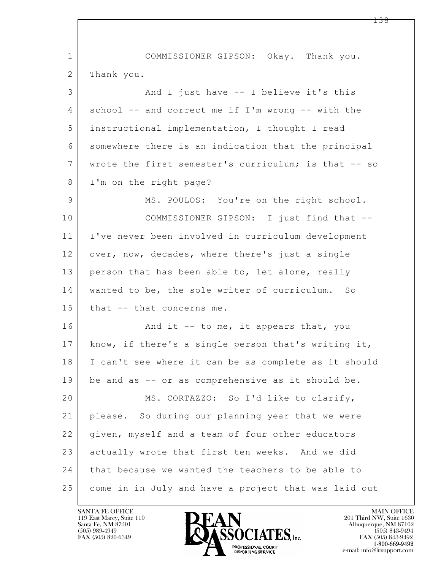$\mathbf{L}$  1 COMMISSIONER GIPSON: Okay. Thank you. 2 Thank you. 3 And I just have -- I believe it's this 4 school -- and correct me if I'm wrong -- with the 5 instructional implementation, I thought I read 6 somewhere there is an indication that the principal 7 wrote the first semester's curriculum; is that -- so 8 I'm on the right page? 9 MS. POULOS: You're on the right school. 10 COMMISSIONER GIPSON: I just find that -- 11 I've never been involved in curriculum development 12 over, now, decades, where there's just a single 13 person that has been able to, let alone, really 14 wanted to be, the sole writer of curriculum. So 15 that -- that concerns me. 16  $\vert$  and it -- to me, it appears that, you 17 know, if there's a single person that's writing it, 18 I can't see where it can be as complete as it should 19 be and as -- or as comprehensive as it should be. 20 MS. CORTAZZO: So I'd like to clarify, 21 please. So during our planning year that we were 22 | given, myself and a team of four other educators 23 actually wrote that first ten weeks. And we did 24 that because we wanted the teachers to be able to 25 come in in July and have a project that was laid out

119 East Marcy, Suite 110<br>Santa Fe, NM 87501



FAX (505) 843-9492 e-mail: info@litsupport.com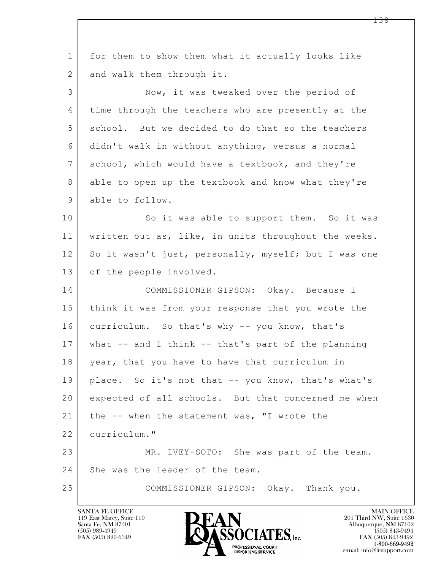| $\mathbf 1$    | for them to show them what it actually looks like      |
|----------------|--------------------------------------------------------|
| $\mathbf{2}$   | and walk them through it.                              |
| 3              | Now, it was tweaked over the period of                 |
| 4              | time through the teachers who are presently at the     |
| 5              | school. But we decided to do that so the teachers      |
| 6              | didn't walk in without anything, versus a normal       |
| $7\phantom{.}$ | school, which would have a textbook, and they're       |
| 8              | able to open up the textbook and know what they're     |
| 9              | able to follow.                                        |
| 10             | So it was able to support them. So it was              |
| 11             | written out as, like, in units throughout the weeks.   |
| 12             | So it wasn't just, personally, myself; but I was one   |
| 13             | of the people involved.                                |
| 14             | COMMISSIONER GIPSON: Okay. Because I                   |
| 15             | think it was from your response that you wrote the     |
| 16             | curriculum. So that's why -- you know, that's          |
| 17             | what $--$ and I think $--$ that's part of the planning |
| 18             | year, that you have to have that curriculum in         |
| 19             | place. So it's not that -- you know, that's what's     |
| 20             | expected of all schools. But that concerned me when    |
| 21             | the -- when the statement was, "I wrote the            |
| 22             | curriculum."                                           |
| 23             | MR. IVEY-SOTO: She was part of the team.               |
| 24             | She was the leader of the team.                        |
| 25             | COMMISSIONER GIPSON: Okay. Thank you.                  |
|                |                                                        |

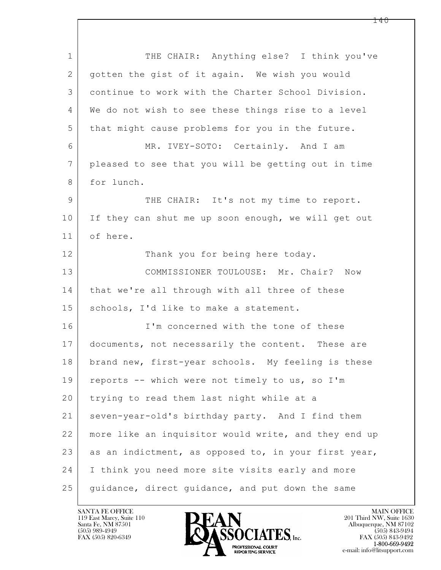| $\mathbf 1$    | THE CHAIR: Anything else? I think you've             |
|----------------|------------------------------------------------------|
| $\overline{2}$ | gotten the gist of it again. We wish you would       |
| 3              | continue to work with the Charter School Division.   |
| 4              | We do not wish to see these things rise to a level   |
| 5              | that might cause problems for you in the future.     |
| 6              | MR. IVEY-SOTO: Certainly. And I am                   |
| $7\phantom{.}$ | pleased to see that you will be getting out in time  |
| 8              | for lunch.                                           |
| 9              | THE CHAIR: It's not my time to report.               |
| 10             | If they can shut me up soon enough, we will get out  |
| 11             | of here.                                             |
| 12             | Thank you for being here today.                      |
| 13             | COMMISSIONER TOULOUSE: Mr. Chair? Now                |
| 14             | that we're all through with all three of these       |
| 15             | schools, I'd like to make a statement.               |
| 16             | I'm concerned with the tone of these                 |
| 17             | documents, not necessarily the content. These are    |
| 18             | brand new, first-year schools. My feeling is these   |
| 19             | reports -- which were not timely to us, so I'm       |
| 20             | trying to read them last night while at a            |
| 21             | seven-year-old's birthday party. And I find them     |
| 22             | more like an inquisitor would write, and they end up |
| 23             | as an indictment, as opposed to, in your first year, |
| 24             | I think you need more site visits early and more     |
| 25             | guidance, direct guidance, and put down the same     |

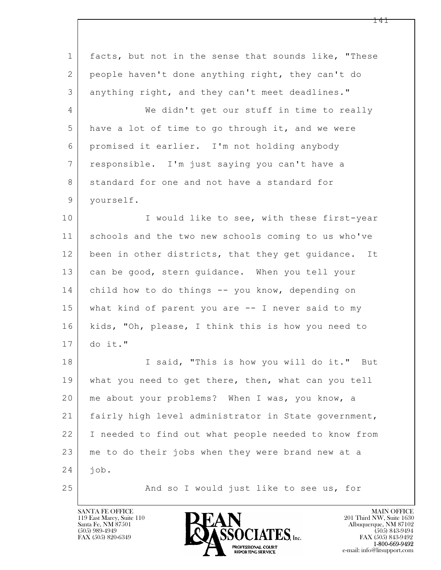| $\mathbf 1$    | facts, but not in the sense that sounds like, "These   |
|----------------|--------------------------------------------------------|
| 2              | people haven't done anything right, they can't do      |
| 3              | anything right, and they can't meet deadlines."        |
| 4              | We didn't get our stuff in time to really              |
| 5              | have a lot of time to go through it, and we were       |
| 6              | promised it earlier. I'm not holding anybody           |
| $7\phantom{.}$ | responsible. I'm just saying you can't have a          |
| 8              | standard for one and not have a standard for           |
| 9              | yourself.                                              |
| 10             | I would like to see, with these first-year             |
| 11             | schools and the two new schools coming to us who've    |
| 12             | been in other districts, that they get guidance.<br>It |
| 13             | can be good, stern guidance. When you tell your        |
| 14             | child how to do things -- you know, depending on       |
| 15             | what kind of parent you are $-$ - I never said to my   |
| 16             | kids, "Oh, please, I think this is how you need to     |
| 17             | do it."                                                |
| 18             | I said, "This is how you will do it." But              |
| 19             | what you need to get there, then, what can you tell    |
| 20             | me about your problems? When I was, you know, a        |
| 21             | fairly high level administrator in State government,   |
| 22             | I needed to find out what people needed to know from   |
| 23             | me to do their jobs when they were brand new at a      |
| 24             | job.                                                   |
| 25             | And so I would just like to see us, for                |

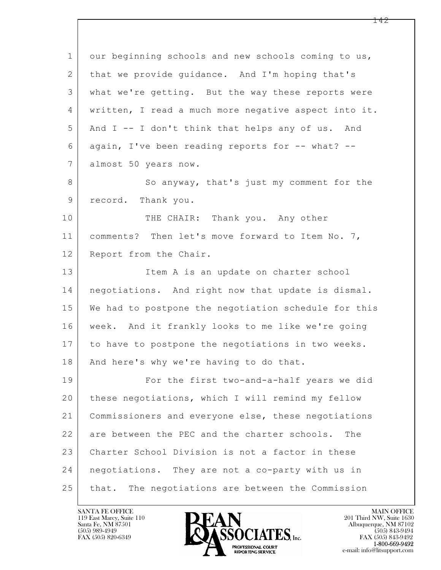| $\mathbf 1$    | our beginning schools and new schools coming to us,  |
|----------------|------------------------------------------------------|
| 2              | that we provide quidance. And I'm hoping that's      |
| 3              | what we're getting. But the way these reports were   |
| 4              | written, I read a much more negative aspect into it. |
| 5              | And I -- I don't think that helps any of us. And     |
| 6              | again, I've been reading reports for -- what? --     |
| $7\phantom{.}$ | almost 50 years now.                                 |
| 8              | So anyway, that's just my comment for the            |
| 9              | record. Thank you.                                   |
| 10             | THE CHAIR: Thank you. Any other                      |
| 11             | comments? Then let's move forward to Item No. 7,     |
| 12             | Report from the Chair.                               |
| 13             | Item A is an update on charter school                |
| 14             | negotiations. And right now that update is dismal.   |
| 15             | We had to postpone the negotiation schedule for this |
| 16             | week. And it frankly looks to me like we're going    |
| 17             | to have to postpone the negotiations in two weeks.   |
| 18             | And here's why we're having to do that.              |
| 19             | For the first two-and-a-half years we did            |
| 20             | these negotiations, which I will remind my fellow    |
| 21             | Commissioners and everyone else, these negotiations  |
| 22             | are between the PEC and the charter schools.<br>The  |
| 23             | Charter School Division is not a factor in these     |
| 24             | negotiations. They are not a co-party with us in     |
| 25             | The negotiations are between the Commission<br>that. |

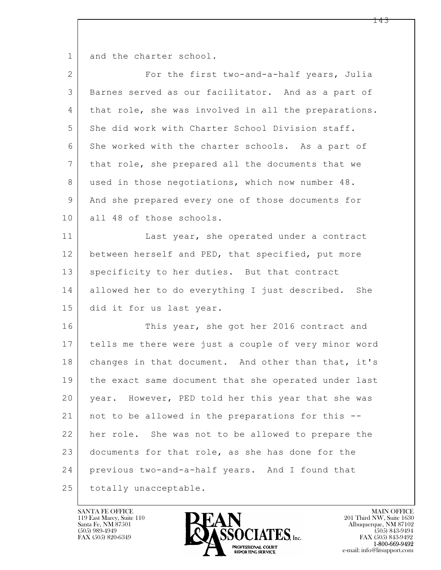1 and the charter school.

| $\mathbf{2}$ | For the first two-and-a-half years, Julia            |
|--------------|------------------------------------------------------|
| 3            | Barnes served as our facilitator. And as a part of   |
| 4            | that role, she was involved in all the preparations. |
| 5            | She did work with Charter School Division staff.     |
| 6            | She worked with the charter schools. As a part of    |
| 7            | that role, she prepared all the documents that we    |
| 8            | used in those negotiations, which now number 48.     |
| 9            | And she prepared every one of those documents for    |
| 10           | all 48 of those schools.                             |
| 11           | Last year, she operated under a contract             |
| 12           | between herself and PED, that specified, put more    |
| 13           | specificity to her duties. But that contract         |
| 14           | allowed her to do everything I just described. She   |
| 15           | did it for us last year.                             |
| 16           | This year, she got her 2016 contract and             |
| 17           | tells me there were just a couple of very minor word |
| 18           | changes in that document. And other than that, it's  |
| 19           | the exact same document that she operated under last |
| 20           | year. However, PED told her this year that she was   |
| 21           | not to be allowed in the preparations for this --    |
| 22           | her role. She was not to be allowed to prepare the   |
| 23           | documents for that role, as she has done for the     |
| 24           | previous two-and-a-half years. And I found that      |
| 25           | totally unacceptable.                                |

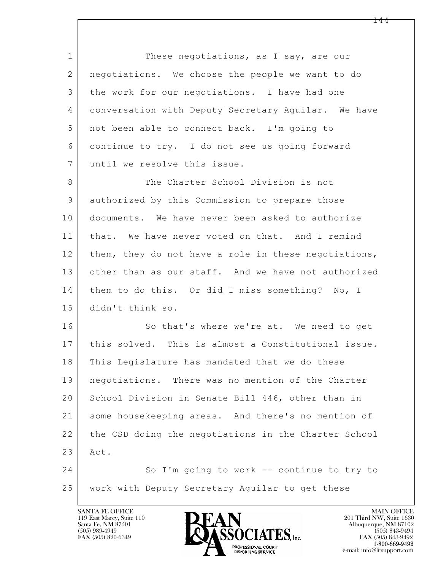1 These negotiations, as I say, are our 2 negotiations. We choose the people we want to do 3 the work for our negotiations. I have had one 4 conversation with Deputy Secretary Aguilar. We have 5 not been able to connect back. I'm going to 6 continue to try. I do not see us going forward 7 | until we resolve this issue. 8 The Charter School Division is not 9 authorized by this Commission to prepare those 10 documents. We have never been asked to authorize 11 that. We have never voted on that. And I remind 12 them, they do not have a role in these negotiations,

14 them to do this. Or did I miss something? No, I 15 didn't think so.

13 other than as our staff. And we have not authorized

16 So that's where we're at. We need to get 17 this solved. This is almost a Constitutional issue. 18 This Legislature has mandated that we do these 19 negotiations. There was no mention of the Charter 20 School Division in Senate Bill 446, other than in 21 some housekeeping areas. And there's no mention of 22 the CSD doing the negotiations in the Charter School 23 Act.

 $\mathbf{L}$  24 So I'm going to work -- continue to try to 25 work with Deputy Secretary Aguilar to get these

119 East Marcy, Suite 110<br>Santa Fe, NM 87501

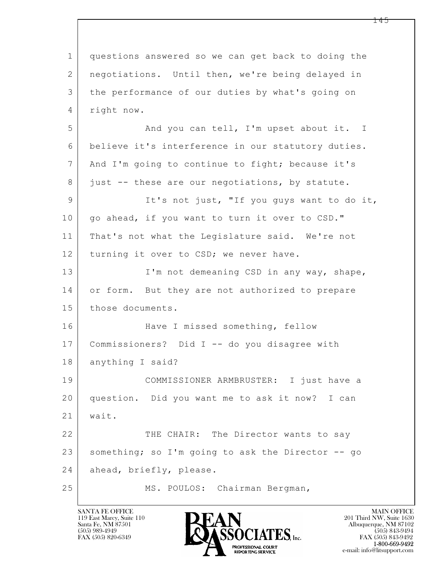$\mathbf{L}$  1 questions answered so we can get back to doing the 2 negotiations. Until then, we're being delayed in 3 the performance of our duties by what's going on 4 right now. 5 And you can tell, I'm upset about it. I 6 believe it's interference in our statutory duties. 7 | And I'm going to continue to fight; because it's 8 just -- these are our negotiations, by statute. 9 It's not just, "If you guys want to do it, 10 | go ahead, if you want to turn it over to CSD." 11 | That's not what the Legislature said. We're not 12 turning it over to CSD; we never have. 13 I'm not demeaning CSD in any way, shape, 14 or form. But they are not authorized to prepare 15 those documents. 16 Have I missed something, fellow 17 Commissioners? Did I -- do you disagree with 18 anything I said? 19 COMMISSIONER ARMBRUSTER: I just have a 20 question. Did you want me to ask it now? I can 21 wait. 22 THE CHAIR: The Director wants to say 23 something; so I'm going to ask the Director -- go 24 ahead, briefly, please. 25 MS. POULOS: Chairman Bergman,

119 East Marcy, Suite 110<br>Santa Fe, NM 87501



FAX (505) 843-9492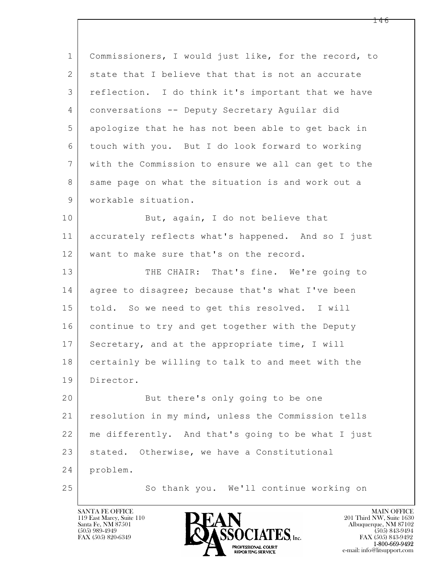| $\mathbf{1}$ | Commissioners, I would just like, for the record, to |
|--------------|------------------------------------------------------|
| 2            | state that I believe that that is not an accurate    |
| 3            | reflection. I do think it's important that we have   |
| 4            | conversations -- Deputy Secretary Aquilar did        |
| 5            | apologize that he has not been able to get back in   |
| 6            | touch with you. But I do look forward to working     |
| 7            | with the Commission to ensure we all can get to the  |
| 8            | same page on what the situation is and work out a    |
| $\mathsf 9$  | workable situation.                                  |
| 10           | But, again, I do not believe that                    |
| 11           | accurately reflects what's happened. And so I just   |
| 12           | want to make sure that's on the record.              |
| 13           | THE CHAIR: That's fine. We're going to               |
| 14           | agree to disagree; because that's what I've been     |
| 15           | told. So we need to get this resolved. I will        |
| 16           | continue to try and get together with the Deputy     |
| 17           | Secretary, and at the appropriate time, I will       |
| 18           | certainly be willing to talk to and meet with the    |
| 19           | Director.                                            |
| 20           | But there's only going to be one                     |
| 21           | resolution in my mind, unless the Commission tells   |
| 22           | me differently. And that's going to be what I just   |
| 23           | stated. Otherwise, we have a Constitutional          |
| 24           | problem.                                             |
| 25           | So thank you. We'll continue working on              |

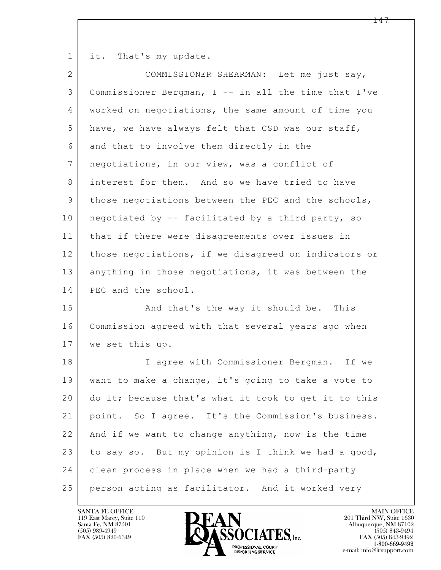1 it. That's my update.

| $\mathbf{2}$ | COMMISSIONER SHEARMAN: Let me just say,              |
|--------------|------------------------------------------------------|
| 3            | Commissioner Bergman, I -- in all the time that I've |
| 4            | worked on negotiations, the same amount of time you  |
| 5            | have, we have always felt that CSD was our staff,    |
| 6            | and that to involve them directly in the             |
| 7            | negotiations, in our view, was a conflict of         |
| 8            | interest for them. And so we have tried to have      |
| 9            | those negotiations between the PEC and the schools,  |
| 10           | negotiated by -- facilitated by a third party, so    |
| 11           | that if there were disagreements over issues in      |
| 12           | those negotiations, if we disagreed on indicators or |
| 13           | anything in those negotiations, it was between the   |
| 14           | PEC and the school.                                  |
| 15           | And that's the way it should be. This                |
| 16           | Commission agreed with that several years ago when   |
| 17           | we set this up.                                      |
| 18           | I agree with Commissioner Bergman. If we             |
| 19           | want to make a change, it's going to take a vote to  |
| 20           | do it; because that's what it took to get it to this |
| 21           | point. So I agree. It's the Commission's business.   |
| 22           | And if we want to change anything, now is the time   |
| 23           | to say so. But my opinion is I think we had a good,  |
| 24           | clean process in place when we had a third-party     |
| 25           | person acting as facilitator. And it worked very     |

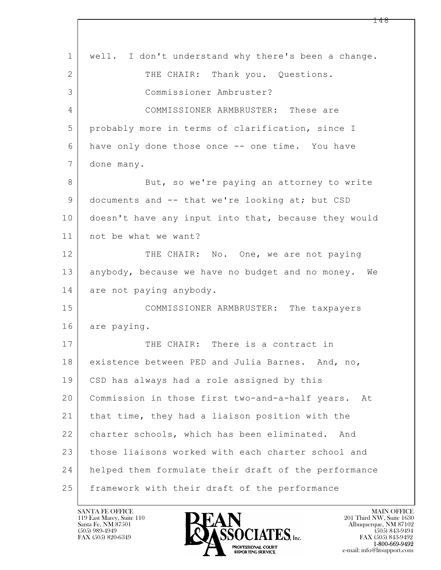| $\mathbf{1}$   | well. I don't understand why there's been a change.   |
|----------------|-------------------------------------------------------|
| $\overline{2}$ | THE CHAIR: Thank you. Questions.                      |
| 3              | Commissioner Ambruster?                               |
| 4              | COMMISSIONER ARMBRUSTER: These are                    |
| 5              | probably more in terms of clarification, since I      |
| 6              | have only done those once -- one time. You have       |
| 7              | done many.                                            |
| 8              | But, so we're paying an attorney to write             |
| 9              | documents and -- that we're looking at; but CSD       |
| 10             | doesn't have any input into that, because they would  |
| 11             | not be what we want?                                  |
| 12             | THE CHAIR: No. One, we are not paying                 |
| 13             | anybody, because we have no budget and no money. We   |
| 14             | are not paying anybody.                               |
| 15             | COMMISSIONER ARMBRUSTER: The taxpayers                |
| 16             | are paying.                                           |
| 17             | THE CHAIR: There is a contract in                     |
| 18             | existence between PED and Julia Barnes. And, no,      |
| 19             | CSD has always had a role assigned by this            |
| 20             | Commission in those first two-and-a-half years.<br>At |
| 21             | that time, they had a liaison position with the       |
| 22             | charter schools, which has been eliminated. And       |
| 23             | those liaisons worked with each charter school and    |
| 24             | helped them formulate their draft of the performance  |
| 25             | framework with their draft of the performance         |

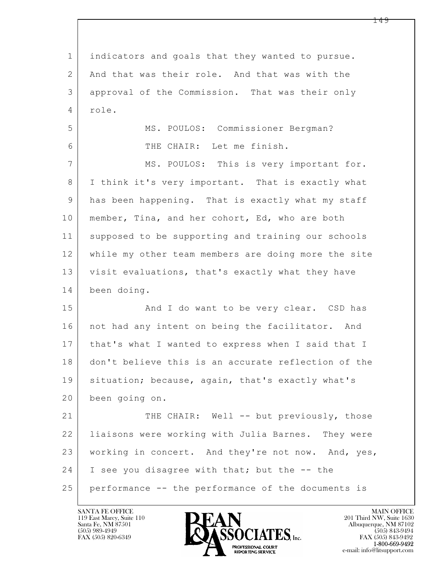$\mathbf{L}$  1 indicators and goals that they wanted to pursue. 2 And that was their role. And that was with the 3 approval of the Commission. That was their only 4 role. 5 MS. POULOS: Commissioner Bergman? 6 THE CHAIR: Let me finish. 7 | MS. POULOS: This is very important for. 8 I think it's very important. That is exactly what 9 has been happening. That is exactly what my staff 10 member, Tina, and her cohort, Ed, who are both 11 supposed to be supporting and training our schools 12 while my other team members are doing more the site 13 visit evaluations, that's exactly what they have 14 been doing. 15 | And I do want to be very clear. CSD has 16 | not had any intent on being the facilitator. And 17 that's what I wanted to express when I said that I 18 don't believe this is an accurate reflection of the 19 | situation; because, again, that's exactly what's 20 been going on. 21 THE CHAIR: Well -- but previously, those 22 liaisons were working with Julia Barnes. They were 23 working in concert. And they're not now. And, yes, 24 I see you disagree with that; but the -- the 25 performance -- the performance of the documents is

119 East Marcy, Suite 110<br>Santa Fe, NM 87501

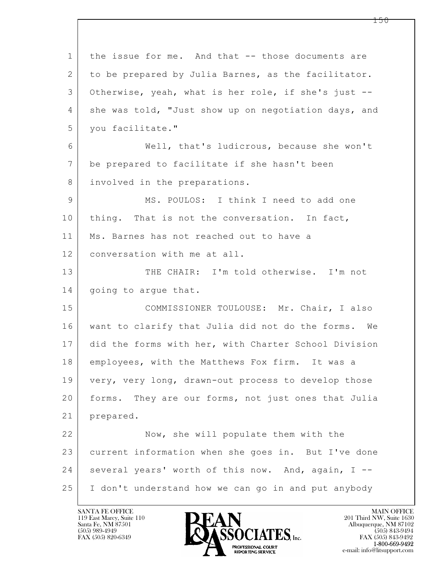$\mathbf{L}$  1 the issue for me. And that -- those documents are 2 to be prepared by Julia Barnes, as the facilitator. 3 Otherwise, yeah, what is her role, if she's just -- 4 | she was told, "Just show up on negotiation days, and 5 you facilitate." 6 Well, that's ludicrous, because she won't 7 be prepared to facilitate if she hasn't been 8 involved in the preparations. 9 MS. POULOS: I think I need to add one 10 | thing. That is not the conversation. In fact, 11 Ms. Barnes has not reached out to have a 12 conversation with me at all. 13 THE CHAIR: I'm told otherwise. I'm not 14 | going to argue that. 15 COMMISSIONER TOULOUSE: Mr. Chair, I also 16 want to clarify that Julia did not do the forms. We 17 did the forms with her, with Charter School Division 18 employees, with the Matthews Fox firm. It was a 19 very, very long, drawn-out process to develop those 20 forms. They are our forms, not just ones that Julia 21 prepared. 22 Now, she will populate them with the 23 current information when she goes in. But I've done 24 several years' worth of this now. And, again, I --25 I don't understand how we can go in and put anybody

119 East Marcy, Suite 110<br>Santa Fe, NM 87501

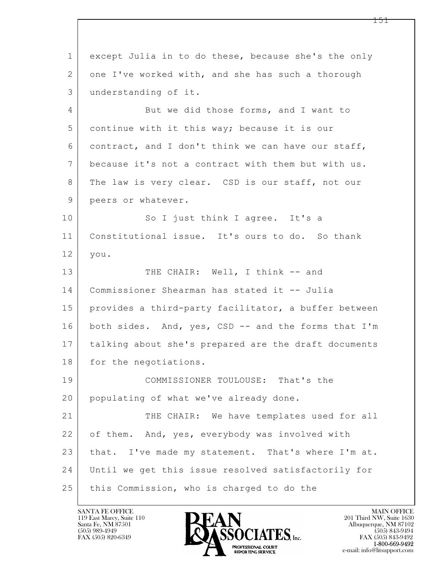$\mathbf{L}$  1 except Julia in to do these, because she's the only 2 one I've worked with, and she has such a thorough 3 understanding of it. 4 But we did those forms, and I want to 5 continue with it this way; because it is our 6 contract, and I don't think we can have our staff, 7 because it's not a contract with them but with us. 8 The law is very clear. CSD is our staff, not our 9 peers or whatever. 10 So I just think I agree. It's a 11 Constitutional issue. It's ours to do. So thank 12 you. 13 THE CHAIR: Well, I think -- and 14 Commissioner Shearman has stated it -- Julia 15 provides a third-party facilitator, a buffer between 16 both sides. And, yes, CSD -- and the forms that I'm 17 talking about she's prepared are the draft documents 18 for the negotiations. 19 COMMISSIONER TOULOUSE: That's the 20 populating of what we've already done. 21 THE CHAIR: We have templates used for all 22 of them. And, yes, everybody was involved with 23 | that. I've made my statement. That's where I'm at. 24 Until we get this issue resolved satisfactorily for 25 this Commission, who is charged to do the

119 East Marcy, Suite 110<br>Santa Fe, NM 87501

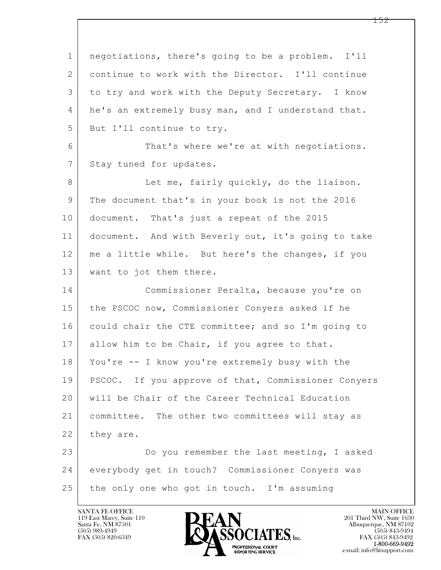$\mathbf{L}$  1 negotiations, there's going to be a problem. I'll 2 continue to work with the Director. I'll continue 3 to try and work with the Deputy Secretary. I know 4 he's an extremely busy man, and I understand that. 5 But I'll continue to try. 6 That's where we're at with negotiations. 7 Stay tuned for updates. 8 Let me, fairly quickly, do the liaison. 9 The document that's in your book is not the 2016 10 document. That's just a repeat of the 2015 11 document. And with Beverly out, it's going to take 12 me a little while. But here's the changes, if you 13 | want to jot them there. 14 Commissioner Peralta, because you're on 15 | the PSCOC now, Commissioner Conyers asked if he 16 could chair the CTE committee; and so I'm going to 17 allow him to be Chair, if you agree to that. 18 You're -- I know you're extremely busy with the 19 | PSCOC. If you approve of that, Commissioner Conyers 20 will be Chair of the Career Technical Education 21 committee. The other two committees will stay as 22 they are. 23 Do you remember the last meeting, I asked 24 everybody get in touch? Commissioner Conyers was 25 the only one who got in touch. I'm assuming

119 East Marcy, Suite 110<br>Santa Fe, NM 87501



FAX (505) 843-9492 e-mail: info@litsupport.com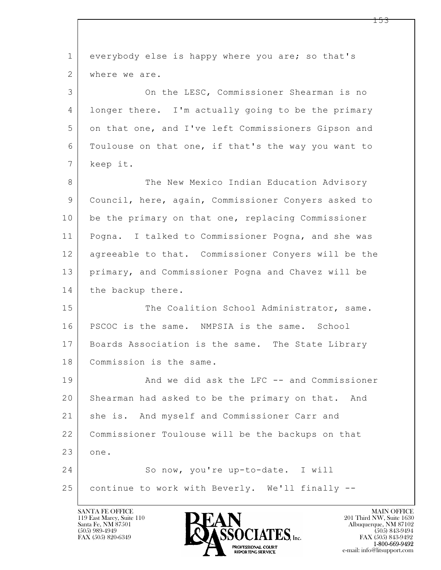| $\mathbf{1}$    | everybody else is happy where you are; so that's     |
|-----------------|------------------------------------------------------|
| 2               | where we are.                                        |
| 3               | On the LESC, Commissioner Shearman is no             |
| 4               | longer there. I'm actually going to be the primary   |
| 5               | on that one, and I've left Commissioners Gipson and  |
| 6               | Toulouse on that one, if that's the way you want to  |
| $7\phantom{.0}$ | keep it.                                             |
| 8               | The New Mexico Indian Education Advisory             |
| $\mathcal{G}$   | Council, here, again, Commissioner Conyers asked to  |
| 10              | be the primary on that one, replacing Commissioner   |
| 11              | Pogna. I talked to Commissioner Pogna, and she was   |
| 12              | agreeable to that. Commissioner Conyers will be the  |
| 13              | primary, and Commissioner Pogna and Chavez will be   |
| 14              | the backup there.                                    |
| 15              | The Coalition School Administrator, same.            |
| 16              | PSCOC is the same. NMPSIA is the same. School        |
| 17              | Boards Association is the same. The State Library    |
| 18              | Commission is the same.                              |
| 19              | And we did ask the LFC -- and Commissioner           |
| 20              | Shearman had asked to be the primary on that.<br>And |
| 21              | she is. And myself and Commissioner Carr and         |
| 22              | Commissioner Toulouse will be the backups on that    |
| 23              | one.                                                 |
| 24              | So now, you're up-to-date. I will                    |
| 25              | continue to work with Beverly. We'll finally --      |
|                 |                                                      |

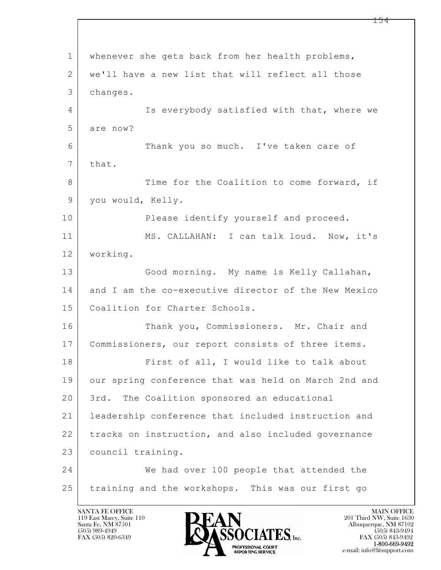$\mathbf{L}$  1 whenever she gets back from her health problems, 2 we'll have a new list that will reflect all those 3 changes. 4 Is everybody satisfied with that, where we 5 are now? 6 Thank you so much. I've taken care of 7 that. 8 Time for the Coalition to come forward, if 9 you would, Kelly. 10 Please identify yourself and proceed. 11 MS. CALLAHAN: I can talk loud. Now, it's 12 working. 13 Good morning. My name is Kelly Callahan, 14 and I am the co-executive director of the New Mexico 15 | Coalition for Charter Schools. 16 Thank you, Commissioners. Mr. Chair and 17 Commissioners, our report consists of three items. 18 First of all, I would like to talk about 19 our spring conference that was held on March 2nd and 20 3rd. The Coalition sponsored an educational 21 leadership conference that included instruction and 22 tracks on instruction, and also included governance 23 council training. 24 We had over 100 people that attended the 25 training and the workshops. This was our first go

119 East Marcy, Suite 110<br>Santa Fe, NM 87501



FAX (505) 843-9492 e-mail: info@litsupport.com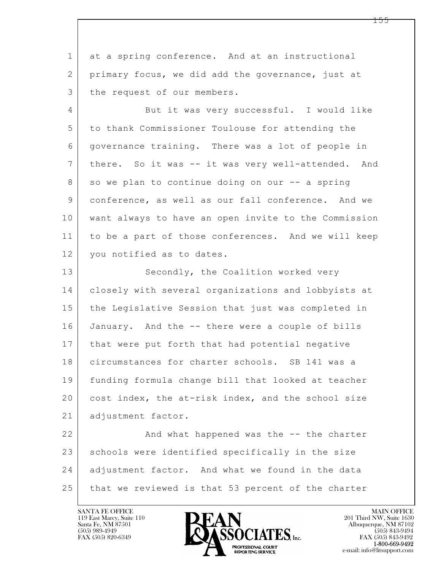1 at a spring conference. And at an instructional 2 primary focus, we did add the governance, just at 3 | the request of our members.

4 But it was very successful. I would like 5 to thank Commissioner Toulouse for attending the 6 governance training. There was a lot of people in 7 there. So it was -- it was very well-attended. And 8 so we plan to continue doing on our -- a spring 9 conference, as well as our fall conference. And we 10 want always to have an open invite to the Commission 11 to be a part of those conferences. And we will keep 12 | you notified as to dates.

13 Secondly, the Coalition worked very 14 closely with several organizations and lobbyists at 15 the Legislative Session that just was completed in 16 January. And the -- there were a couple of bills 17 | that were put forth that had potential negative 18 circumstances for charter schools. SB 141 was a 19 funding formula change bill that looked at teacher 20 cost index, the at-risk index, and the school size 21 | adjustment factor.

 $\mathbf{L}$  22 And what happened was the -- the charter 23 schools were identified specifically in the size 24 adjustment factor. And what we found in the data 25 that we reviewed is that 53 percent of the charter

119 East Marcy, Suite 110<br>Santa Fe, NM 87501



FAX (505) 843-9492 e-mail: info@litsupport.com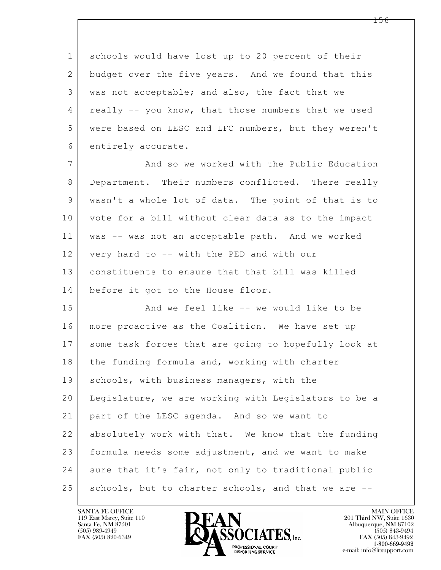1 schools would have lost up to 20 percent of their 2 budget over the five years. And we found that this 3 was not acceptable; and also, the fact that we 4 really -- you know, that those numbers that we used 5 were based on LESC and LFC numbers, but they weren't 6 entirely accurate.

7 | And so we worked with the Public Education 8 Department. Their numbers conflicted. There really 9 wasn't a whole lot of data. The point of that is to 10 vote for a bill without clear data as to the impact 11 was -- was not an acceptable path. And we worked 12 very hard to -- with the PED and with our 13 constituents to ensure that that bill was killed 14 before it got to the House floor.

 $\mathbf{L}$  15 | The Sand we feel like -- we would like to be 16 more proactive as the Coalition. We have set up 17 some task forces that are going to hopefully look at 18 the funding formula and, working with charter 19 | schools, with business managers, with the 20 Legislature, we are working with Legislators to be a 21 part of the LESC agenda. And so we want to 22 absolutely work with that. We know that the funding 23 formula needs some adjustment, and we want to make 24 sure that it's fair, not only to traditional public 25 | schools, but to charter schools, and that we are --

119 East Marcy, Suite 110<br>Santa Fe, NM 87501



FAX (505) 843-9492 e-mail: info@litsupport.com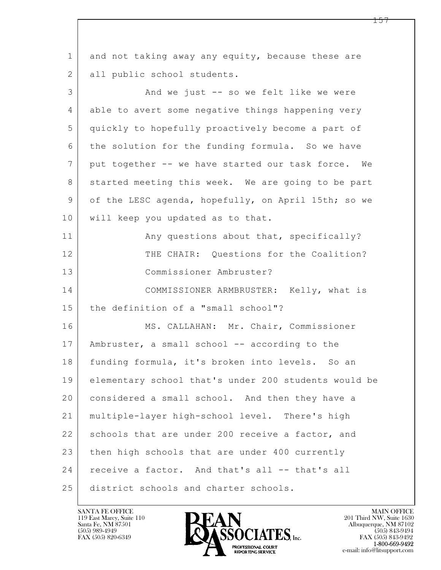$\mathbf{L}$  1 and not taking away any equity, because these are 2 all public school students. 3 And we just -- so we felt like we were 4 able to avert some negative things happening very 5 quickly to hopefully proactively become a part of 6 the solution for the funding formula. So we have 7 put together -- we have started our task force. We 8 started meeting this week. We are going to be part 9 of the LESC agenda, hopefully, on April 15th; so we 10 | will keep you updated as to that. 11 | Any questions about that, specifically? 12 THE CHAIR: Ouestions for the Coalition? 13 Commissioner Ambruster? 14 COMMISSIONER ARMBRUSTER: Kelly, what is 15 | the definition of a "small school"? 16 | MS. CALLAHAN: Mr. Chair, Commissioner 17 | Ambruster, a small school -- according to the 18 funding formula, it's broken into levels. So an 19 elementary school that's under 200 students would be 20 considered a small school. And then they have a 21 multiple-layer high-school level. There's high 22 schools that are under 200 receive a factor, and 23 then high schools that are under 400 currently 24 receive a factor. And that's all -- that's all 25 district schools and charter schools.

119 East Marcy, Suite 110<br>Santa Fe, NM 87501



 $FAX (505) 843-9492$ <br>1-800-669-9492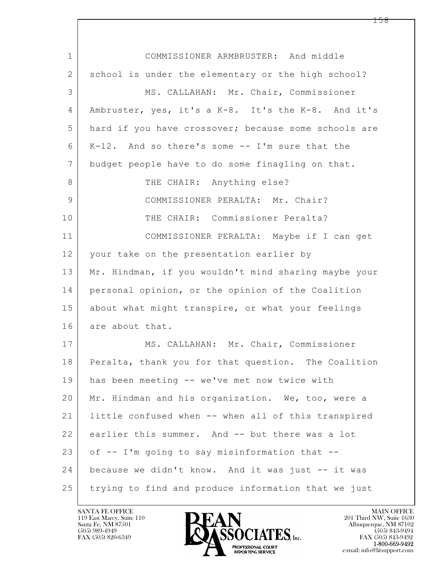| $\mathbf 1$ | COMMISSIONER ARMBRUSTER: And middle                  |
|-------------|------------------------------------------------------|
| 2           | school is under the elementary or the high school?   |
| 3           | MS. CALLAHAN: Mr. Chair, Commissioner                |
| 4           | Ambruster, yes, it's a K-8. It's the K-8. And it's   |
| 5           | hard if you have crossover; because some schools are |
| 6           | K-12. And so there's some -- I'm sure that the       |
| 7           | budget people have to do some finagling on that.     |
| 8           | THE CHAIR: Anything else?                            |
| 9           | COMMISSIONER PERALTA: Mr. Chair?                     |
| 10          | THE CHAIR: Commissioner Peralta?                     |
| 11          | COMMISSIONER PERALTA: Maybe if I can get             |
| 12          | your take on the presentation earlier by             |
| 13          | Mr. Hindman, if you wouldn't mind sharing maybe your |
| 14          | personal opinion, or the opinion of the Coalition    |
| 15          | about what might transpire, or what your feelings    |
| 16          | are about that.                                      |
| 17          | MS. CALLAHAN: Mr. Chair, Commissioner                |
| 18          | Peralta, thank you for that question. The Coalition  |
| 19          | has been meeting -- we've met now twice with         |
| 20          | Mr. Hindman and his organization. We, too, were a    |
| 21          | little confused when -- when all of this transpired  |
| 22          | earlier this summer. And -- but there was a lot      |
| 23          | of -- I'm going to say misinformation that --        |
| 24          | because we didn't know. And it was just -- it was    |
| 25          | trying to find and produce information that we just  |

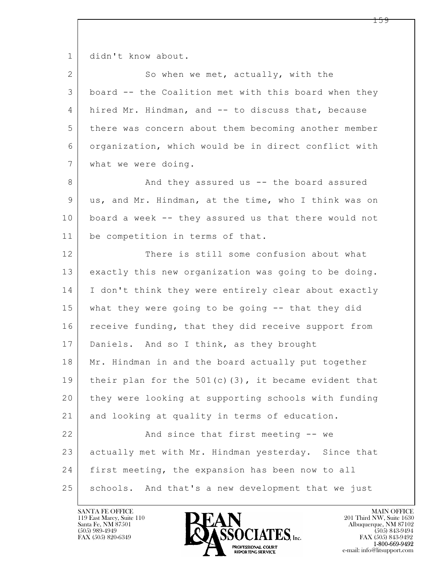1 didn't know about.

| $\overline{2}$ | So when we met, actually, with the                      |
|----------------|---------------------------------------------------------|
| 3              | board -- the Coalition met with this board when they    |
| 4              | hired Mr. Hindman, and -- to discuss that, because      |
| 5              | there was concern about them becoming another member    |
| 6              | organization, which would be in direct conflict with    |
| 7              | what we were doing.                                     |
| 8              | And they assured us -- the board assured                |
| 9              | us, and Mr. Hindman, at the time, who I think was on    |
| 10             | board a week -- they assured us that there would not    |
| 11             | be competition in terms of that.                        |
| 12             | There is still some confusion about what                |
| 13             | exactly this new organization was going to be doing.    |
| 14             | I don't think they were entirely clear about exactly    |
| 15             | what they were going to be going -- that they did       |
| 16             | receive funding, that they did receive support from     |
| 17             | Daniels. And so I think, as they brought                |
| 18             | Mr. Hindman in and the board actually put together      |
| 19             | their plan for the $501(c)$ (3), it became evident that |
| 20             | they were looking at supporting schools with funding    |
| 21             | and looking at quality in terms of education.           |
| 22             | And since that first meeting -- we                      |
| 23             | actually met with Mr. Hindman yesterday. Since that     |
| 24             | first meeting, the expansion has been now to all        |
| 25             | schools. And that's a new development that we just      |

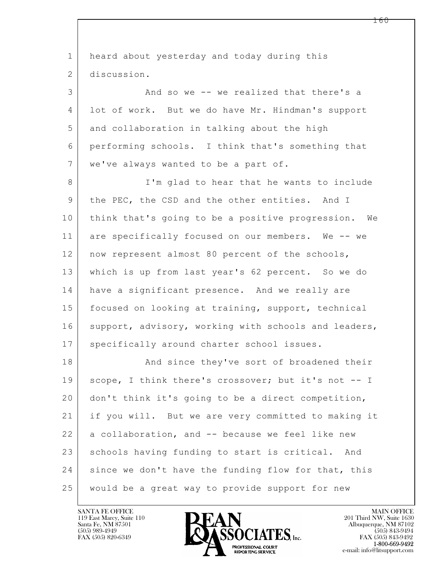| $\mathbf 1$     | heard about yesterday and today during this          |
|-----------------|------------------------------------------------------|
| 2               | discussion.                                          |
| 3               | And so we -- we realized that there's a              |
| 4               | lot of work. But we do have Mr. Hindman's support    |
| 5               | and collaboration in talking about the high          |
| 6               | performing schools. I think that's something that    |
| $7\phantom{.0}$ | we've always wanted to be a part of.                 |
| 8               | I'm glad to hear that he wants to include            |
| 9               | the PEC, the CSD and the other entities. And I       |
| 10              | think that's going to be a positive progression. We  |
| 11              | are specifically focused on our members. We -- we    |
| 12              | now represent almost 80 percent of the schools,      |
| 13              | which is up from last year's 62 percent. So we do    |
| 14              | have a significant presence. And we really are       |
| 15              | focused on looking at training, support, technical   |
| 16              | support, advisory, working with schools and leaders, |
| 17              | specifically around charter school issues.           |
| 18              | And since they've sort of broadened their            |
| 19              | scope, I think there's crossover; but it's not -- I  |
| 20              | don't think it's going to be a direct competition,   |
| 21              | if you will. But we are very committed to making it  |
| 22              | a collaboration, and -- because we feel like new     |
| 23              | schools having funding to start is critical. And     |
| 24              | since we don't have the funding flow for that, this  |
| 25              | would be a great way to provide support for new      |

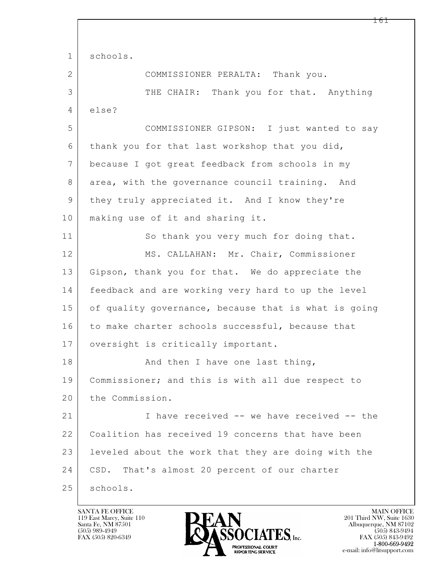|                | <b>IQI</b>                                           |
|----------------|------------------------------------------------------|
|                |                                                      |
| $\mathbf 1$    | schools.                                             |
| $\overline{2}$ | COMMISSIONER PERALTA: Thank you.                     |
| 3              | THE CHAIR: Thank you for that. Anything              |
| $\overline{4}$ | else?                                                |
| 5              | COMMISSIONER GIPSON: I just wanted to say            |
| 6              | thank you for that last workshop that you did,       |
| 7              | because I got great feedback from schools in my      |
| $\,8\,$        | area, with the governance council training. And      |
| 9              | they truly appreciated it. And I know they're        |
| 10             | making use of it and sharing it.                     |
| 11             | So thank you very much for doing that.               |
| 12             | MS. CALLAHAN: Mr. Chair, Commissioner                |
| 13             | Gipson, thank you for that. We do appreciate the     |
| 14             | feedback and are working very hard to up the level   |
| 15             | of quality governance, because that is what is going |
| 16             | to make charter schools successful, because that     |
| 17             | oversight is critically important.                   |
| 18             | And then I have one last thing,                      |
| 19             | Commissioner; and this is with all due respect to    |
| 20             | the Commission.                                      |
| 21             | I have received -- we have received -- the           |
| 22             | Coalition has received 19 concerns that have been    |
| 23             | leveled about the work that they are doing with the  |
| 24             | CSD. That's almost 20 percent of our charter         |
| 25             | schools.                                             |

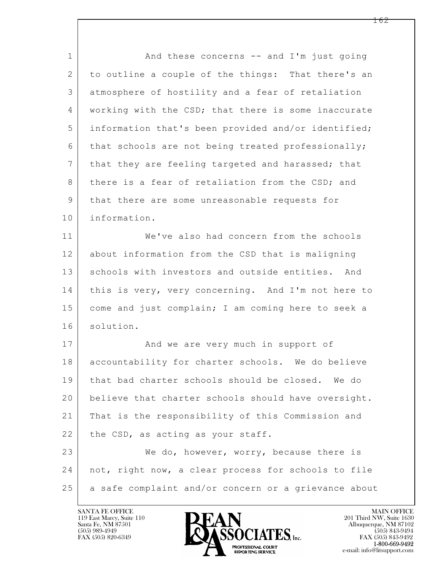$\mathbf{L}$  1 and these concerns -- and I'm just going 2 to outline a couple of the things: That there's an 3 atmosphere of hostility and a fear of retaliation 4 | working with the CSD; that there is some inaccurate 5 information that's been provided and/or identified; 6 that schools are not being treated professionally; 7 | that they are feeling targeted and harassed; that 8 there is a fear of retaliation from the CSD; and 9 | that there are some unreasonable requests for 10 information. 11 We've also had concern from the schools 12 about information from the CSD that is maligning 13 schools with investors and outside entities. And 14 this is very, very concerning. And I'm not here to 15 come and just complain; I am coming here to seek a 16 solution. 17 | And we are very much in support of 18 accountability for charter schools. We do believe 19 that bad charter schools should be closed. We do 20 | believe that charter schools should have oversight. 21 That is the responsibility of this Commission and 22 the CSD, as acting as your staff. 23 We do, however, worry, because there is 24 not, right now, a clear process for schools to file 25 a safe complaint and/or concern or a grievance about

119 East Marcy, Suite 110<br>Santa Fe, NM 87501

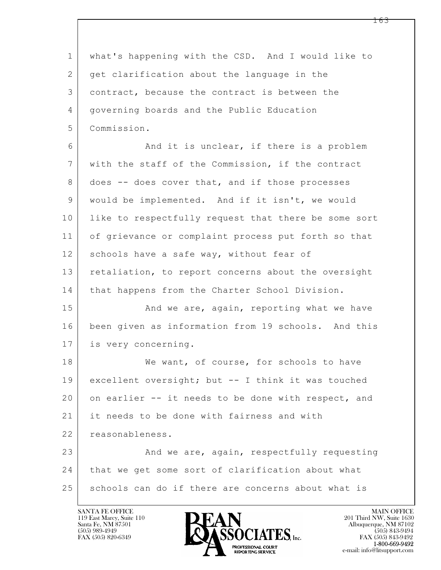$\mathbf{L}$  1 what's happening with the CSD. And I would like to 2 get clarification about the language in the 3 contract, because the contract is between the 4 governing boards and the Public Education 5 Commission. 6 And it is unclear, if there is a problem 7 with the staff of the Commission, if the contract 8 | does -- does cover that, and if those processes 9 would be implemented. And if it isn't, we would 10 | like to respectfully request that there be some sort 11 of grievance or complaint process put forth so that 12 schools have a safe way, without fear of 13 retaliation, to report concerns about the oversight 14 | that happens from the Charter School Division. 15 And we are, again, reporting what we have 16 been given as information from 19 schools. And this 17 is very concerning. 18 We want, of course, for schools to have 19 excellent oversight; but -- I think it was touched 20 on earlier -- it needs to be done with respect, and 21 it needs to be done with fairness and with 22 reasonableness. 23 And we are, again, respectfully requesting 24 that we get some sort of clarification about what 25 schools can do if there are concerns about what is

119 East Marcy, Suite 110<br>Santa Fe, NM 87501



FAX (505) 843-9492 e-mail: info@litsupport.com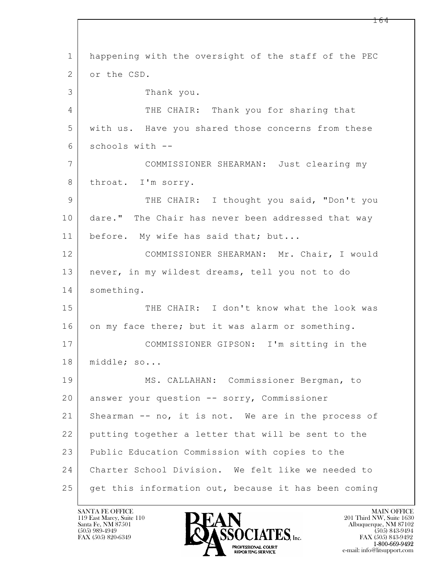$\mathbf{L}$  1 happening with the oversight of the staff of the PEC 2 or the CSD. 3 Thank you. 4 THE CHAIR: Thank you for sharing that 5 with us. Have you shared those concerns from these 6 schools with -- 7 COMMISSIONER SHEARMAN: Just clearing my 8 throat. I'm sorry. 9 THE CHAIR: I thought you said, "Don't you 10 dare." The Chair has never been addressed that way 11 | before. My wife has said that; but... 12 COMMISSIONER SHEARMAN: Mr. Chair, I would 13 never, in my wildest dreams, tell you not to do 14 something. 15 THE CHAIR: I don't know what the look was 16 on my face there; but it was alarm or something. 17 COMMISSIONER GIPSON: I'm sitting in the 18 | middle; so... 19 MS. CALLAHAN: Commissioner Bergman, to 20 answer your question -- sorry, Commissioner 21 Shearman -- no, it is not. We are in the process of 22 putting together a letter that will be sent to the 23 Public Education Commission with copies to the 24 Charter School Division. We felt like we needed to 25 get this information out, because it has been coming

119 East Marcy, Suite 110<br>Santa Fe, NM 87501

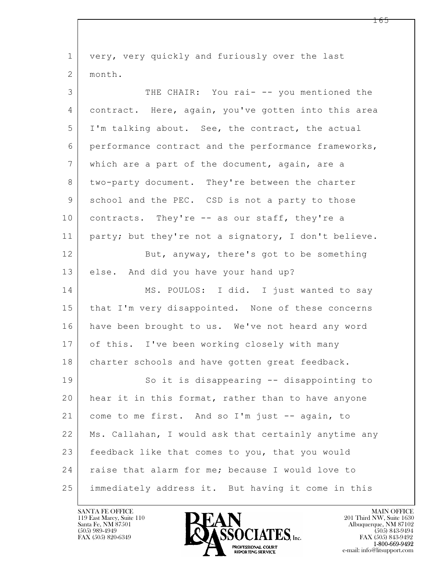$\mathbf{L}$  1 very, very quickly and furiously over the last 2 month. 3 THE CHAIR: You rai- -- you mentioned the 4 contract. Here, again, you've gotten into this area 5 I'm talking about. See, the contract, the actual 6 performance contract and the performance frameworks, 7 which are a part of the document, again, are a 8 two-party document. They're between the charter 9 school and the PEC. CSD is not a party to those 10 contracts. They're -- as our staff, they're a 11 party; but they're not a signatory, I don't believe. 12 But, anyway, there's got to be something 13 else. And did you have your hand up? 14 MS. POULOS: I did. I just wanted to say 15 | that I'm very disappointed. None of these concerns 16 have been brought to us. We've not heard any word 17 of this. I've been working closely with many 18 | charter schools and have gotten great feedback. 19 So it is disappearing -- disappointing to 20 hear it in this format, rather than to have anyone 21 come to me first. And so I'm just -- again, to 22 Ms. Callahan, I would ask that certainly anytime any 23 feedback like that comes to you, that you would 24 | raise that alarm for me; because I would love to 25 immediately address it. But having it come in this

119 East Marcy, Suite 110<br>Santa Fe, NM 87501



FAX (505) 843-9492 e-mail: info@litsupport.com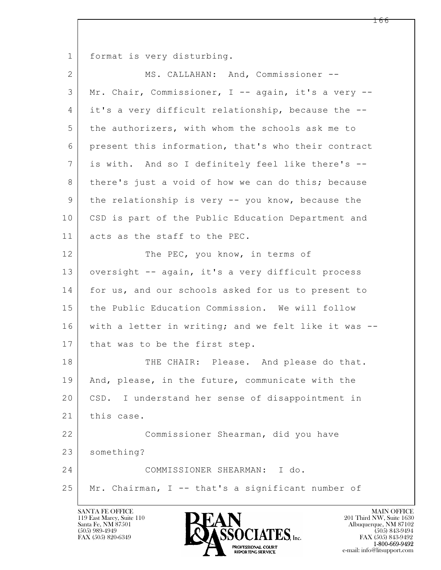1 format is very disturbing.

| $\overline{2}$ | MS. CALLAHAN: And, Commissioner --                   |
|----------------|------------------------------------------------------|
| 3              | Mr. Chair, Commissioner, I -- again, it's a very --  |
| 4              | it's a very difficult relationship, because the --   |
| 5              | the authorizers, with whom the schools ask me to     |
| 6              | present this information, that's who their contract  |
| 7              | is with. And so I definitely feel like there's --    |
| 8              | there's just a void of how we can do this; because   |
| 9              | the relationship is very -- you know, because the    |
| 10             | CSD is part of the Public Education Department and   |
| 11             | acts as the staff to the PEC.                        |
| 12             | The PEC, you know, in terms of                       |
| 13             | oversight -- again, it's a very difficult process    |
| 14             | for us, and our schools asked for us to present to   |
| 15             | the Public Education Commission. We will follow      |
| 16             | with a letter in writing; and we felt like it was -- |
| 17             | that was to be the first step.                       |
| 18             | THE CHAIR: Please. And please do that.               |
| 19             | And, please, in the future, communicate with the     |
| 20             | CSD. I understand her sense of disappointment in     |
| 21             | this case.                                           |
| 22             | Commissioner Shearman, did you have                  |
| 23             | something?                                           |
| 24             | COMMISSIONER SHEARMAN: I do.                         |
| 25             | Mr. Chairman, I -- that's a significant number of    |

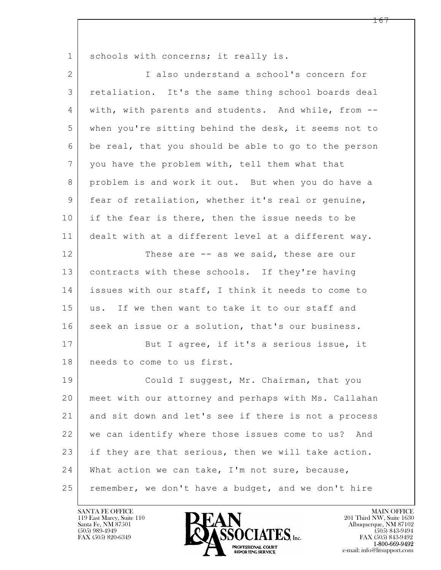$\mathbf{L}$  1 schools with concerns; it really is. 2 I also understand a school's concern for 3 retaliation. It's the same thing school boards deal 4 with, with parents and students. And while, from -- 5 when you're sitting behind the desk, it seems not to 6 be real, that you should be able to go to the person 7 you have the problem with, tell them what that 8 problem is and work it out. But when you do have a 9 fear of retaliation, whether it's real or genuine, 10 if the fear is there, then the issue needs to be 11 dealt with at a different level at a different way. 12 These are -- as we said, these are our 13 | contracts with these schools. If they're having 14 issues with our staff, I think it needs to come to 15 us. If we then want to take it to our staff and 16 seek an issue or a solution, that's our business. 17 But I agree, if it's a serious issue, it 18 needs to come to us first. 19 Could I suggest, Mr. Chairman, that you 20 meet with our attorney and perhaps with Ms. Callahan 21 and sit down and let's see if there is not a process 22 we can identify where those issues come to us? And 23 if they are that serious, then we will take action. 24 What action we can take, I'm not sure, because, 25 | remember, we don't have a budget, and we don't hire

119 East Marcy, Suite 110<br>Santa Fe, NM 87501

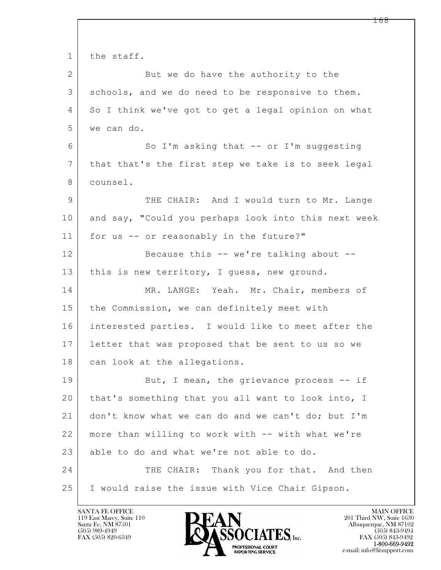$\mathbf{L}$  1 the staff. 2 But we do have the authority to the 3 schools, and we do need to be responsive to them. 4 So I think we've got to get a legal opinion on what 5 we can do. 6 So I'm asking that -- or I'm suggesting 7 that that's the first step we take is to seek legal 8 counsel. 9 THE CHAIR: And I would turn to Mr. Lange 10 and say, "Could you perhaps look into this next week 11 for us -- or reasonably in the future?" 12 Because this -- we're talking about --13 | this is new territory, I guess, new ground. 14 MR. LANGE: Yeah. Mr. Chair, members of 15 | the Commission, we can definitely meet with 16 interested parties. I would like to meet after the 17 letter that was proposed that be sent to us so we 18 can look at the allegations. 19 But, I mean, the grievance process -- if 20 that's something that you all want to look into, I 21 don't know what we can do and we can't do; but I'm 22 more than willing to work with -- with what we're 23 able to do and what we're not able to do. 24 THE CHAIR: Thank you for that. And then 25 I would raise the issue with Vice Chair Gipson.

119 East Marcy, Suite 110<br>Santa Fe, NM 87501

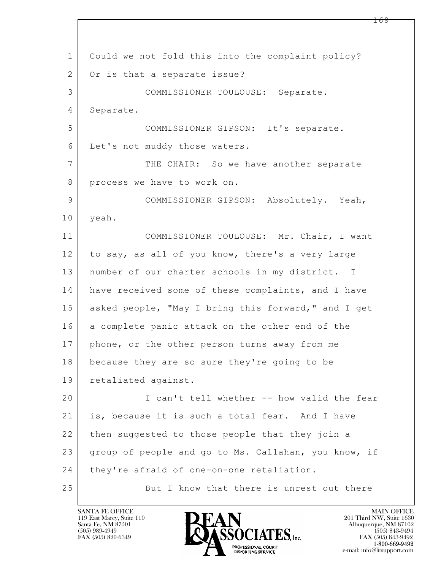$\mathbf{L}$  1 Could we not fold this into the complaint policy? 2 | Or is that a separate issue? 3 COMMISSIONER TOULOUSE: Separate. 4 Separate. 5 COMMISSIONER GIPSON: It's separate. 6 Let's not muddy those waters. 7 THE CHAIR: So we have another separate 8 process we have to work on. 9 COMMISSIONER GIPSON: Absolutely. Yeah, 10 yeah. 11 COMMISSIONER TOULOUSE: Mr. Chair, I want 12 to say, as all of you know, there's a very large 13 | number of our charter schools in my district. I 14 have received some of these complaints, and I have 15 asked people, "May I bring this forward," and I get 16 a complete panic attack on the other end of the 17 | phone, or the other person turns away from me 18 because they are so sure they're going to be 19 retaliated against. 20 I can't tell whether -- how valid the fear 21 is, because it is such a total fear. And I have 22 then suggested to those people that they join a 23 group of people and go to Ms. Callahan, you know, if 24 they're afraid of one-on-one retaliation. 25 But I know that there is unrest out there

119 East Marcy, Suite 110<br>Santa Fe, NM 87501

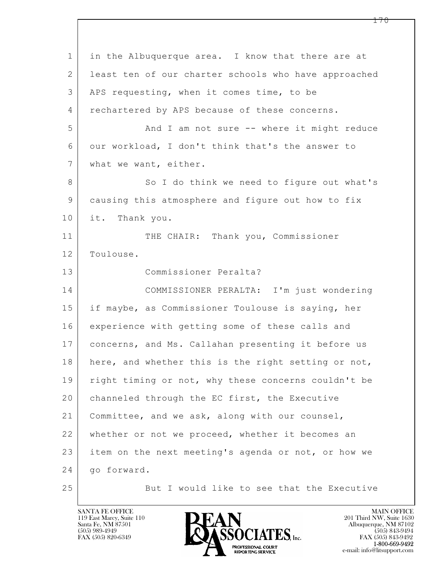$\mathbf{L}$  1 in the Albuquerque area. I know that there are at 2 | least ten of our charter schools who have approached 3 APS requesting, when it comes time, to be 4 rechartered by APS because of these concerns. 5 And I am not sure -- where it might reduce 6 our workload, I don't think that's the answer to 7 what we want, either. 8 So I do think we need to figure out what's 9 causing this atmosphere and figure out how to fix 10 it. Thank you. 11 THE CHAIR: Thank you, Commissioner 12 Toulouse. 13 Commissioner Peralta? 14 COMMISSIONER PERALTA: I'm just wondering 15 if maybe, as Commissioner Toulouse is saying, her 16 experience with getting some of these calls and 17 concerns, and Ms. Callahan presenting it before us 18 | here, and whether this is the right setting or not, 19 | right timing or not, why these concerns couldn't be 20 | channeled through the EC first, the Executive 21 Committee, and we ask, along with our counsel, 22 whether or not we proceed, whether it becomes an 23 item on the next meeting's agenda or not, or how we 24 go forward. 25 But I would like to see that the Executive

119 East Marcy, Suite 110<br>Santa Fe, NM 87501



FAX (505) 843-9492 e-mail: info@litsupport.com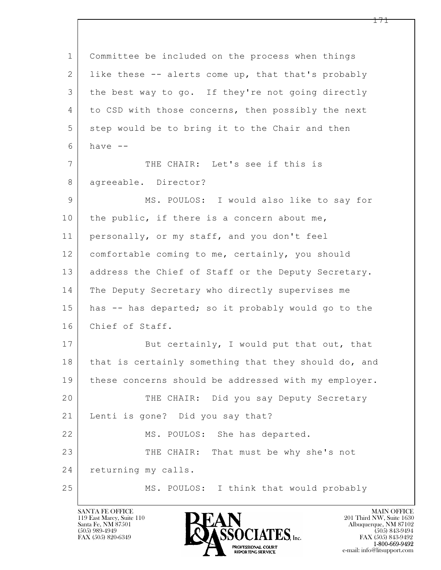$\mathbf{L}$  1 Committee be included on the process when things 2 like these -- alerts come up, that that's probably 3 the best way to go. If they're not going directly 4 to CSD with those concerns, then possibly the next 5 step would be to bring it to the Chair and then  $6$  have  $-$ 7 THE CHAIR: Let's see if this is 8 | agreeable. Director? 9 | MS. POULOS: I would also like to say for 10 the public, if there is a concern about me, 11 personally, or my staff, and you don't feel 12 comfortable coming to me, certainly, you should 13 | address the Chief of Staff or the Deputy Secretary. 14 The Deputy Secretary who directly supervises me 15 has -- has departed; so it probably would go to the 16 Chief of Staff. 17 But certainly, I would put that out, that 18 that is certainly something that they should do, and 19 these concerns should be addressed with my employer. 20 THE CHAIR: Did you say Deputy Secretary 21 Lenti is gone? Did you say that? 22 MS. POULOS: She has departed. 23 THE CHAIR: That must be why she's not 24 returning my calls. 25 MS. POULOS: I think that would probably

119 East Marcy, Suite 110<br>Santa Fe, NM 87501

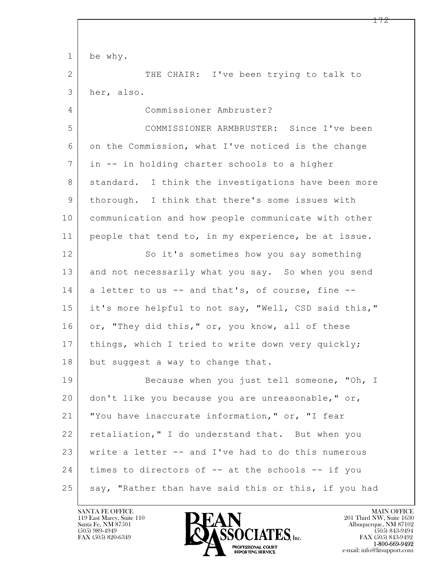$\mathbf{L}$  1 be why. 2 THE CHAIR: I've been trying to talk to 3 her, also. 4 Commissioner Ambruster? 5 COMMISSIONER ARMBRUSTER: Since I've been 6 on the Commission, what I've noticed is the change 7 in -- in holding charter schools to a higher 8 | standard. I think the investigations have been more 9 thorough. I think that there's some issues with 10 communication and how people communicate with other 11 people that tend to, in my experience, be at issue. 12 So it's sometimes how you say something 13 and not necessarily what you say. So when you send  $14$  a letter to us  $-$  and that's, of course, fine  $-$ 15 it's more helpful to not say, "Well, CSD said this," 16 or, "They did this," or, you know, all of these 17 | things, which I tried to write down very quickly; 18 but suggest a way to change that. 19 Because when you just tell someone, "Oh, I 20 don't like you because you are unreasonable," or, 21 "You have inaccurate information," or, "I fear 22 retaliation," I do understand that. But when you 23 write a letter -- and I've had to do this numerous 24 times to directors of -- at the schools -- if you 25 say, "Rather than have said this or this, if you had

119 East Marcy, Suite 110<br>Santa Fe, NM 87501



FAX (505) 843-9492 e-mail: info@litsupport.com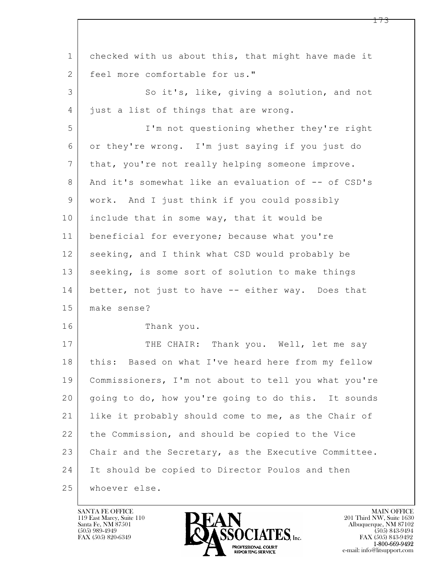| $\mathbf 1$     | checked with us about this, that might have made it  |
|-----------------|------------------------------------------------------|
| 2               | feel more comfortable for us."                       |
| 3               | So it's, like, giving a solution, and not            |
| 4               | just a list of things that are wrong.                |
| 5               | I'm not questioning whether they're right            |
| 6               | or they're wrong. I'm just saying if you just do     |
| $7\phantom{.0}$ | that, you're not really helping someone improve.     |
| 8               | And it's somewhat like an evaluation of -- of CSD's  |
| 9               | work. And I just think if you could possibly         |
| 10              | include that in some way, that it would be           |
| 11              | beneficial for everyone; because what you're         |
| 12              | seeking, and I think what CSD would probably be      |
| 13              | seeking, is some sort of solution to make things     |
| 14              | better, not just to have -- either way. Does that    |
| 15              | make sense?                                          |
| 16              | Thank you.                                           |
| 17              | THE CHAIR: Thank you. Well, let me say               |
| 18              | this: Based on what I've heard here from my fellow   |
| 19              | Commissioners, I'm not about to tell you what you're |
| 20              | going to do, how you're going to do this. It sounds  |
| 21              | like it probably should come to me, as the Chair of  |
| 22              | the Commission, and should be copied to the Vice     |
| 23              | Chair and the Secretary, as the Executive Committee. |
| 24              | It should be copied to Director Poulos and then      |
| 25              | whoever else.                                        |

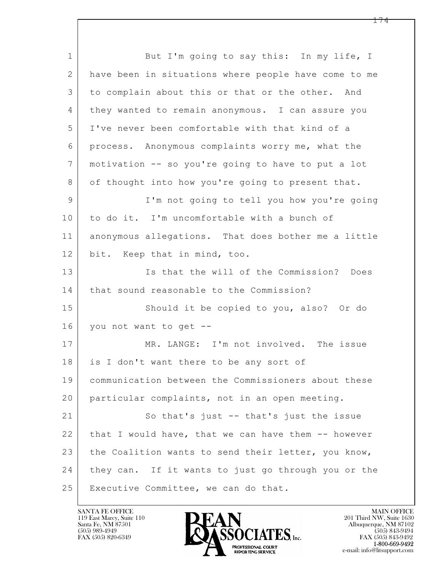$\mathbf{L}$  1 But I'm going to say this: In my life, I 2 have been in situations where people have come to me 3 to complain about this or that or the other. And 4 they wanted to remain anonymous. I can assure you 5 I've never been comfortable with that kind of a 6 process. Anonymous complaints worry me, what the 7 motivation -- so you're going to have to put a lot 8 of thought into how you're going to present that. 9 I'm not going to tell you how you're going 10 to do it. I'm uncomfortable with a bunch of 11 | anonymous allegations. That does bother me a little 12 bit. Keep that in mind, too. 13 Is that the will of the Commission? Does 14 that sound reasonable to the Commission? 15 Should it be copied to you, also? Or do 16 you not want to get -- 17 | MR. LANGE: I'm not involved. The issue 18 is I don't want there to be any sort of 19 communication between the Commissioners about these 20 particular complaints, not in an open meeting. 21 So that's just -- that's just the issue 22 | that I would have, that we can have them -- however 23 the Coalition wants to send their letter, you know, 24 they can. If it wants to just go through you or the 25 Executive Committee, we can do that.

119 East Marcy, Suite 110<br>Santa Fe, NM 87501

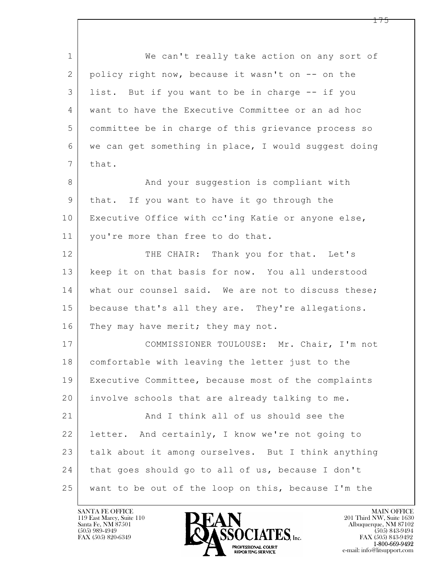$\mathbf{L}$  1 We can't really take action on any sort of 2 policy right now, because it wasn't on -- on the 3 list. But if you want to be in charge -- if you 4 want to have the Executive Committee or an ad hoc 5 committee be in charge of this grievance process so 6 we can get something in place, I would suggest doing  $7$  that. 8 And your suggestion is compliant with 9 | that. If you want to have it go through the 10 | Executive Office with cc'ing Katie or anyone else, 11 | you're more than free to do that. 12 THE CHAIR: Thank you for that. Let's 13 keep it on that basis for now. You all understood 14 what our counsel said. We are not to discuss these; 15 because that's all they are. They're allegations. 16 They may have merit; they may not. 17 COMMISSIONER TOULOUSE: Mr. Chair, I'm not 18 comfortable with leaving the letter just to the 19 Executive Committee, because most of the complaints 20 involve schools that are already talking to me. 21 And I think all of us should see the 22 letter. And certainly, I know we're not going to 23 talk about it among ourselves. But I think anything 24 that goes should go to all of us, because I don't 25 want to be out of the loop on this, because I'm the

119 East Marcy, Suite 110<br>Santa Fe, NM 87501



FAX (505) 843-9492 e-mail: info@litsupport.com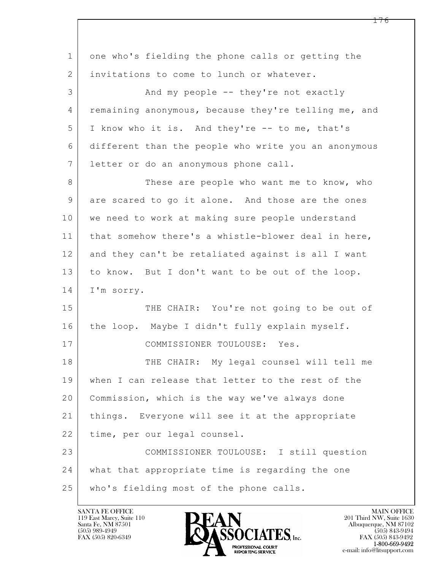| $\mathbf 1$ | one who's fielding the phone calls or getting the    |
|-------------|------------------------------------------------------|
| 2           | invitations to come to lunch or whatever.            |
| 3           | And my people -- they're not exactly                 |
| 4           | remaining anonymous, because they're telling me, and |
| 5           | I know who it is. And they're -- to me, that's       |
| 6           | different than the people who write you an anonymous |
| 7           | letter or do an anonymous phone call.                |
| 8           | These are people who want me to know, who            |
| 9           | are scared to go it alone. And those are the ones    |
| 10          | we need to work at making sure people understand     |
| 11          | that somehow there's a whistle-blower deal in here,  |
| 12          | and they can't be retaliated against is all I want   |
| 13          | to know. But I don't want to be out of the loop.     |
| 14          | I'm sorry.                                           |
| 15          | THE CHAIR: You're not going to be out of             |
| 16          | the loop. Maybe I didn't fully explain myself.       |
| 17          | COMMISSIONER TOULOUSE: Yes.                          |
| 18          | THE CHAIR: My legal counsel will tell me             |
| 19          | when I can release that letter to the rest of the    |
| 20          | Commission, which is the way we've always done       |
| 21          | things. Everyone will see it at the appropriate      |
| 22          | time, per our legal counsel.                         |
| 23          | COMMISSIONER TOULOUSE: I still question              |
| 24          | what that appropriate time is regarding the one      |
| 25          | who's fielding most of the phone calls.              |

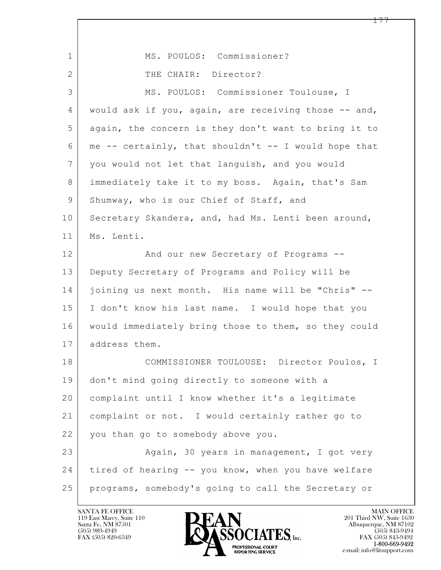| $\mathbf{1}$    | MS. POULOS: Commissioner?                            |
|-----------------|------------------------------------------------------|
| 2               | THE CHAIR: Director?                                 |
| 3               | MS. POULOS: Commissioner Toulouse, I                 |
| 4               | would ask if you, again, are receiving those -- and, |
| 5               | again, the concern is they don't want to bring it to |
| 6               | me -- certainly, that shouldn't -- I would hope that |
| $7\phantom{.0}$ | you would not let that languish, and you would       |
| 8               | immediately take it to my boss. Again, that's Sam    |
| $\mathsf 9$     | Shumway, who is our Chief of Staff, and              |
| 10              | Secretary Skandera, and, had Ms. Lenti been around,  |
| 11              | Ms. Lenti.                                           |
| 12              | And our new Secretary of Programs --                 |
| 13              | Deputy Secretary of Programs and Policy will be      |
| 14              | joining us next month. His name will be "Chris" --   |
| 15              | I don't know his last name. I would hope that you    |
| 16              | would immediately bring those to them, so they could |
| 17              | address them.                                        |
| 18              | COMMISSIONER TOULOUSE: Director Poulos, I            |
| 19              | don't mind going directly to someone with a          |
| 20              | complaint until I know whether it's a legitimate     |
| 21              | complaint or not. I would certainly rather go to     |
| 22              | you than go to somebody above you.                   |
| 23              | Again, 30 years in management, I got very            |
| 24              | tired of hearing -- you know, when you have welfare  |
| 25              | programs, somebody's going to call the Secretary or  |

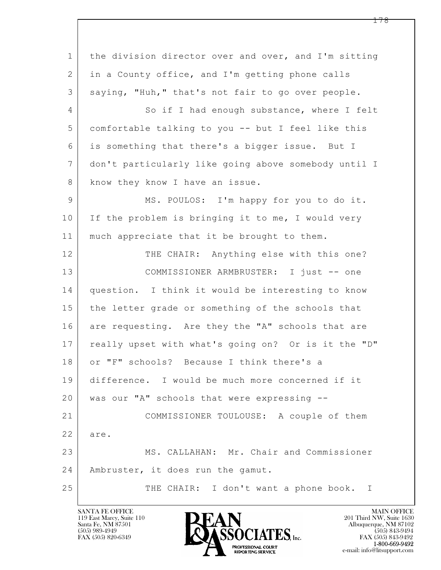$\mathbf{L}$  1 the division director over and over, and I'm sitting 2 in a County office, and I'm getting phone calls 3 saying, "Huh," that's not fair to go over people. 4 So if I had enough substance, where I felt 5 comfortable talking to you -- but I feel like this 6 is something that there's a bigger issue. But I 7 don't particularly like going above somebody until I 8 know they know I have an issue. 9 MS. POULOS: I'm happy for you to do it. 10 If the problem is bringing it to me, I would very 11 | much appreciate that it be brought to them. 12 THE CHAIR: Anything else with this one? 13 COMMISSIONER ARMBRUSTER: I just -- one 14 question. I think it would be interesting to know 15 the letter grade or something of the schools that 16 are requesting. Are they the "A" schools that are 17 | really upset with what's going on? Or is it the "D" 18 or "F" schools? Because I think there's a 19 difference. I would be much more concerned if it 20 was our "A" schools that were expressing -- 21 COMMISSIONER TOULOUSE: A couple of them 22 are. 23 MS. CALLAHAN: Mr. Chair and Commissioner 24 | Ambruster, it does run the gamut. 25 THE CHAIR: I don't want a phone book. I

119 East Marcy, Suite 110<br>Santa Fe, NM 87501

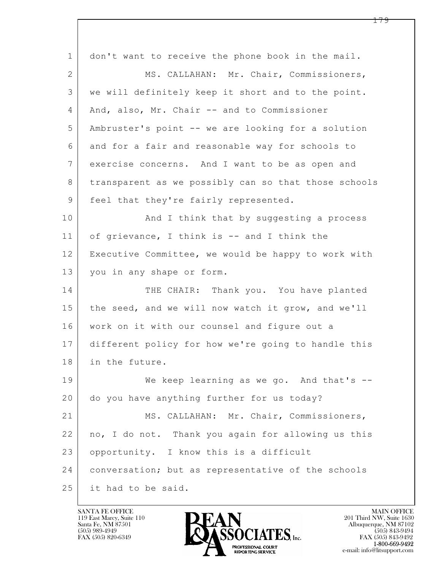| $\mathbf{1}$    | don't want to receive the phone book in the mail.    |
|-----------------|------------------------------------------------------|
| 2               | MS. CALLAHAN: Mr. Chair, Commissioners,              |
| 3               | we will definitely keep it short and to the point.   |
| 4               | And, also, Mr. Chair -- and to Commissioner          |
| 5               | Ambruster's point -- we are looking for a solution   |
| 6               | and for a fair and reasonable way for schools to     |
| $7\phantom{.0}$ | exercise concerns. And I want to be as open and      |
| 8               | transparent as we possibly can so that those schools |
| 9               | feel that they're fairly represented.                |
| 10              | And I think that by suggesting a process             |
| 11              | of grievance, I think is -- and I think the          |
| 12              | Executive Committee, we would be happy to work with  |
| 13              | you in any shape or form.                            |
| 14              | THE CHAIR: Thank you. You have planted               |
| 15              | the seed, and we will now watch it grow, and we'll   |
| 16              | work on it with our counsel and figure out a         |
| 17              | different policy for how we're going to handle this  |
| 18              | in the future.                                       |
| 19              | We keep learning as we go. And that's $-$            |
| 20              | do you have anything further for us today?           |
| 21              | MS. CALLAHAN: Mr. Chair, Commissioners,              |
| 22              | no, I do not. Thank you again for allowing us this   |
| 23              | opportunity. I know this is a difficult              |
| 24              | conversation; but as representative of the schools   |
| 25              | it had to be said.                                   |

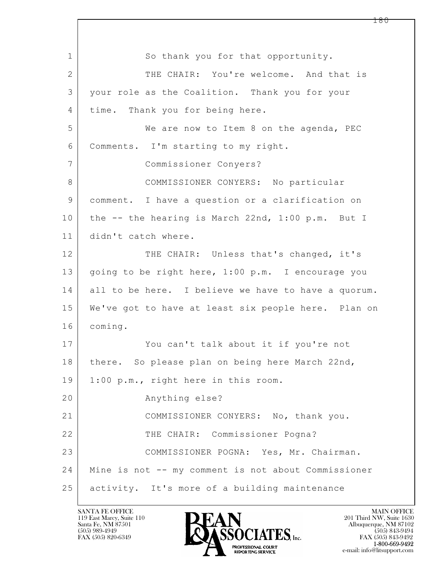$\mathbf{L}$  1 So thank you for that opportunity. 2 THE CHAIR: You're welcome. And that is 3 your role as the Coalition. Thank you for your 4 time. Thank you for being here. 5 We are now to Item 8 on the agenda, PEC 6 Comments. I'm starting to my right. 7 Commissioner Conyers? 8 COMMISSIONER CONYERS: No particular 9 comment. I have a question or a clarification on 10 the -- the hearing is March 22nd, 1:00 p.m. But I 11 didn't catch where. 12 THE CHAIR: Unless that's changed, it's 13 | going to be right here, 1:00 p.m. I encourage you 14 all to be here. I believe we have to have a quorum. 15 We've got to have at least six people here. Plan on 16 coming. 17 You can't talk about it if you're not 18 | there. So please plan on being here March 22nd, 19 | 1:00 p.m., right here in this room. 20 Anything else? 21 COMMISSIONER CONYERS: No, thank you. 22 | THE CHAIR: Commissioner Pogna? 23 COMMISSIONER POGNA: Yes, Mr. Chairman. 24 Mine is not -- my comment is not about Commissioner 25 activity. It's more of a building maintenance

119 East Marcy, Suite 110<br>Santa Fe, NM 87501

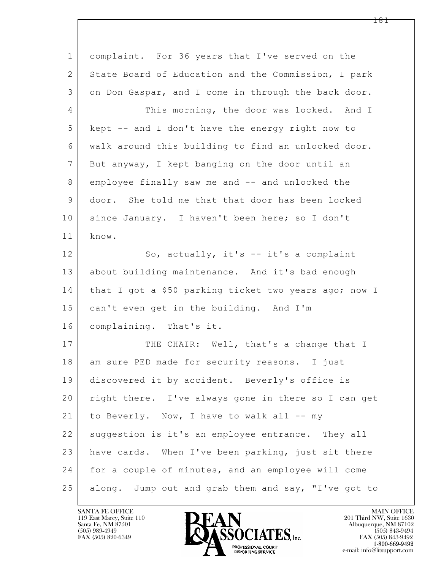$\mathbf{L}$  1 complaint. For 36 years that I've served on the 2 State Board of Education and the Commission, I park 3 on Don Gaspar, and I come in through the back door. 4 This morning, the door was locked. And I 5 kept -- and I don't have the energy right now to 6 walk around this building to find an unlocked door. 7 But anyway, I kept banging on the door until an 8 employee finally saw me and -- and unlocked the 9 door. She told me that that door has been locked 10 | since January. I haven't been here; so I don't 11 know. 12 So, actually, it's -- it's a complaint 13 about building maintenance. And it's bad enough 14 that I got a \$50 parking ticket two years ago; now I 15 can't even get in the building. And I'm 16 complaining. That's it. 17 THE CHAIR: Well, that's a change that I 18 am sure PED made for security reasons. I just 19 discovered it by accident. Beverly's office is 20 | right there. I've always gone in there so I can get 21 to Beverly. Now, I have to walk all -- my 22 suggestion is it's an employee entrance. They all 23 have cards. When I've been parking, just sit there 24 for a couple of minutes, and an employee will come 25 along. Jump out and grab them and say, "I've got to

119 East Marcy, Suite 110<br>Santa Fe, NM 87501



FAX (505) 843-9492 e-mail: info@litsupport.com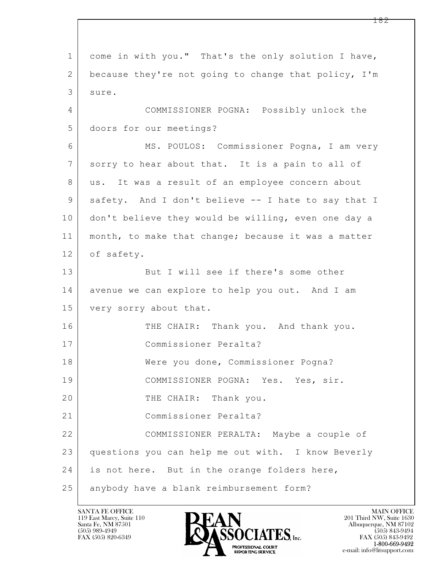$\mathbf{L}$  1 come in with you." That's the only solution I have, 2 because they're not going to change that policy, I'm 3 sure. 4 COMMISSIONER POGNA: Possibly unlock the 5 doors for our meetings? 6 MS. POULOS: Commissioner Pogna, I am very 7 sorry to hear about that. It is a pain to all of 8 | us. It was a result of an employee concern about 9 safety. And I don't believe -- I hate to say that I 10 don't believe they would be willing, even one day a 11 month, to make that change; because it was a matter 12 of safety. 13 But I will see if there's some other 14 avenue we can explore to help you out. And I am 15 | very sorry about that. 16 THE CHAIR: Thank you. And thank you. 17 Commissioner Peralta? 18 Were you done, Commissioner Pogna? 19 COMMISSIONER POGNA: Yes. Yes, sir. 20 THE CHAIR: Thank you. 21 Commissioner Peralta? 22 COMMISSIONER PERALTA: Maybe a couple of 23 questions you can help me out with. I know Beverly 24 is not here. But in the orange folders here, 25 anybody have a blank reimbursement form?

119 East Marcy, Suite 110<br>Santa Fe, NM 87501



FAX (505) 843-9492 e-mail: info@litsupport.com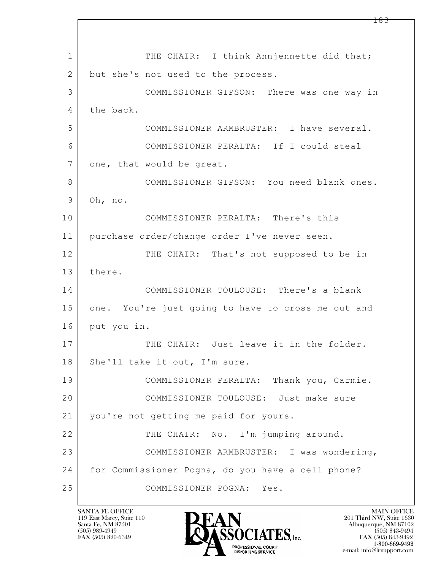$\mathbf{L}$  1 THE CHAIR: I think Annjennette did that; 2 but she's not used to the process. 3 COMMISSIONER GIPSON: There was one way in 4 the back. 5 COMMISSIONER ARMBRUSTER: I have several. 6 COMMISSIONER PERALTA: If I could steal 7 one, that would be great. 8 COMMISSIONER GIPSON: You need blank ones. 9 Oh, no. 10 COMMISSIONER PERALTA: There's this 11 purchase order/change order I've never seen. 12 THE CHAIR: That's not supposed to be in 13 there. 14 COMMISSIONER TOULOUSE: There's a blank 15 one. You're just going to have to cross me out and 16 put you in. 17 THE CHAIR: Just leave it in the folder. 18 | She'll take it out, I'm sure. 19 COMMISSIONER PERALTA: Thank you, Carmie. 20 COMMISSIONER TOULOUSE: Just make sure 21 you're not getting me paid for yours. 22 THE CHAIR: No. I'm jumping around. 23 COMMISSIONER ARMBRUSTER: I was wondering, 24 for Commissioner Pogna, do you have a cell phone? 25 COMMISSIONER POGNA: Yes.

119 East Marcy, Suite 110<br>Santa Fe, NM 87501

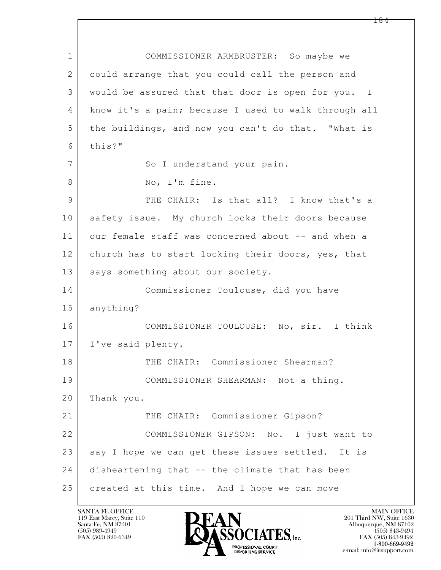$\mathbf{L}$  1 COMMISSIONER ARMBRUSTER: So maybe we 2 could arrange that you could call the person and 3 would be assured that that door is open for you. I 4 know it's a pain; because I used to walk through all 5 the buildings, and now you can't do that. "What is 6 this?" 7 | So I understand your pain. 8 | No, I'm fine. 9 THE CHAIR: Is that all? I know that's a 10 safety issue. My church locks their doors because 11 our female staff was concerned about -- and when a 12 church has to start locking their doors, yes, that 13 | says something about our society. 14 Commissioner Toulouse, did you have 15 anything? 16 COMMISSIONER TOULOUSE: No, sir. I think 17 | I've said plenty. 18 THE CHAIR: Commissioner Shearman? 19 COMMISSIONER SHEARMAN: Not a thing. 20 Thank you. 21 THE CHAIR: Commissioner Gipson? 22 COMMISSIONER GIPSON: No. I just want to 23 say I hope we can get these issues settled. It is 24 disheartening that -- the climate that has been 25 created at this time. And I hope we can move

119 East Marcy, Suite 110<br>Santa Fe, NM 87501



FAX (505) 843-9492 e-mail: info@litsupport.com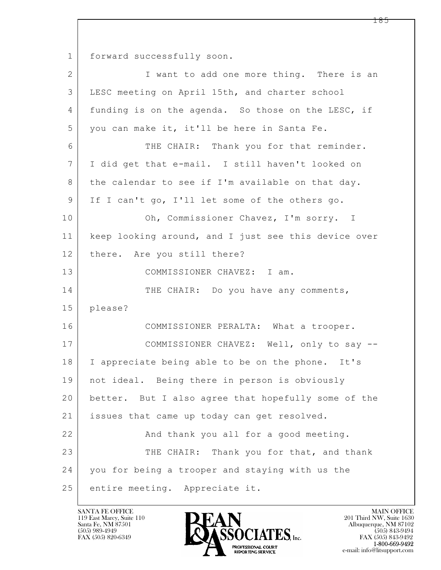1 forward successfully soon.

| $\overline{2}$ | I want to add one more thing. There is an            |
|----------------|------------------------------------------------------|
| 3              | LESC meeting on April 15th, and charter school       |
| 4              | funding is on the agenda. So those on the LESC, if   |
| 5              | you can make it, it'll be here in Santa Fe.          |
| 6              | THE CHAIR: Thank you for that reminder.              |
| 7              | I did get that e-mail. I still haven't looked on     |
| 8              | the calendar to see if I'm available on that day.    |
| 9              | If I can't go, I'll let some of the others go.       |
| 10             | Oh, Commissioner Chavez, I'm sorry. I                |
| 11             | keep looking around, and I just see this device over |
| 12             | there. Are you still there?                          |
| 13             | COMMISSIONER CHAVEZ: I am.                           |
| 14             | THE CHAIR: Do you have any comments,                 |
| 15             | please?                                              |
| 16             | COMMISSIONER PERALTA: What a trooper.                |
| 17             | COMMISSIONER CHAVEZ: Well, only to say --            |
| 18             | I appreciate being able to be on the phone. It's     |
| 19             | not ideal. Being there in person is obviously        |
| 20             | better. But I also agree that hopefully some of the  |
| 21             | issues that came up today can get resolved.          |
| 22             | And thank you all for a good meeting.                |
| 23             | THE CHAIR: Thank you for that, and thank             |
| 24             | you for being a trooper and staying with us the      |
| 25             | entire meeting. Appreciate it.                       |

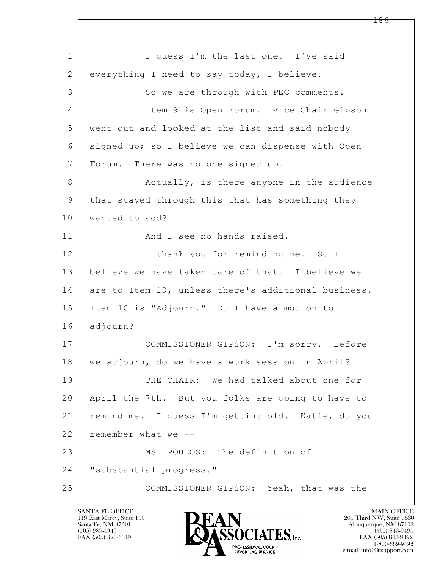$\mathbf{L}$  1 I guess I'm the last one. I've said 2 everything I need to say today, I believe. 3 So we are through with PEC comments. 4 Item 9 is Open Forum. Vice Chair Gipson 5 went out and looked at the list and said nobody 6 signed up; so I believe we can dispense with Open 7 Forum. There was no one signed up. 8 Actually, is there anyone in the audience 9 that stayed through this that has something they 10 wanted to add? 11 and I see no hands raised. 12 I thank you for reminding me. So I 13 believe we have taken care of that. I believe we 14 are to Item 10, unless there's additional business. 15 Item 10 is "Adjourn." Do I have a motion to 16 adjourn? 17 COMMISSIONER GIPSON: I'm sorry. Before 18 we adjourn, do we have a work session in April? 19 THE CHAIR: We had talked about one for 20 April the 7th. But you folks are going to have to 21 remind me. I guess I'm getting old. Katie, do you 22 remember what we --23 MS. POULOS: The definition of 24 "substantial progress." 25 COMMISSIONER GIPSON: Yeah, that was the

119 East Marcy, Suite 110<br>Santa Fe, NM 87501

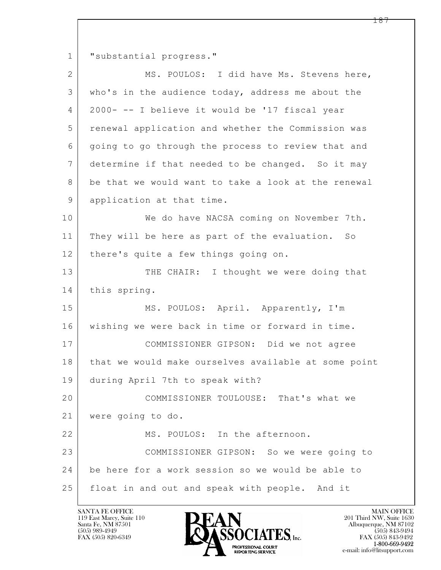$\mathbf{L}$  1 | "substantial progress." 2 MS. POULOS: I did have Ms. Stevens here, 3 who's in the audience today, address me about the 4 2000- -- I believe it would be '17 fiscal year 5 renewal application and whether the Commission was 6 going to go through the process to review that and 7 determine if that needed to be changed. So it may 8 be that we would want to take a look at the renewal 9 application at that time. 10 We do have NACSA coming on November 7th. 11 They will be here as part of the evaluation. So 12 | there's quite a few things going on. 13 THE CHAIR: I thought we were doing that 14 this spring. 15 | MS. POULOS: April. Apparently, I'm 16 wishing we were back in time or forward in time. 17 COMMISSIONER GIPSON: Did we not agree 18 | that we would make ourselves available at some point 19 during April 7th to speak with? 20 COMMISSIONER TOULOUSE: That's what we 21 were going to do. 22 MS. POULOS: In the afternoon. 23 COMMISSIONER GIPSON: So we were going to 24 be here for a work session so we would be able to 25 float in and out and speak with people. And it

119 East Marcy, Suite 110<br>Santa Fe, NM 87501

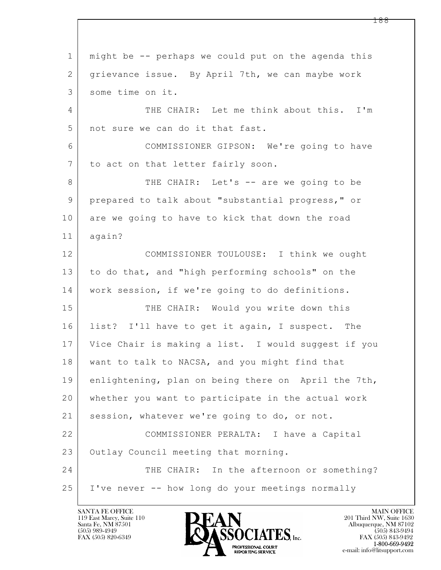$\mathbf{L}$  1 might be -- perhaps we could put on the agenda this 2 grievance issue. By April 7th, we can maybe work 3 some time on it. 4 THE CHAIR: Let me think about this. I'm 5 not sure we can do it that fast. 6 COMMISSIONER GIPSON: We're going to have 7 | to act on that letter fairly soon. 8 THE CHAIR: Let's -- are we going to be 9 prepared to talk about "substantial progress," or 10 are we going to have to kick that down the road 11 again? 12 COMMISSIONER TOULOUSE: I think we ought 13 to do that, and "high performing schools" on the 14 work session, if we're going to do definitions. 15 THE CHAIR: Would you write down this 16 list? I'll have to get it again, I suspect. The 17 Vice Chair is making a list. I would suggest if you 18 | want to talk to NACSA, and you might find that 19 enlightening, plan on being there on April the 7th, 20 whether you want to participate in the actual work 21 session, whatever we're going to do, or not. 22 COMMISSIONER PERALTA: I have a Capital 23 Outlay Council meeting that morning. 24 THE CHAIR: In the afternoon or something? 25 | I've never -- how long do your meetings normally

119 East Marcy, Suite 110<br>Santa Fe, NM 87501



FAX (505) 843-9492 e-mail: info@litsupport.com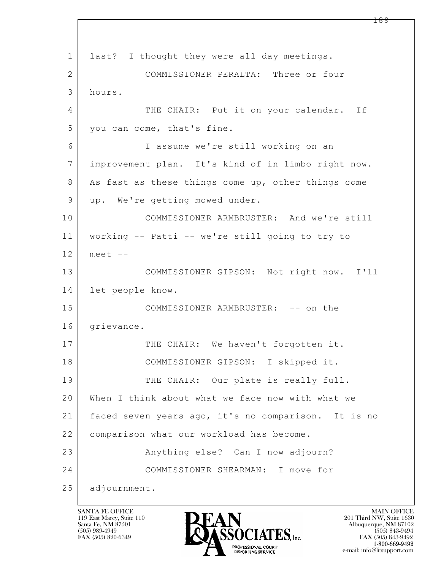$\mathbf{L}$  1 last? I thought they were all day meetings. 2 COMMISSIONER PERALTA: Three or four 3 hours. 4 THE CHAIR: Put it on your calendar. If 5 you can come, that's fine. 6 I assume we're still working on an 7 improvement plan. It's kind of in limbo right now. 8 As fast as these things come up, other things come 9 | up. We're getting mowed under. 10 COMMISSIONER ARMBRUSTER: And we're still 11 working -- Patti -- we're still going to try to 12 meet -- 13 COMMISSIONER GIPSON: Not right now. I'll 14 let people know. 15 COMMISSIONER ARMBRUSTER: -- on the 16 grievance. 17 THE CHAIR: We haven't forgotten it. 18 | COMMISSIONER GIPSON: I skipped it. 19 THE CHAIR: Our plate is really full. 20 When I think about what we face now with what we 21 faced seven years ago, it's no comparison. It is no 22 | comparison what our workload has become. 23 | Rhything else? Can I now adjourn? 24 COMMISSIONER SHEARMAN: I move for 25 adjournment.

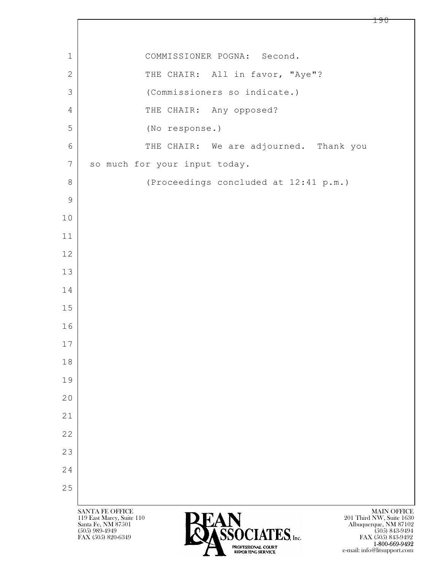| 1              | COMMISSIONER POGNA: Second.                                                                                                                                 |
|----------------|-------------------------------------------------------------------------------------------------------------------------------------------------------------|
| $\mathbf{2}$   | THE CHAIR: All in favor, "Aye"?                                                                                                                             |
| 3              | (Commissioners so indicate.)                                                                                                                                |
| 4              | THE CHAIR: Any opposed?                                                                                                                                     |
| 5              | (No response.)                                                                                                                                              |
| 6              | THE CHAIR: We are adjourned. Thank you                                                                                                                      |
| $7\phantom{.}$ | so much for your input today.                                                                                                                               |
| 8              | (Proceedings concluded at 12:41 p.m.)                                                                                                                       |
| $\mathsf 9$    |                                                                                                                                                             |
| 10             |                                                                                                                                                             |
| 11             |                                                                                                                                                             |
| 12             |                                                                                                                                                             |
| 13             |                                                                                                                                                             |
| 14             |                                                                                                                                                             |
| 15             |                                                                                                                                                             |
| 16             |                                                                                                                                                             |
| 17             |                                                                                                                                                             |
| 18             |                                                                                                                                                             |
| 19             |                                                                                                                                                             |
| 20             |                                                                                                                                                             |
| 21             |                                                                                                                                                             |
| 22             |                                                                                                                                                             |
| 23             |                                                                                                                                                             |
| 24             |                                                                                                                                                             |
| 25             |                                                                                                                                                             |
|                | <b>SANTA FE OFFICE</b><br><b>MAIN OFFICE</b><br>201 Third NW, Suite 1630<br>119 East Marcy, Suite 110                                                       |
|                | Santa Fe, NM 87501<br>Albuquerque, NM 87102<br><b>ASSOCIATES</b> , Inc.<br>$(505)$ 989-4949<br>$(505)$ 843-9494<br>FAX (505) 820-6349<br>FAX (505) 843-9492 |

 $\lceil$ 

 $P_{\text{BQATES} (Q) \text{B} \text{T}}$   $1-800-669-9492$ e-mail: info@litsupport.com